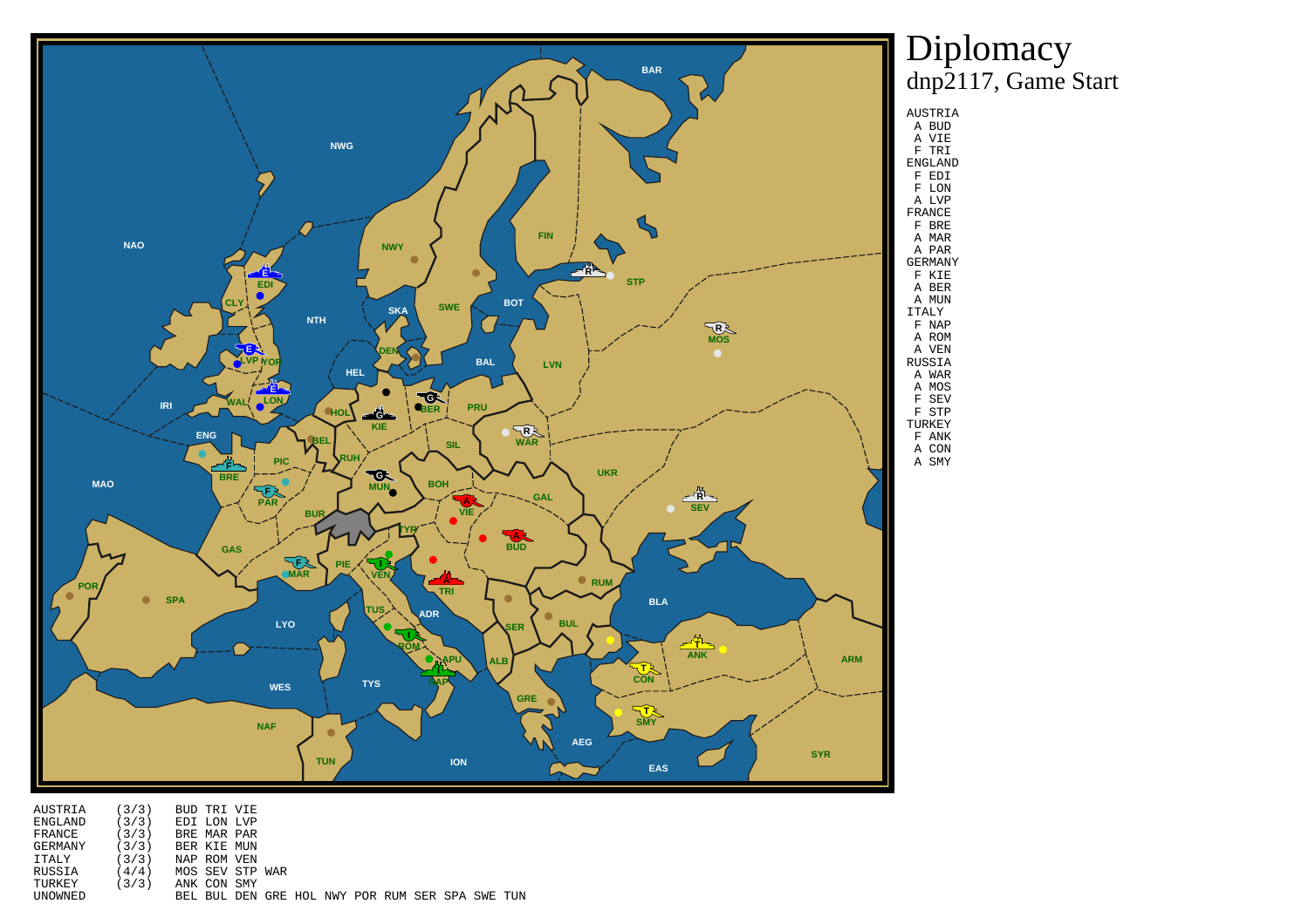

Diplomacy dnp2117, Game Start

AUSTRIA (3/3) BUD TRI VIE ENGLAND (3/3) EDI LON LVP FRANCE (3/3) BRE MAR PAR GERMANY (3/3) BER KIE MUN ITALY (3/3) NAP ROM VEN RUSSIA (4/4) MOS SEV STP WARTURKEY (3/3) ANK CON SMYUNOWNED BEL BUL DEN GRE HOL NWY POR RUM SER SPA SWE TUN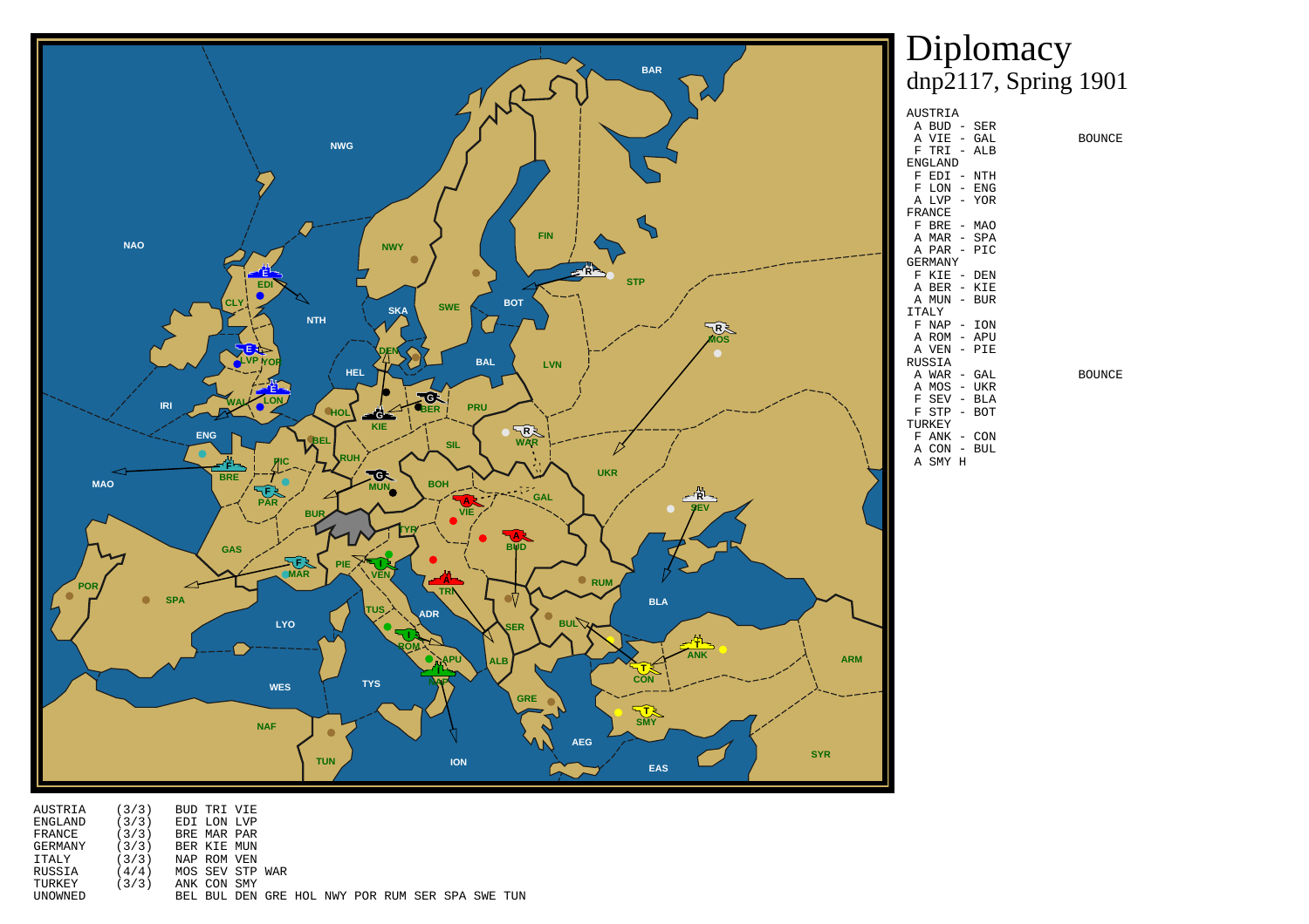

 A VIE - GAL BOUNCEA WAR - GAL BOUNCE

AUSTRIA (3/3) BUD TRI VIE ENGLAND (3/3) EDI LON LVP FRANCE (3/3) BRE MAR PAR GERMANY (3/3) BER KIE MUN ITALY (3/3) NAP ROM VEN RUSSIA (4/4) MOS SEV STP WARTURKEY (3/3) ANK CON SMYUNOWNED BEL BUL DEN GRE HOL NWY POR RUM SER SPA SWE TUN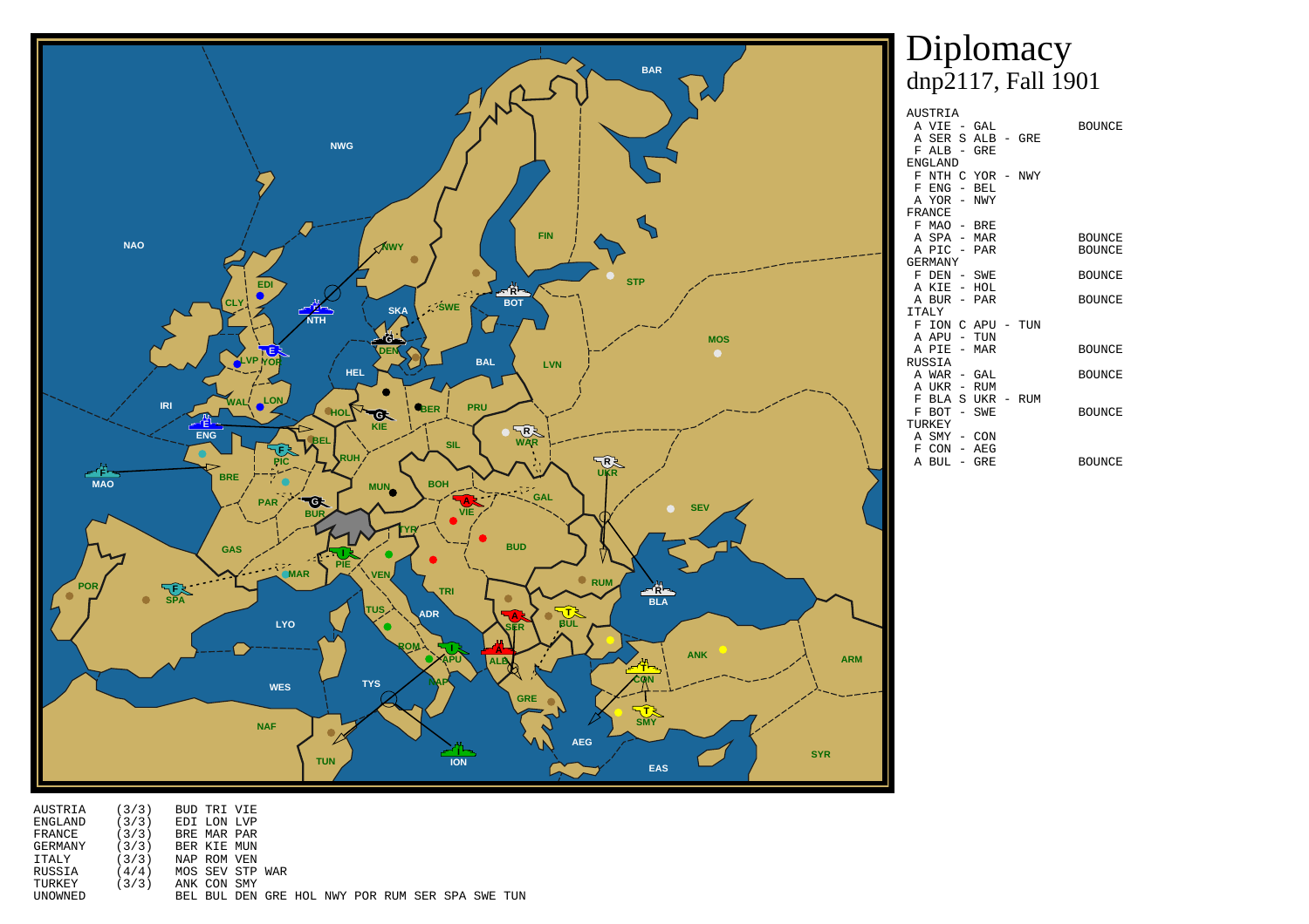

 A VIE - GAL BOUNCE A SER S ALB - GRE F ALB - GRE ENGLAND F NTH C YOR - NWY F ENG - BEL A YOR - NWY FRANCE F MAO - BRE A SPA - MAR BOUNCE**BOUNCE** A PIC - PAR GERMANY F DEN - SWE BOUNCE A KIE - HOL A BUR - PAR BOUNCEITALY F ION C APU - TUN A APU - TUN A PIE - MAR BOUNCERUSSIA A WAR - GAL BOUNCE A UKR - RUM F BLA S UKR - RUM F BOT - SWE BOUNCE TURKEY A SMY - CON F CON - AEG A BUL - GRE BOUNCE

| AUSTRIA<br>ENGLAND<br>FRANCE<br>GERMANY<br>ITALY<br>RUSSIA<br>TURKEY<br>UNOWNED | (3/3)<br>(3/3)<br>(3/3)<br>(3/3)<br>(3/3)<br>(4/4)<br>(3/3) | BUD TRI VIE<br>EDI LON LVP<br>BRE MAR PAR<br>BER KIE MUN<br>NAP ROM VEN<br>MOS SEV STP WAR<br>ANK CON SMY |  | BEL BUL DEN GRE HOL NWY POR RUM SER SPA SWE TUN |  |  |  |
|---------------------------------------------------------------------------------|-------------------------------------------------------------|-----------------------------------------------------------------------------------------------------------|--|-------------------------------------------------|--|--|--|
|                                                                                 |                                                             |                                                                                                           |  |                                                 |  |  |  |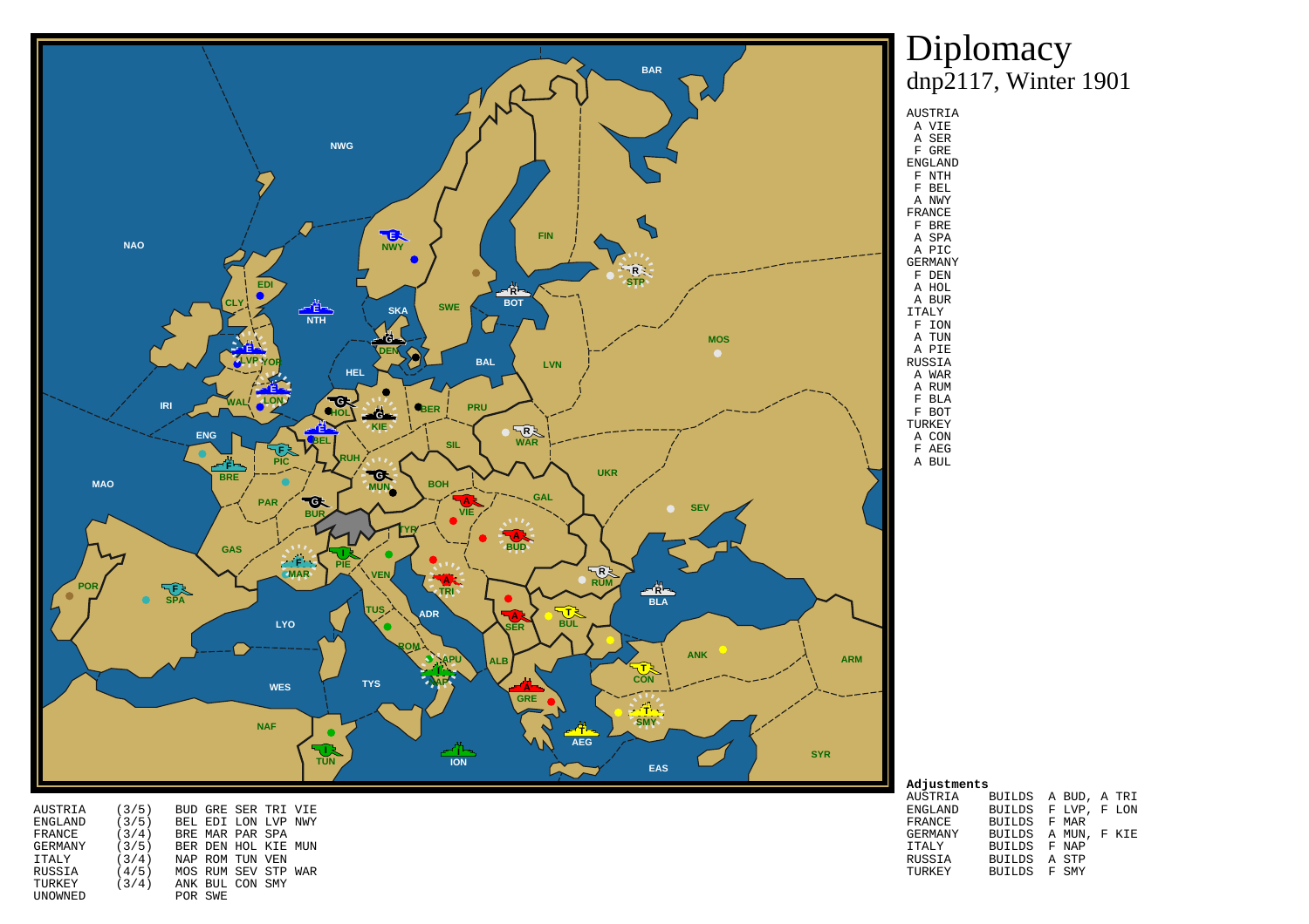

| AUSTRIA        | (3/5)        | BUD GRE SER TRI VIE |  |  |
|----------------|--------------|---------------------|--|--|
| ENGLAND        | (3/5)        | BEL EDI LON LVP NWY |  |  |
| $FRANCE$ (3/4) |              | BRE MAR PAR SPA     |  |  |
| GERMANY (3/5)  |              | BER DEN HOL KIE MUN |  |  |
| $ITALY$ (3/4)  |              | NAP ROM TUN VEN     |  |  |
| RUSSIA (4/5)   |              | MOS RUM SEV STP WAR |  |  |
|                | TURKEY (3/4) | ANK BUL CON SMY     |  |  |
| UNOWNED        |              | POR SWE             |  |  |

| Adjustments    |               |              |
|----------------|---------------|--------------|
| AUSTRIA        | <b>BUILDS</b> | A BUD, A TRI |
| <b>ENGLAND</b> | <b>BUILDS</b> | F LVP, F LON |
| FRANCE         | <b>BUILDS</b> | MAR<br>F     |
| GERMANY        | <b>BUILDS</b> | A MUN, F KIE |
| <b>ITALY</b>   | <b>BUILDS</b> | F NAP        |
| RUSSIA         | <b>BUILDS</b> | A STP        |
| TURKEY         | <b>BUILDS</b> | F SMY        |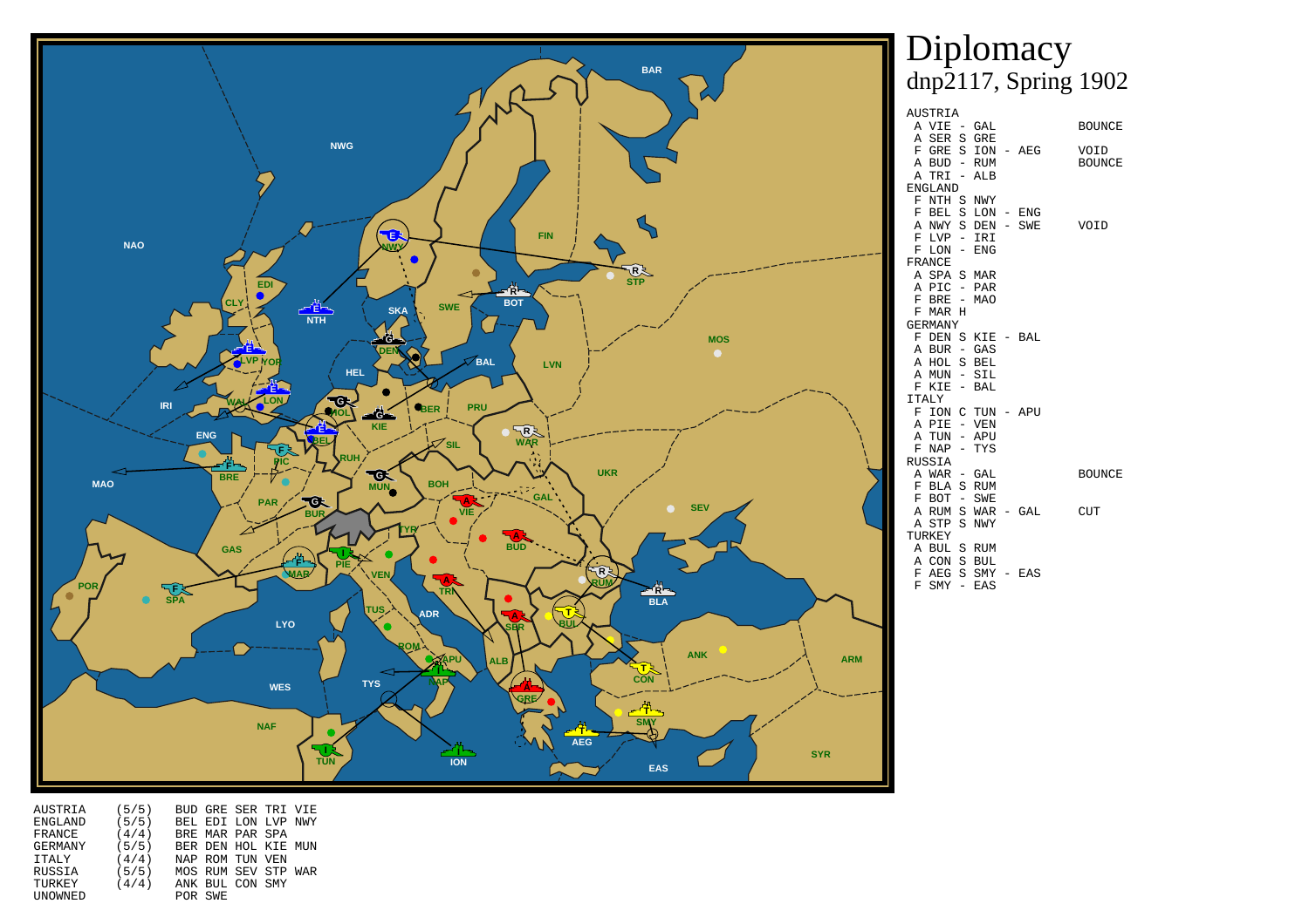

|   | A VIE - GAL  |     |                   |     | <b>BOUNCE</b> |
|---|--------------|-----|-------------------|-----|---------------|
|   | A SER S GRE  |     |                   |     |               |
|   |              |     | F GRE S ION - AEG |     | VOID          |
|   | A BUD - RUM  |     |                   |     | <b>BOUNCE</b> |
|   | A TRI - ALB  |     |                   |     |               |
|   | ENGLAND      |     |                   |     |               |
|   | F NTH S NWY  |     |                   |     |               |
|   |              |     | F BEL S LON - ENG |     |               |
|   |              |     | A NWY S DEN - SWE |     | VOID          |
|   | F LVP - IRI  |     |                   |     |               |
|   | F LON - ENG  |     |                   |     |               |
|   | FRANCE       |     |                   |     |               |
|   | A SPA S MAR  |     |                   |     |               |
|   | A PIC - PAR  |     |                   |     |               |
|   | F BRE - MAO  |     |                   |     |               |
|   | F MAR H      |     |                   |     |               |
|   | GERMANY      |     |                   |     |               |
|   |              |     | F DEN S KIE - BAL |     |               |
|   | A BUR - GAS  |     |                   |     |               |
|   | A HOL S BEL  |     |                   |     |               |
|   | A MUN - SIL  |     |                   |     |               |
|   | F KIE - BAL  |     |                   |     |               |
|   | <b>ITALY</b> |     |                   |     |               |
|   |              |     | F ION C TUN - APU |     |               |
|   | A PIE - VEN  |     |                   |     |               |
|   | A TUN - APU  |     |                   |     |               |
|   | F NAP - TYS  |     |                   |     |               |
|   | RUSSIA       |     |                   |     |               |
|   | A WAR - GAL  |     |                   |     | <b>BOUNCE</b> |
|   | F BLA S RUM  |     |                   |     |               |
|   | F BOT - SWE  |     |                   |     |               |
|   |              |     | A RUM S WAR - GAL |     | <b>CUT</b>    |
|   | A STP S NWY  |     |                   |     |               |
|   | TURKEY       |     |                   |     |               |
|   | A BUL S RUM  |     |                   |     |               |
|   | A CON S BUL  |     |                   |     |               |
|   |              |     | F AEG S SMY -     | EAS |               |
| F | SMY          | $-$ | EAS               |     |               |

| AUSTRIA        | (5/5) | BUD GRE SER TRI VIE |  |  |
|----------------|-------|---------------------|--|--|
| <b>ENGLAND</b> | (5/5) | BEL EDI LON LVP NWY |  |  |
| FRANCE         | (4/4) | BRE MAR PAR SPA     |  |  |
| <b>GERMANY</b> | (5/5) | BER DEN HOL KIE MUN |  |  |
| <b>ITALY</b>   | (4/4) | NAP ROM TUN VEN     |  |  |
| RUSSIA         | (5/5) | MOS RUM SEV STP WAR |  |  |
| TURKEY         | (4/4) | ANK BUL CON SMY     |  |  |
| UNOWNED        |       | POR SWE             |  |  |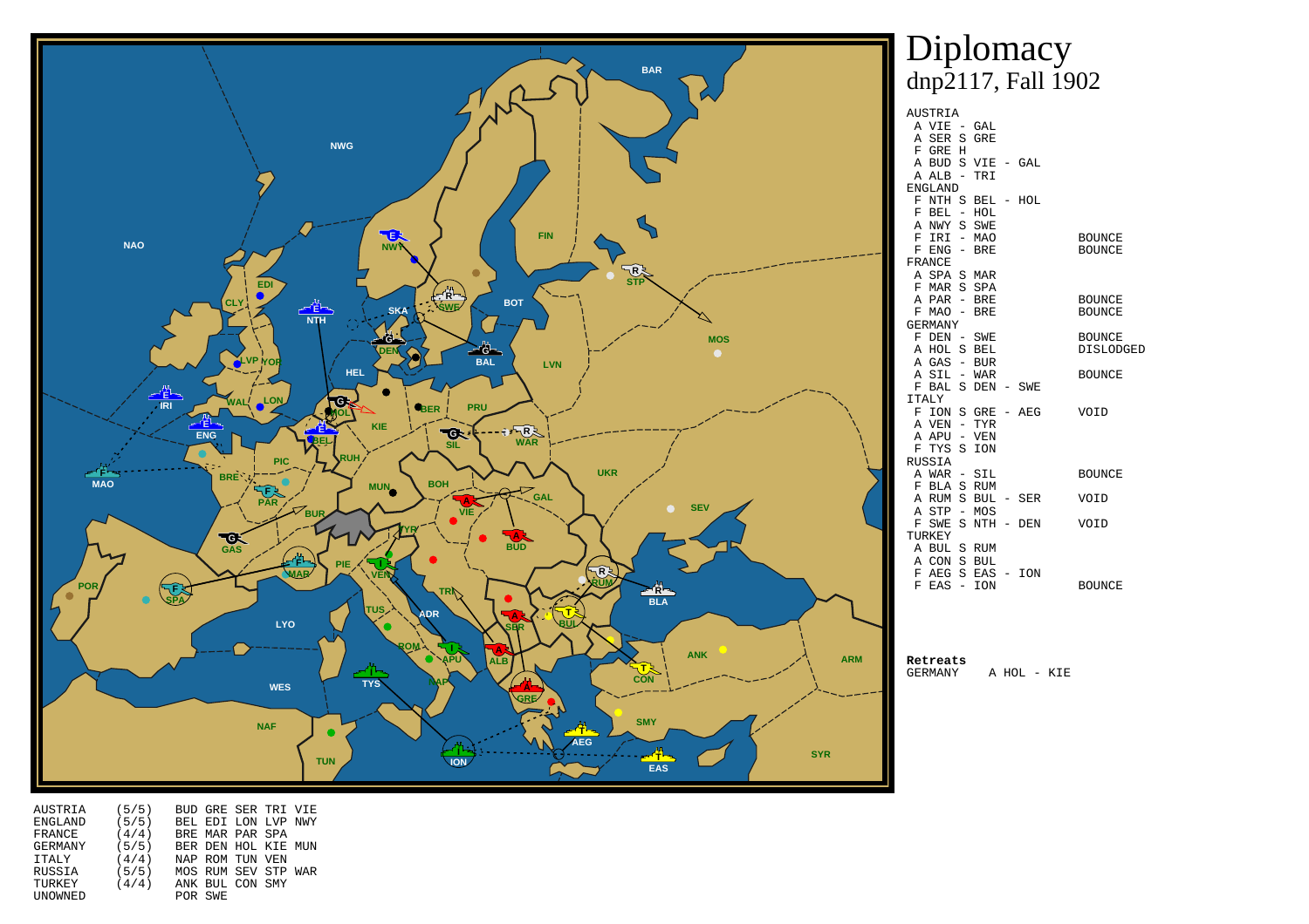

AUSTRIA (5/5) BUD GRE SER TRI VIE ENGLAND (5/5) BEL EDI LON LVP NWYFRANCE (4/4) BRE MAR PAR SPA GERMANY (5/5) BER DEN HOL KIE MUNITALY (4/4) NAP ROM TUN VEN RUSSIA (5/5) MOS RUM SEV STP WARTURKEY (4/4) ANK BUL CON SMYUNOWNED POR SWE

## Diplomacydnp2117, Fall 1902

 $A$  ALB - TRI F NTH S BEL - HOL F BEL - HOL A NWY S SWE F IRI - MAO BOUNCE**BOUNCE**  $F$  ENG - BRE A SPA S MAR F MAR S SPA A PAR - BRE BOUNCE**BOUNCE**  $F$  MAO - BRE F DEN – SWE BOUNCE DISLODGED A HOL S BEL A GAS - BUR A SIL - WAR BOUNCE F BAL S DEN - SWE F ION S GRE - AEG VOID A VEN - TYR A APU - VEN F TYS S ION A WAR - SIL BOUNCE F BLA S RUM A RUM S BUL - SER VOID A STP - MOS F SWE S NTH - DEN VOID A BUL S RUM A CON S BUL F AEG S EAS - ION F EAS - ION BOUNCE

GERMANY GERMANY A HOL - KIE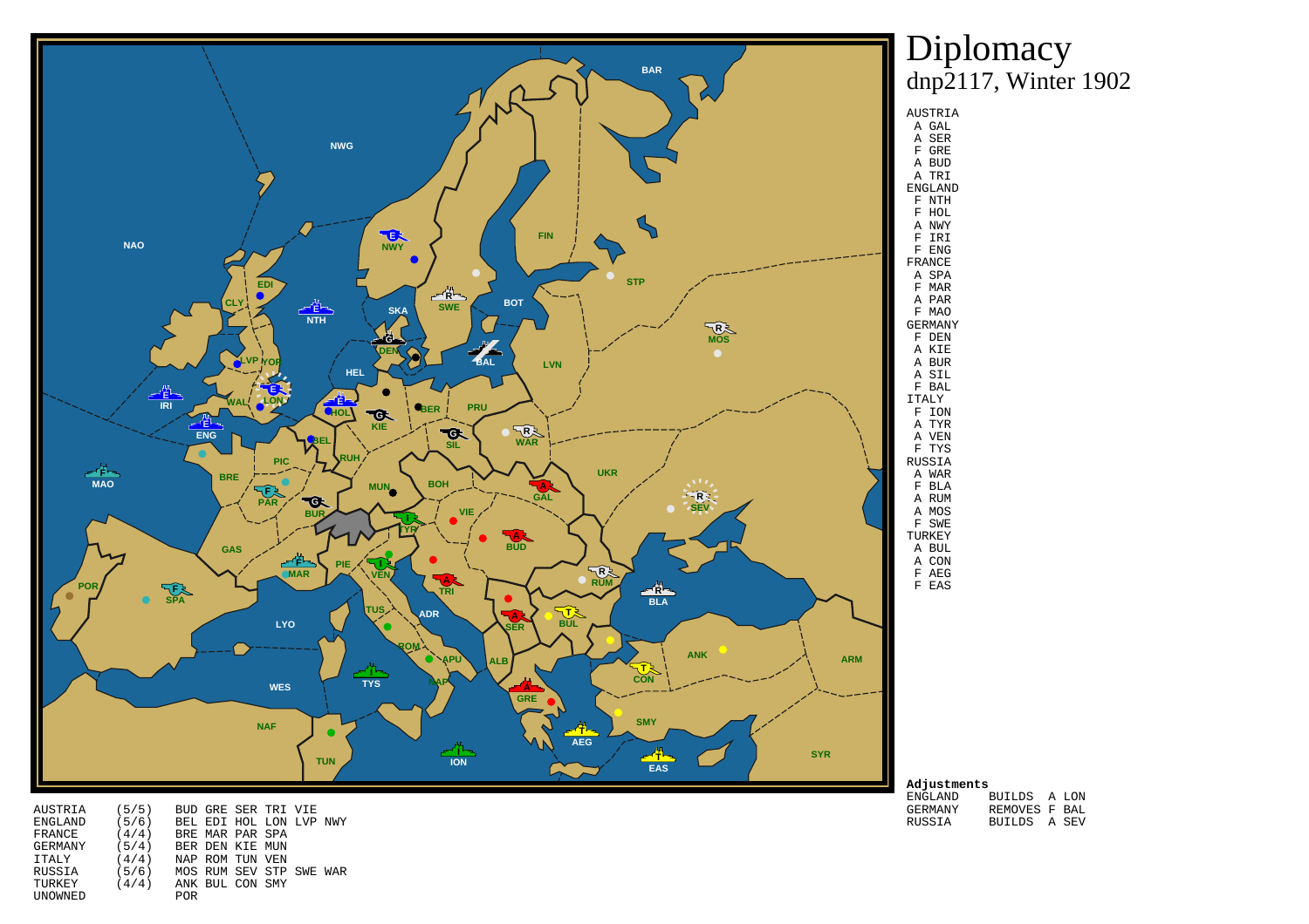

AUSTRIA (5/5) BUD GRE SER TRI VIE ENGLAND (5/6) BEL EDI HOL LON LVP NWYFRANCE (4/4) BRE MAR PAR SPA GERMANY (5/4) BER DEN KIE MUN ITALY (4/4) NAP ROM TUN VEN RUSSIA (5/6) MOS RUM SEV STP SWE WARTURKEY (4/4) ANK BUL CON SMYUNOWNED POR

## Diplomacydnp2117, Winter 1902

**Adjustments**BUILDS A LON GERMANY REMOVES F BALRUSSIA BUILDS A SEV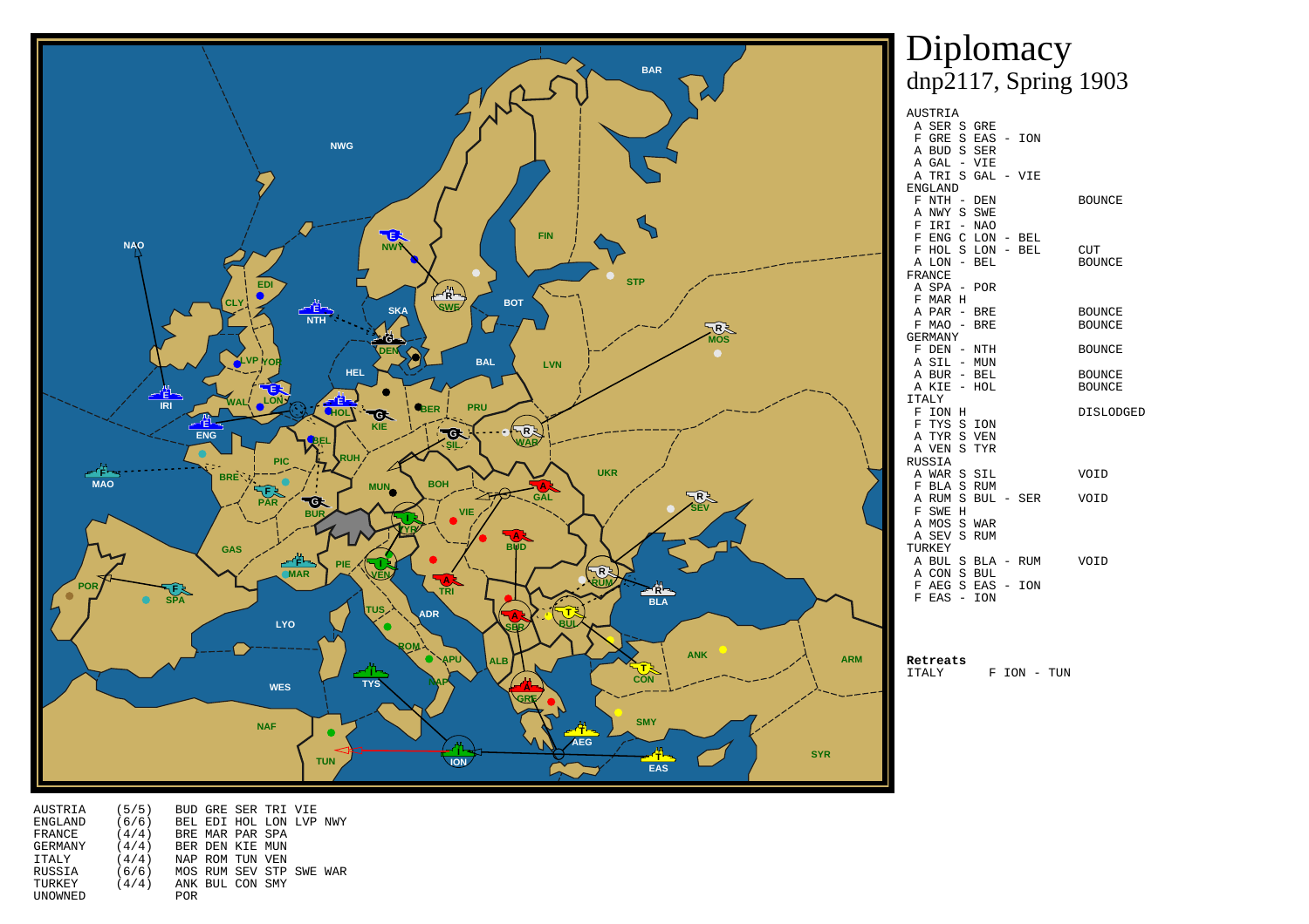

 A SER S GRE F GRE S EAS - ION A BUD S SER A GAL - VIE A TRI S GAL - VIE ENGLAND F NTH - DEN BOUNCE A NWY S SWE F IRI - NAO F ENG C LON - BEL F HOL S LON - BEL CUT**BOUNCE**  $A$  LON - BEL FRANCE A SPA - POR F MAR H A PAR - BRE BOUNCE**BOUNCE**  $F$  MAO - BRE GERMANY F DEN - NTH BOUNCE A SIL - MUN A BUR - BEL BOUNCE**BOUNCE** A KIE - HOL ITALYF ION H DISLODGED F TYS S ION A TYR S VEN A VEN S TYR RUSSIA A WAR S SIL VOID F BLA S RUM A RUM S BUL - SER VOID F SWE H A MOS S WAR A SEV S RUM TURKEY A BUL S BLA - RUM VOID A CON S BUL F AEG S EAS - ION F EAS - ION

**Retreats**ITALY F ION - TUN

AUSTRIA (5/5) BUD GRE SER TRI VIE ENGLAND (6/6) BEL EDI HOL LON LVP NWYFRANCE (4/4) BRE MAR PAR SPA GERMANY (4/4) BER DEN KIE MUN ITALY (4/4) NAP ROM TUN VEN RUSSIA (6/6) MOS RUM SEV STP SWE WARTURKEY (4/4) ANK BUL CON SMYUNOWNED POR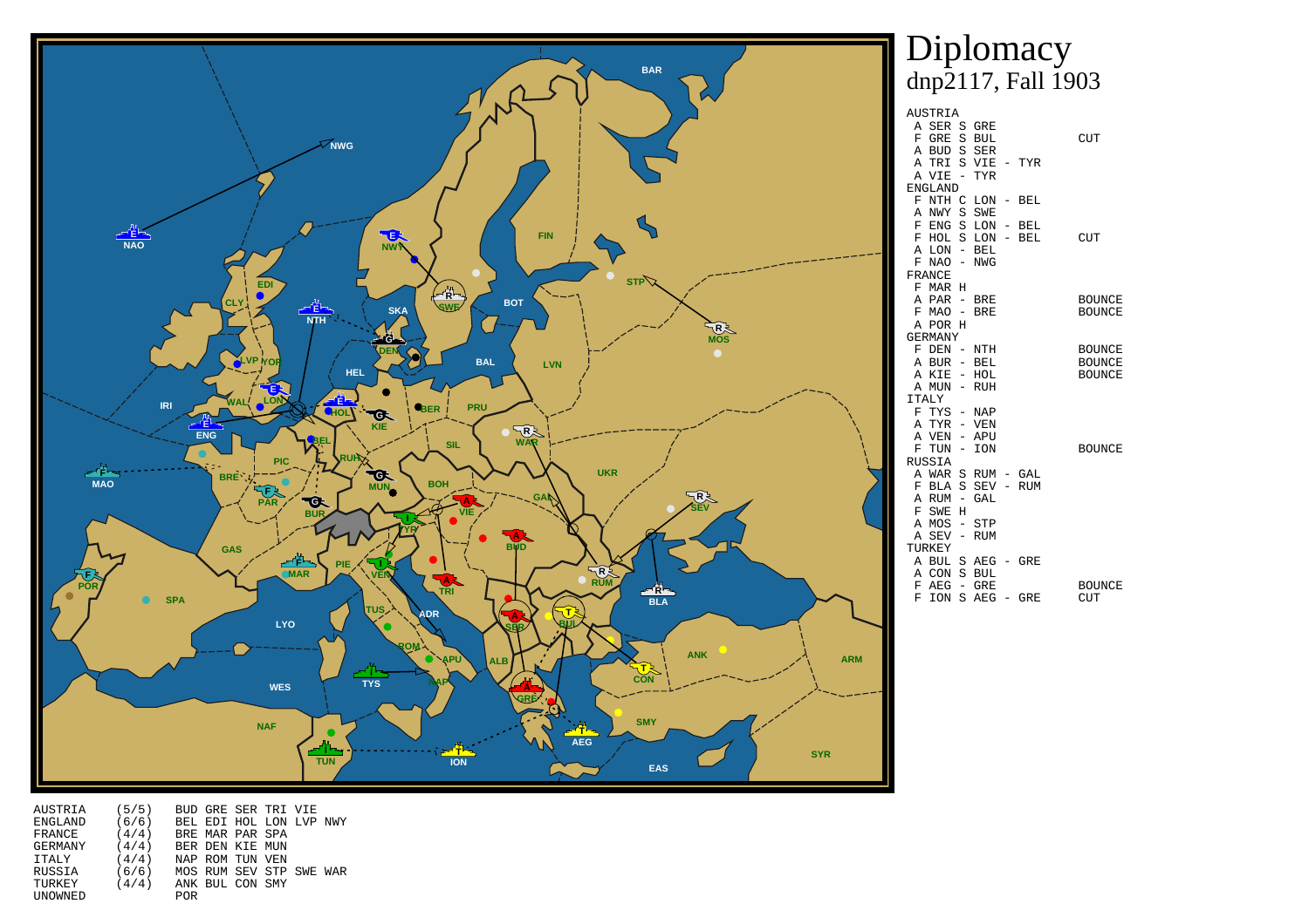

 F GRE S BUL CUT A BUD S SER A TRI S VIE - TYR A VIE - TYR ENGLAND F NTH C LON - BEL A NWY S SWE F ENG S LON - BEL F HOL S LON - BEL CUT A LON - BEL F NAO - NWG FRANCE F MAR H A PAR - BRE BOUNCE**BOUNCE**  $F$  MAO - BRE A POR H GERMANY F DEN - NTH BOUNCE**BOUNCE**  $A$  BUR - BEL **BOUNCE** A KIE - HOL A MUN - RUH ITALY F TYS - NAP A TYR - VEN A VEN - APU F TUN - ION BOUNCERUSSIA A WAR S RUM - GAL F BLA S SEV - RUM A RUM - GAL F SWE H A MOS - STP A SEV - RUM TURKEY A BUL S AEG - GRE A CON S BUL F AEG - GRE BOUNCEF ION S AEG - GRE CUT

AUSTRIA (5/5) BUD GRE SER TRI VIE ENGLAND (6/6) BEL EDI HOL LON LVP NWYFRANCE (4/4) BRE MAR PAR SPA GERMANY (4/4) BER DEN KIE MUN ITALY (4/4) NAP ROM TUN VEN RUSSIA (6/6) MOS RUM SEV STP SWE WARTURKEY (4/4) ANK BUL CON SMYUNOWNED POR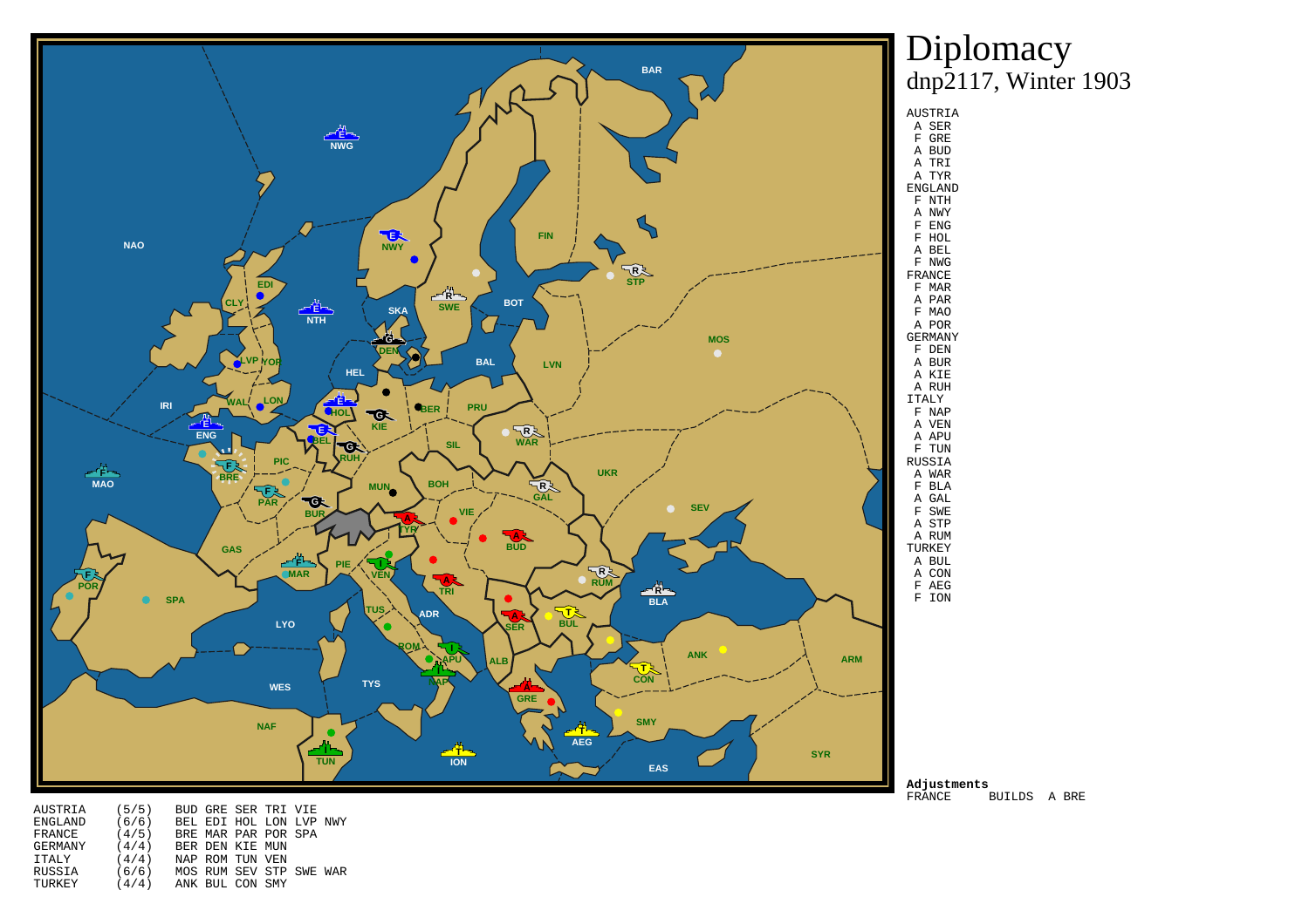

AUSTRIA (5/5) BUD GRE SER TRI VIE ENGLAND (6/6) BEL EDI HOL LON LVP NWYFRANCE (4/5) BRE MAR PAR POR SPAGERMANY (4/4) BER DEN KIE MUN ITALY (4/4) NAP ROM TUN VEN RUSSIA (6/6) MOS RUM SEV STP SWE WARTURKEY (4/4) ANK BUL CON SMY

**Adjustments**BUILDS A BRE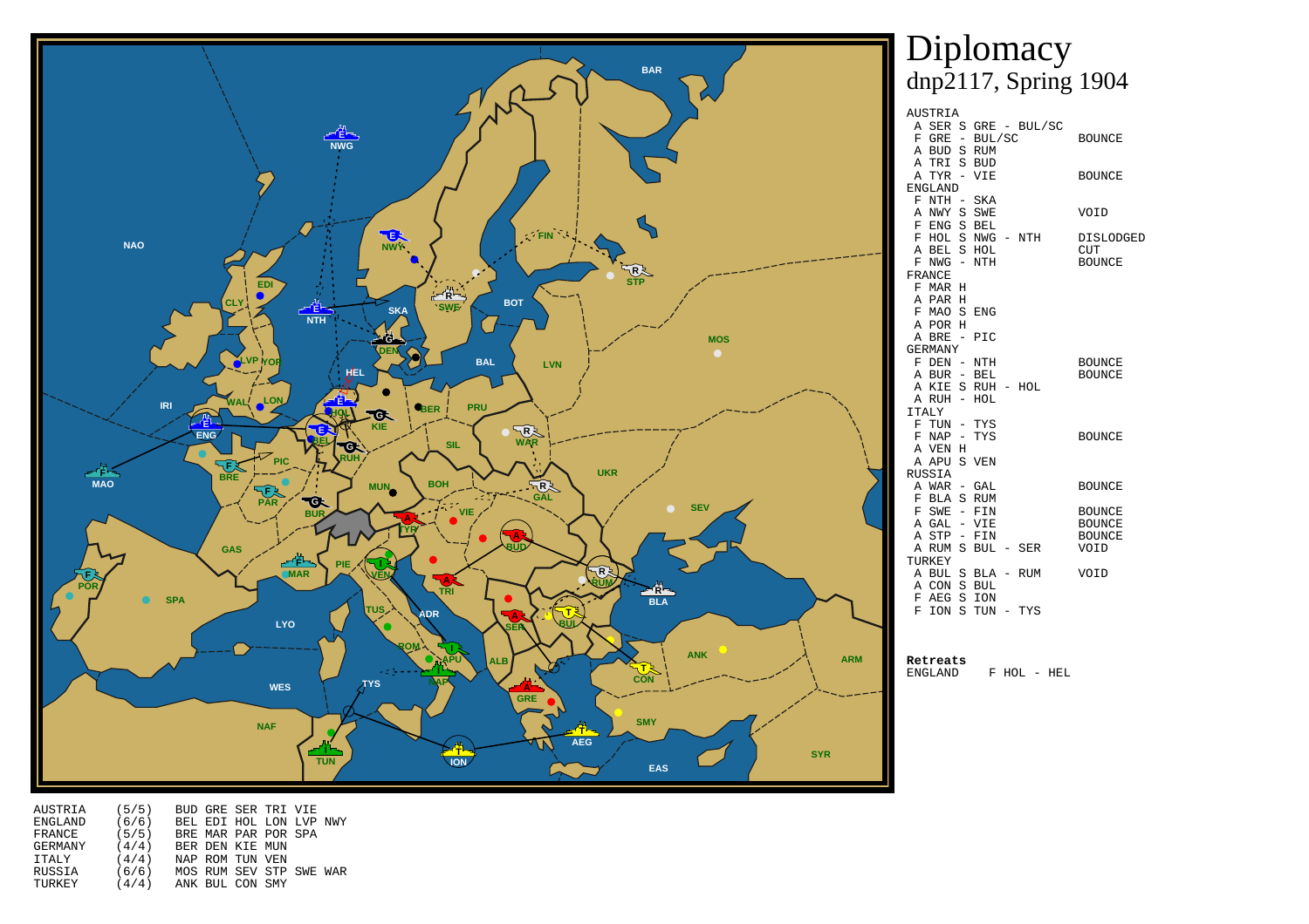

|    | AUSIRIA     |                 |                      |               |
|----|-------------|-----------------|----------------------|---------------|
|    |             |                 | A SER S GRE - BUL/SC |               |
|    |             | F GRE - BUL/SC  |                      | BOUNCE        |
|    | A BUD S RUM |                 |                      |               |
|    |             | A TRI S BUD     |                      |               |
|    | A TYR - VIE |                 |                      | <b>BOUNCE</b> |
|    | ENGLAND     |                 |                      |               |
|    | F NTH - SKA |                 |                      |               |
|    | A NWY S SWE |                 |                      | VOID          |
|    |             | F ENG S BEL     |                      |               |
|    |             |                 | F HOL S NWG - NTH    | DISLODGED     |
|    |             | A BEL S HOL     |                      | CUT           |
|    |             | F NWG - NTH     |                      | <b>BOUNCE</b> |
|    | FRANCE      |                 |                      |               |
|    | F MAR H     |                 |                      |               |
|    | A PAR H     |                 |                      |               |
|    |             | F MAO S ENG     |                      |               |
|    | A POR H     |                 |                      |               |
|    | A BRE - PIC |                 |                      |               |
|    | GERMANY     |                 |                      |               |
|    | F DEN - NTH |                 |                      | <b>BOUNCE</b> |
|    |             | A BUR - BEL     |                      | <b>BOUNCE</b> |
|    |             |                 | A KIE S RUH - HOL    |               |
|    | A RUH - HOL |                 |                      |               |
|    | ITALY       |                 |                      |               |
|    | F TUN - TYS |                 |                      |               |
|    | F NAP - TYS |                 |                      | <b>BOUNCE</b> |
|    | A VEN H     |                 |                      |               |
|    | A APU S VEN |                 |                      |               |
|    | RUSSIA      |                 |                      |               |
|    | A WAR - GAL |                 |                      | <b>BOUNCE</b> |
|    | F BLA       | S RUM           |                      |               |
|    |             | $F$ SWE - $FIN$ |                      | <b>BOUNCE</b> |
|    | A GAL - VIE |                 |                      | <b>BOUNCE</b> |
|    |             | A STP - FIN     |                      | <b>BOUNCE</b> |
|    | A RUM S     |                 | BUL - SER            | VOID          |
|    | TURKEY      |                 |                      |               |
|    |             |                 | A BUL S BLA - RUM    | VOID          |
|    |             | A CON S BUL     |                      |               |
|    |             | F AEG S ION     |                      |               |
| F. |             | ION S TUN - TYS |                      |               |
|    |             |                 |                      |               |

**Retreats**ENGLAND F HOL - HEL

AUSTRIA (5/5) BUD GRE SER TRI VIE ENGLAND (6/6) BEL EDI HOL LON LVP NWYFRANCE (5/5) BRE MAR PAR POR SPAGERMANY (4/4) BER DEN KIE MUN ITALY (4/4) NAP ROM TUN VEN RUSSIA (6/6) MOS RUM SEV STP SWE WARTURKEY (4/4) ANK BUL CON SMY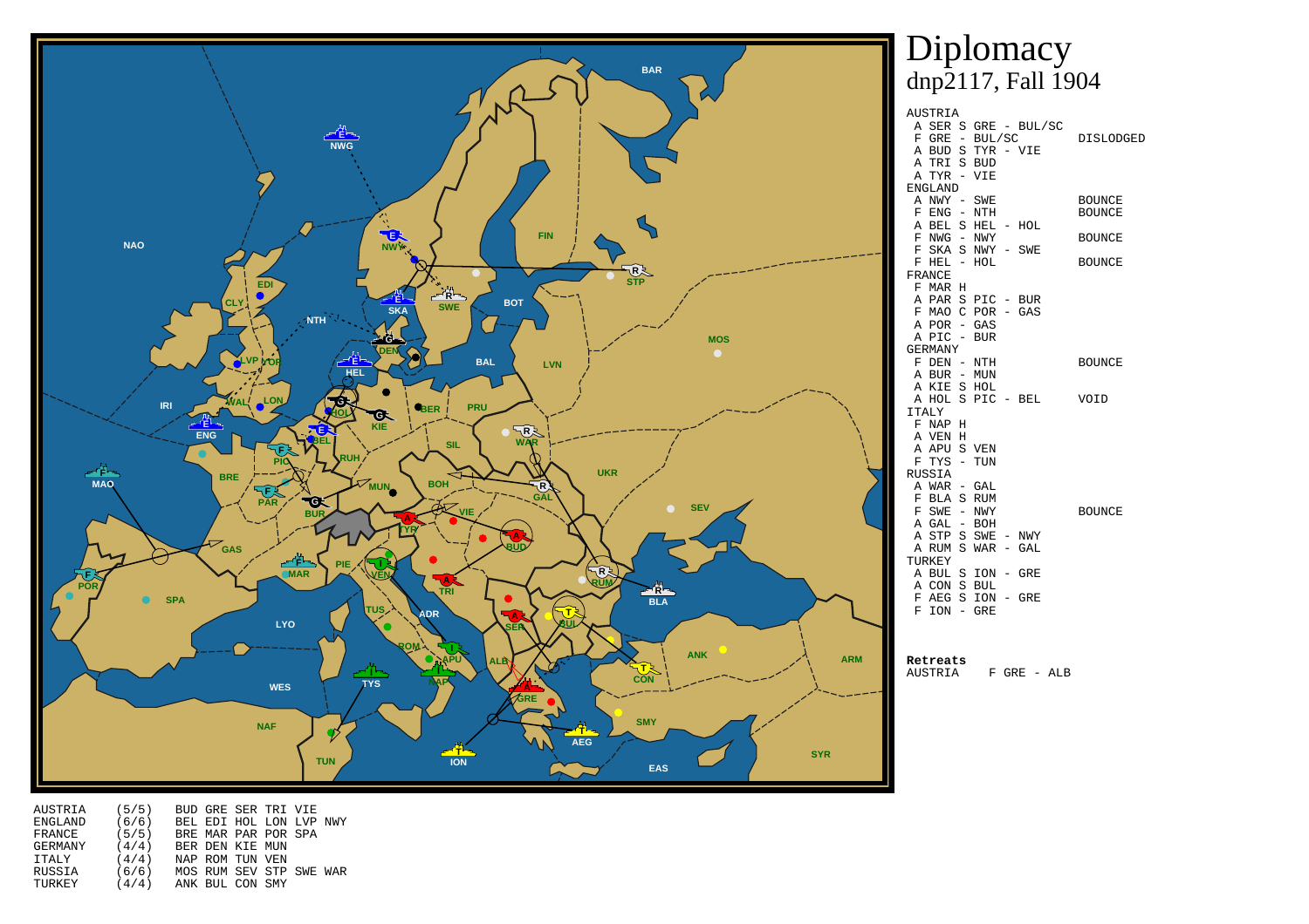

 A SER S GRE - BUL/SC F GRE - BUL/SC DISLODGED A BUD S TYR - VIE A TRI S BUD A TYR - VIE ENGLANDA NWY - SWE BOUNCE **BOUNCE**  $F$  ENG - NTH A BEL S HEL - HOL F NWG - NWY BOUNCE F SKA S NWY - SWE F HEL - HOL BOUNCE FRANCE F MAR H A PAR S PIC - BUR F MAO C POR - GAS A POR - GAS A PIC - BUR GERMANY F DEN - NTH BOUNCE A BUR - MUN A KIE S HOL A HOL S PIC - BEL VOIDITALY F NAP H A VEN H A APU S VEN F TYS - TUN RUSSIA A WAR - GAL F BLA S RUM F SWE - NWY BOUNCE A GAL - BOH A STP S SWE - NWY A RUM S WAR - GAL TURKEY A BUL S ION - GRE A CON S BUL F AEG S ION - GRE F ION - GRE

**Retreats**AUSTRIA F GRE - ALB

AUSTRIA (5/5) BUD GRE SER TRI VIE ENGLAND (6/6) BEL EDI HOL LON LVP NWYFRANCE (5/5) BRE MAR PAR POR SPAGERMANY (4/4) BER DEN KIE MUN<br>ITALY (4/4) NAP ROM TUN VEN ITALY (4/4) NAP ROM TUN VEN RUSSIA (6/6) MOS RUM SEV STP SWE WARTURKEY (4/4) ANK BUL CON SMY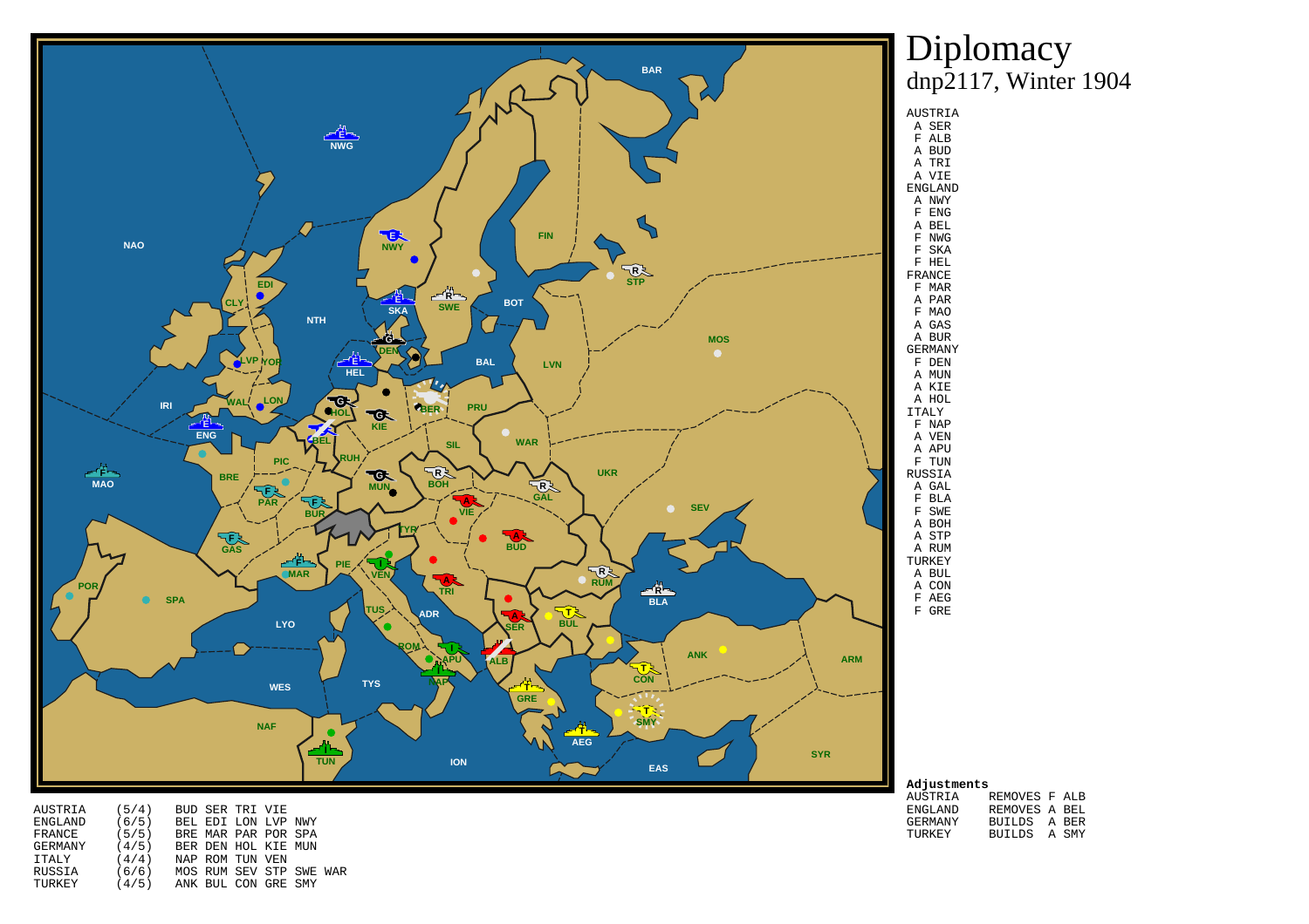

| AUSTRIA      | (5/4) | BUD SER TRI VIE         |  |  |  |
|--------------|-------|-------------------------|--|--|--|
| ENGLAND      | (6/5) | BEL EDI LON LVP NWY     |  |  |  |
| FRANCE       | (5/5) | BRE MAR PAR POR SPA     |  |  |  |
| GERMANY      | (4/5) | BER DEN HOL KIE MUN     |  |  |  |
| ITALY        | (4/4) | NAP ROM TUN VEN         |  |  |  |
| RUSSIA (6/6) |       | MOS RUM SEV STP SWE WAR |  |  |  |
| TURKEY       | (4/5) | ANK BUL CON GRE SMY     |  |  |  |

| Adjustments    |               |  |       |  |  |  |  |  |  |
|----------------|---------------|--|-------|--|--|--|--|--|--|
| AUSTRIA        | REMOVES F ALB |  |       |  |  |  |  |  |  |
| ENGLAND        | REMOVES A BEL |  |       |  |  |  |  |  |  |
| <b>GERMANY</b> | BUILDS A BER  |  |       |  |  |  |  |  |  |
| TURKEY         | BUILDS        |  | A SMY |  |  |  |  |  |  |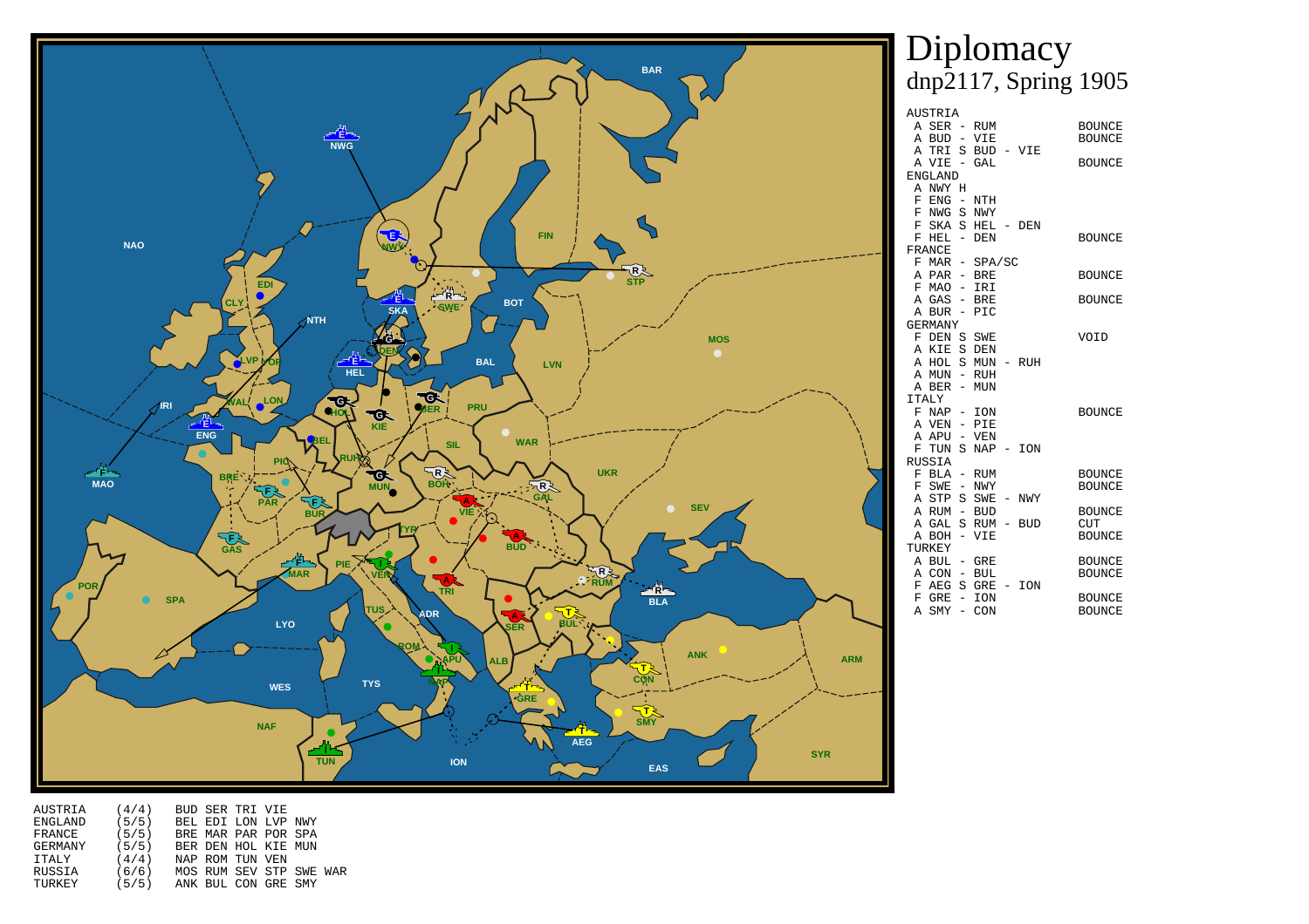

| A SER           |                                       |                                                                                                                                                                                                |                                                                                                                                                                                                                                                                                                 |                                 | <b>BOUNCE</b>                                                                          |
|-----------------|---------------------------------------|------------------------------------------------------------------------------------------------------------------------------------------------------------------------------------------------|-------------------------------------------------------------------------------------------------------------------------------------------------------------------------------------------------------------------------------------------------------------------------------------------------|---------------------------------|----------------------------------------------------------------------------------------|
|                 |                                       |                                                                                                                                                                                                |                                                                                                                                                                                                                                                                                                 |                                 | <b>BOUNCE</b>                                                                          |
| A TRI           |                                       |                                                                                                                                                                                                |                                                                                                                                                                                                                                                                                                 |                                 |                                                                                        |
| VIE<br>A        |                                       | <b>GAL</b>                                                                                                                                                                                     |                                                                                                                                                                                                                                                                                                 |                                 | <b>BOUNCE</b>                                                                          |
|                 |                                       |                                                                                                                                                                                                |                                                                                                                                                                                                                                                                                                 |                                 |                                                                                        |
|                 |                                       |                                                                                                                                                                                                |                                                                                                                                                                                                                                                                                                 |                                 |                                                                                        |
|                 |                                       | NTH                                                                                                                                                                                            |                                                                                                                                                                                                                                                                                                 |                                 |                                                                                        |
|                 |                                       | NWY                                                                                                                                                                                            |                                                                                                                                                                                                                                                                                                 |                                 |                                                                                        |
|                 |                                       |                                                                                                                                                                                                |                                                                                                                                                                                                                                                                                                 |                                 |                                                                                        |
| HEL.            |                                       | DEN                                                                                                                                                                                            |                                                                                                                                                                                                                                                                                                 |                                 | BOUNCE                                                                                 |
| FRANCE          |                                       |                                                                                                                                                                                                |                                                                                                                                                                                                                                                                                                 |                                 |                                                                                        |
|                 |                                       |                                                                                                                                                                                                |                                                                                                                                                                                                                                                                                                 |                                 |                                                                                        |
|                 |                                       |                                                                                                                                                                                                |                                                                                                                                                                                                                                                                                                 |                                 | <b>BOUNCE</b>                                                                          |
|                 | $\frac{1}{2}$                         | IRI                                                                                                                                                                                            |                                                                                                                                                                                                                                                                                                 |                                 |                                                                                        |
|                 |                                       | <b>BRE</b>                                                                                                                                                                                     |                                                                                                                                                                                                                                                                                                 |                                 | <b>BOUNCE</b>                                                                          |
| Α               | $\overline{\phantom{m}}$              |                                                                                                                                                                                                |                                                                                                                                                                                                                                                                                                 |                                 |                                                                                        |
|                 |                                       |                                                                                                                                                                                                |                                                                                                                                                                                                                                                                                                 |                                 |                                                                                        |
|                 |                                       |                                                                                                                                                                                                |                                                                                                                                                                                                                                                                                                 |                                 | VOID                                                                                   |
| A KIE           |                                       |                                                                                                                                                                                                |                                                                                                                                                                                                                                                                                                 |                                 |                                                                                        |
|                 |                                       |                                                                                                                                                                                                |                                                                                                                                                                                                                                                                                                 |                                 |                                                                                        |
|                 |                                       |                                                                                                                                                                                                |                                                                                                                                                                                                                                                                                                 |                                 |                                                                                        |
|                 |                                       | <b>MUN</b>                                                                                                                                                                                     |                                                                                                                                                                                                                                                                                                 |                                 |                                                                                        |
| <b>ITALY</b>    |                                       |                                                                                                                                                                                                |                                                                                                                                                                                                                                                                                                 |                                 |                                                                                        |
|                 |                                       |                                                                                                                                                                                                |                                                                                                                                                                                                                                                                                                 |                                 | <b>BOUNCE</b>                                                                          |
|                 |                                       |                                                                                                                                                                                                |                                                                                                                                                                                                                                                                                                 |                                 |                                                                                        |
| A               |                                       |                                                                                                                                                                                                |                                                                                                                                                                                                                                                                                                 |                                 |                                                                                        |
| F.              |                                       |                                                                                                                                                                                                |                                                                                                                                                                                                                                                                                                 | <b>ION</b>                      |                                                                                        |
|                 |                                       |                                                                                                                                                                                                |                                                                                                                                                                                                                                                                                                 |                                 |                                                                                        |
| F BLA           | -                                     | <b>RUM</b>                                                                                                                                                                                     |                                                                                                                                                                                                                                                                                                 |                                 | <b>BOUNCE</b>                                                                          |
| F SWE           |                                       |                                                                                                                                                                                                |                                                                                                                                                                                                                                                                                                 |                                 | <b>BOUNCE</b>                                                                          |
|                 | S                                     |                                                                                                                                                                                                |                                                                                                                                                                                                                                                                                                 |                                 |                                                                                        |
| A<br><b>RUM</b> | Ξ.                                    | <b>BUD</b>                                                                                                                                                                                     |                                                                                                                                                                                                                                                                                                 |                                 | <b>BOUNCE</b>                                                                          |
|                 |                                       |                                                                                                                                                                                                |                                                                                                                                                                                                                                                                                                 |                                 | <b>CUT</b>                                                                             |
| A BOH           | $\qquad \qquad -$                     |                                                                                                                                                                                                |                                                                                                                                                                                                                                                                                                 |                                 | <b>BOUNCE</b>                                                                          |
|                 |                                       |                                                                                                                                                                                                |                                                                                                                                                                                                                                                                                                 |                                 |                                                                                        |
| A BUL           |                                       |                                                                                                                                                                                                |                                                                                                                                                                                                                                                                                                 |                                 | <b>BOUNCE</b>                                                                          |
| A CON           |                                       | <b>BUL</b>                                                                                                                                                                                     |                                                                                                                                                                                                                                                                                                 |                                 | <b>BOUNCE</b>                                                                          |
| F<br>AEG        | S                                     | GRE                                                                                                                                                                                            |                                                                                                                                                                                                                                                                                                 | <b>ION</b>                      |                                                                                        |
| GRE             |                                       |                                                                                                                                                                                                |                                                                                                                                                                                                                                                                                                 |                                 | <b>BOUNCE</b>                                                                          |
| SMY             |                                       |                                                                                                                                                                                                |                                                                                                                                                                                                                                                                                                 |                                 | <b>BOUNCE</b>                                                                          |
|                 | <b>BUR</b><br><b>RUSSIA</b><br>TURKEY | AUSTRIA<br>A BUD<br><b>ENGLAND</b><br>A NWY H<br>ENG<br>F SKA<br>F MAO<br>GERMANY<br>F DEN<br>A HOL<br>$\overline{\phantom{0}}$<br>A BER<br>F NAP<br>A VEN<br>S<br>TUN<br>A STP<br>S<br>A GAL. | - RUM<br>- VIE<br>S<br>$-$<br>$\equiv$<br>F NWG S<br>S<br>$\sim$<br>A PAR - BRE<br>A GAS -<br>PIC<br>S SWE<br>S<br>DEN<br>S<br>A MUN -<br><b>RUH</b><br>- ION<br>$-$ PIE<br><b>VEN</b><br>APU -<br>NWY<br>$\sim$<br><b>VIE</b><br>- GRE<br>$\overline{\phantom{0}}$<br>ION<br>$-$<br>CON<br>$-$ | SWE<br>$\overline{\phantom{a}}$ | BUD - VIE<br>HEL - DEN<br>$F$ MAR - SPA/SC<br>MUN - RUH<br>NAP -<br>- NWY<br>RUM - BUD |

AUSTRIA (4/4) BUD SER TRI VIE ENGLAND (5/5) BEL EDI LON LVP NWY FRANCE (5/5) BRE MAR PAR POR SPA GERMANY (5/5) BER DEN HOL KIE MUNITALY (4/4) NAP ROM TUN VEN RUSSIA (6/6) MOS RUM SEV STP SWE WARTURKEY (5/5) ANK BUL CON GRE SMY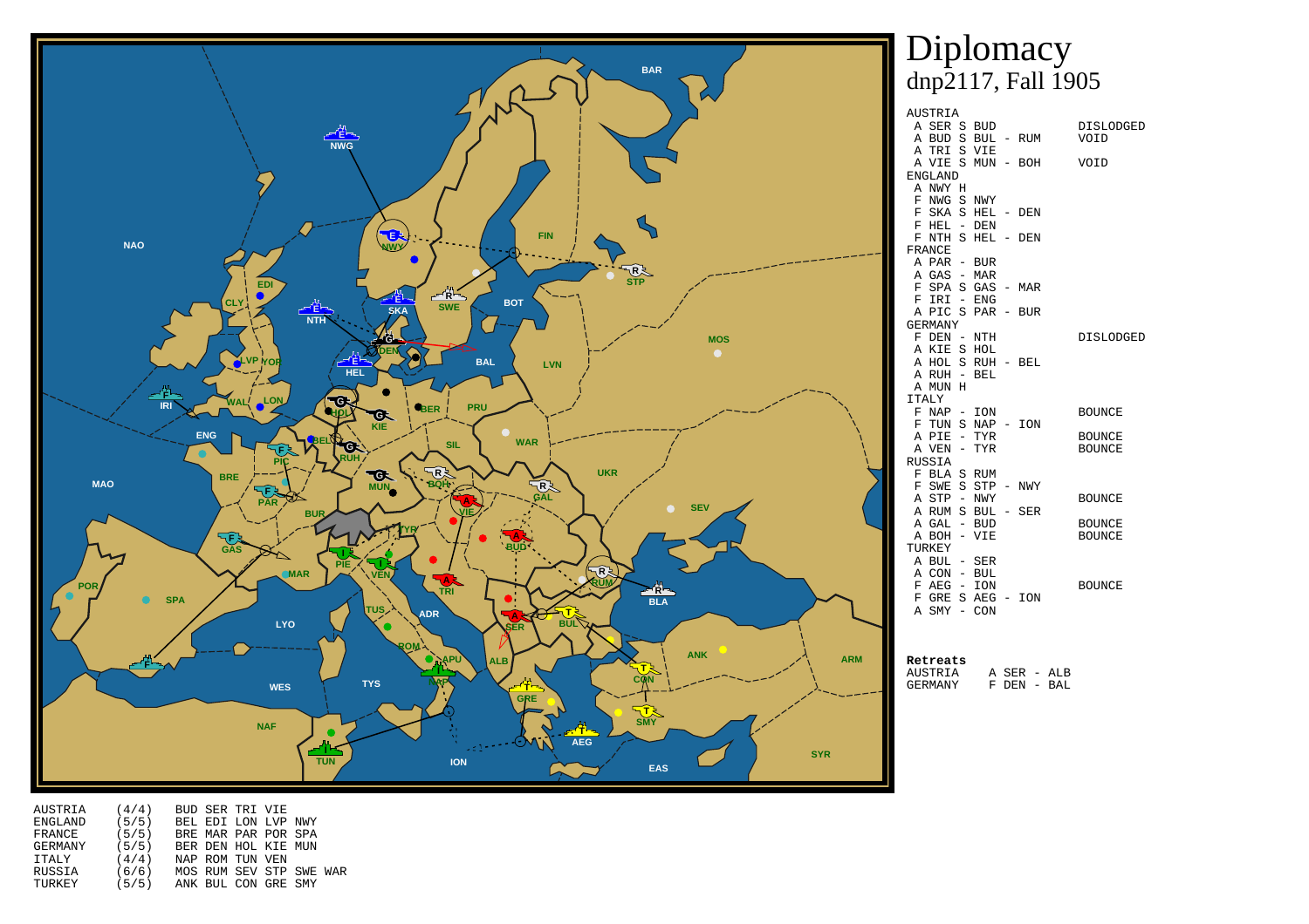

| AUSTRIA           |             |     |               |
|-------------------|-------------|-----|---------------|
| A SER S BUD       |             |     | DISLODGED     |
| A BUD             | S BUL - RUM |     | VOID          |
| A TRI S VIE       |             |     |               |
| A VIE             | S MUN - BOH |     | VOID          |
| <b>ENGLAND</b>    |             |     |               |
| A NWY H           |             |     |               |
| F NWG<br>S        | NWY         |     |               |
| S<br>F SKA        | HEL - DEN   |     |               |
| $F$ HEL $-$       | DEN         |     |               |
| NTH S<br>F        | HEL - DEN   |     |               |
| FRANCE            |             |     |               |
| A PAR - BUR       |             |     |               |
| A GAS - MAR       |             |     |               |
| F SPA S GAS - MAR |             |     |               |
| F IRI - ENG       |             |     |               |
| A PIC S PAR - BUR |             |     |               |
| <b>GERMANY</b>    |             |     |               |
| F DEN - NTH       |             |     | DISLODGED     |
| A KIE S HOL       |             |     |               |
| A HOL S RUH - BEL |             |     |               |
| A RUH - BEL       |             |     |               |
| A MUN H           |             |     |               |
| <b>ITALY</b>      |             |     |               |
| F NAP - ION       |             |     | <b>BOUNCE</b> |
| F TUN S NAP - ION |             |     |               |
| A PIE - TYR       |             |     | <b>BOUNCE</b> |
| A VEN -           | <b>TYR</b>  |     | <b>BOUNCE</b> |
| RUSSIA            |             |     |               |
| F BLA S RUM       |             |     |               |
| F SWE S STP - NWY |             |     |               |
| A STP - NWY       |             |     | <b>BOUNCE</b> |
| A RUM<br>S        | BUL -       | SER |               |
| A GAL - BUD       |             |     | <b>BOUNCE</b> |
| A BOH -           | <b>VIE</b>  |     | <b>BOUNCE</b> |
| TURKEY            |             |     |               |
| A BUL - SER       |             |     |               |
| A CON - BUL       |             |     |               |
| F.<br>$AEG$ –     | ION         |     | <b>BOUNCE</b> |
| GRE<br>F.         | S AEG - ION |     |               |
| $SMY - CON$<br>Α  |             |     |               |
|                   |             |     |               |
|                   |             |     |               |

#### **Retreats**AUSTRIA

A SER - ALB GERMANY F DEN - BAL

AUSTRIA (4/4) BUD SER TRI VIE ENGLAND (5/5) BEL EDI LON LVP NWY FRANCE (5/5) BRE MAR PAR POR SPA GERMANY (5/5) BER DEN HOL KIE MUNITALY (4/4) NAP ROM TUN VEN RUSSIA (6/6) MOS RUM SEV STP SWE WARTURKEY (5/5) ANK BUL CON GRE SMY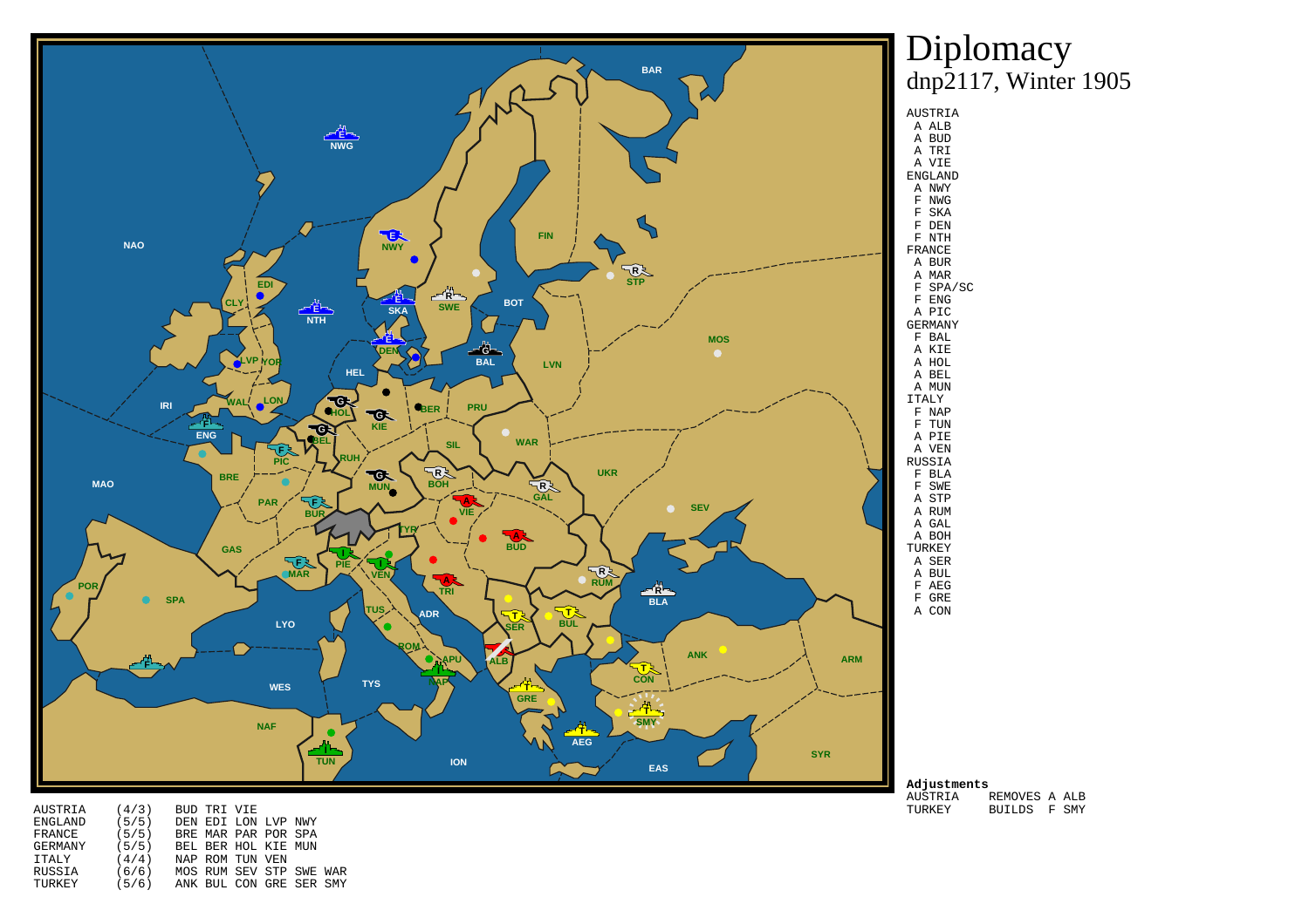

AUSTRIA (4/3) BUD TRI VIE ENGLAND (5/5) DEN EDI LON LVP NWY FRANCE (5/5) BRE MAR PAR POR SPA GERMANY (5/5) BEL BER HOL KIE MUNITALY (4/4) NAP ROM TUN VEN RUSSIA (6/6) MOS RUM SEV STP SWE WARTURKEY (5/6) ANK BUL CON GRE SER SMY **Adjustments**REMOVES A ALB TURKEY BUILDS F SMY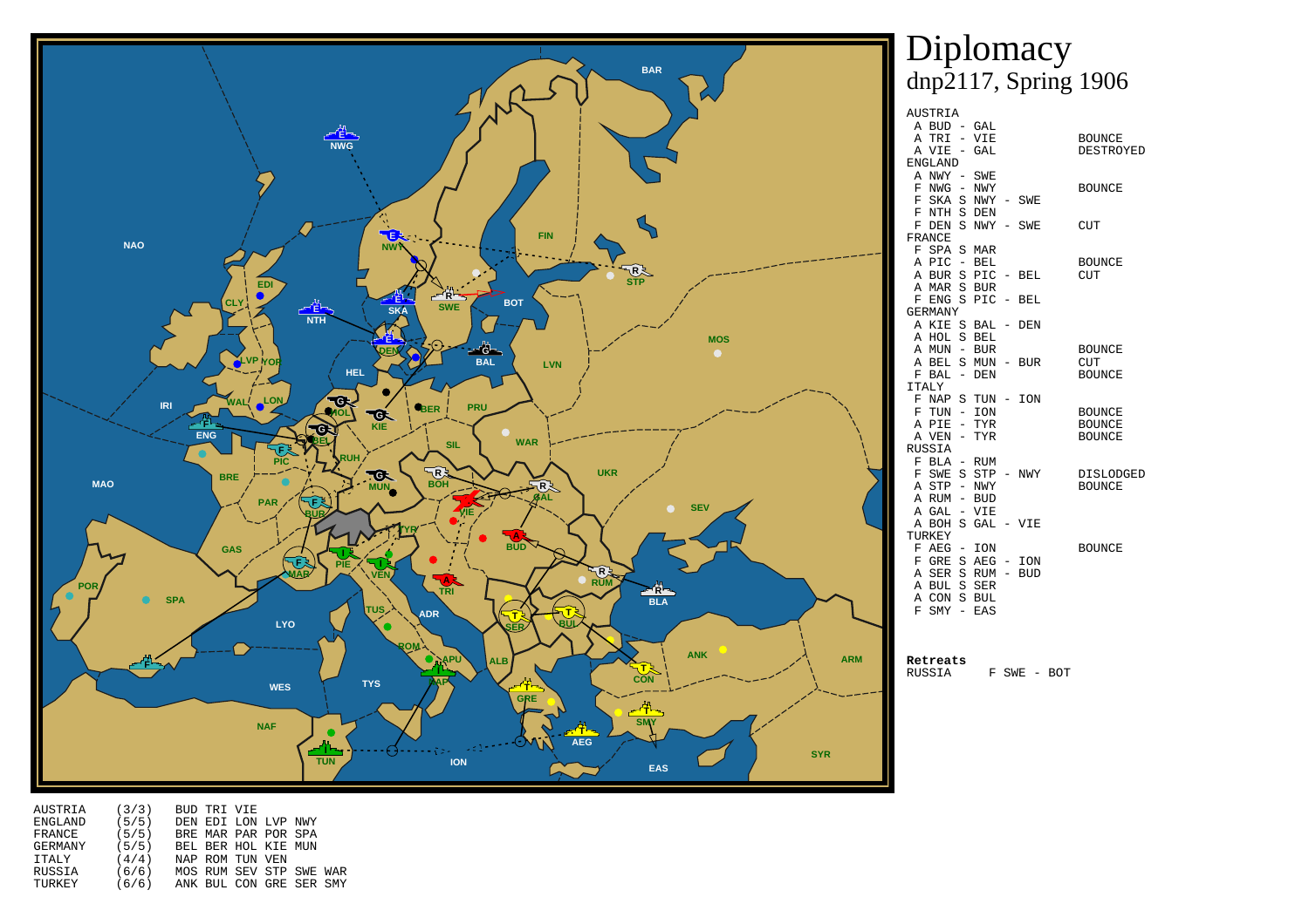

| Α  | BUD -        |   | GAL               |            |               |
|----|--------------|---|-------------------|------------|---------------|
| Α  |              |   | TRI - VIE         |            | <b>BOUNCE</b> |
| Α  | VIE - GAL    |   |                   |            | DESTROYED     |
|    | ENGLAND      |   |                   |            |               |
|    | A NWY -      |   | SWE               |            |               |
|    | F NWG - NWY  |   |                   |            | <b>BOUNCE</b> |
|    |              |   | F SKA S NWY - SWE |            |               |
|    | F NTH S DEN  |   |                   |            |               |
| F  | DEN S        |   | NWY -             | SWE        | <b>CUT</b>    |
|    | FRANCE       |   |                   |            |               |
|    | F SPA S MAR  |   |                   |            |               |
|    | A PIC -      |   | BEL               |            | <b>BOUNCE</b> |
|    |              |   | A BUR S PIC - BEL |            | <b>CUT</b>    |
|    |              |   | A MAR S BUR       |            |               |
|    | F ENG        | S | $PIC -$           | BEL        |               |
|    | GERMANY      |   |                   |            |               |
|    |              |   | A KIE S BAL -     | DEN        |               |
|    | A HOL S BEL  |   |                   |            |               |
|    | A MUN - BUR  |   |                   |            | <b>BOUNCE</b> |
|    |              |   | A BEL S MUN - BUR |            | <b>CUT</b>    |
|    | $F$ BAL $-$  |   | DEN               |            | <b>BOUNCE</b> |
|    | <b>ITALY</b> |   |                   |            |               |
|    |              |   | F NAP S TUN -     | ION        |               |
| F. |              |   | TUN - ION         |            | <b>BOUNCE</b> |
| A  | PIE - TYR    |   |                   |            | <b>BOUNCE</b> |
|    | A VEN -      |   | TYR               |            | <b>BOUNCE</b> |
|    | RUSSIA       |   |                   |            |               |
|    | $F$ BLA -    |   | RUM               |            |               |
|    |              |   | F SWE S STP -     | NWY        | DISLODGED     |
|    | A STP - NWY  |   |                   |            | <b>BOUNCE</b> |
|    | A RUM -      |   | <b>BUD</b>        |            |               |
| A  | GAL -        |   | VIE               |            |               |
| Α  | BOH          | S | GAL - VIE         |            |               |
|    | TURKEY       |   |                   |            |               |
|    | $F$ AEG $-$  |   | ION               |            | <b>BOUNCE</b> |
|    |              |   | F GRE S AEG - ION |            |               |
|    |              |   | A SER S RUM -     | <b>BUD</b> |               |
|    | A BUL S SER  |   |                   |            |               |
|    | A CON S BUL  |   |                   |            |               |
| F  | $SMY -$      |   | EAS               |            |               |
|    |              |   |                   |            |               |
|    |              |   |                   |            |               |

**Retreats**RUSSIA F SWE - BOT

AUSTRIA (3/3) BUD TRI VIE ENGLAND (5/5) DEN EDI LON LVP NWY FRANCE (5/5) BRE MAR PAR POR SPA GERMANY (5/5) BEL BER HOL KIE MUNITALY (4/4) NAP ROM TUN VEN RUSSIA (6/6) MOS RUM SEV STP SWE WARTURKEY (6/6) ANK BUL CON GRE SER SMY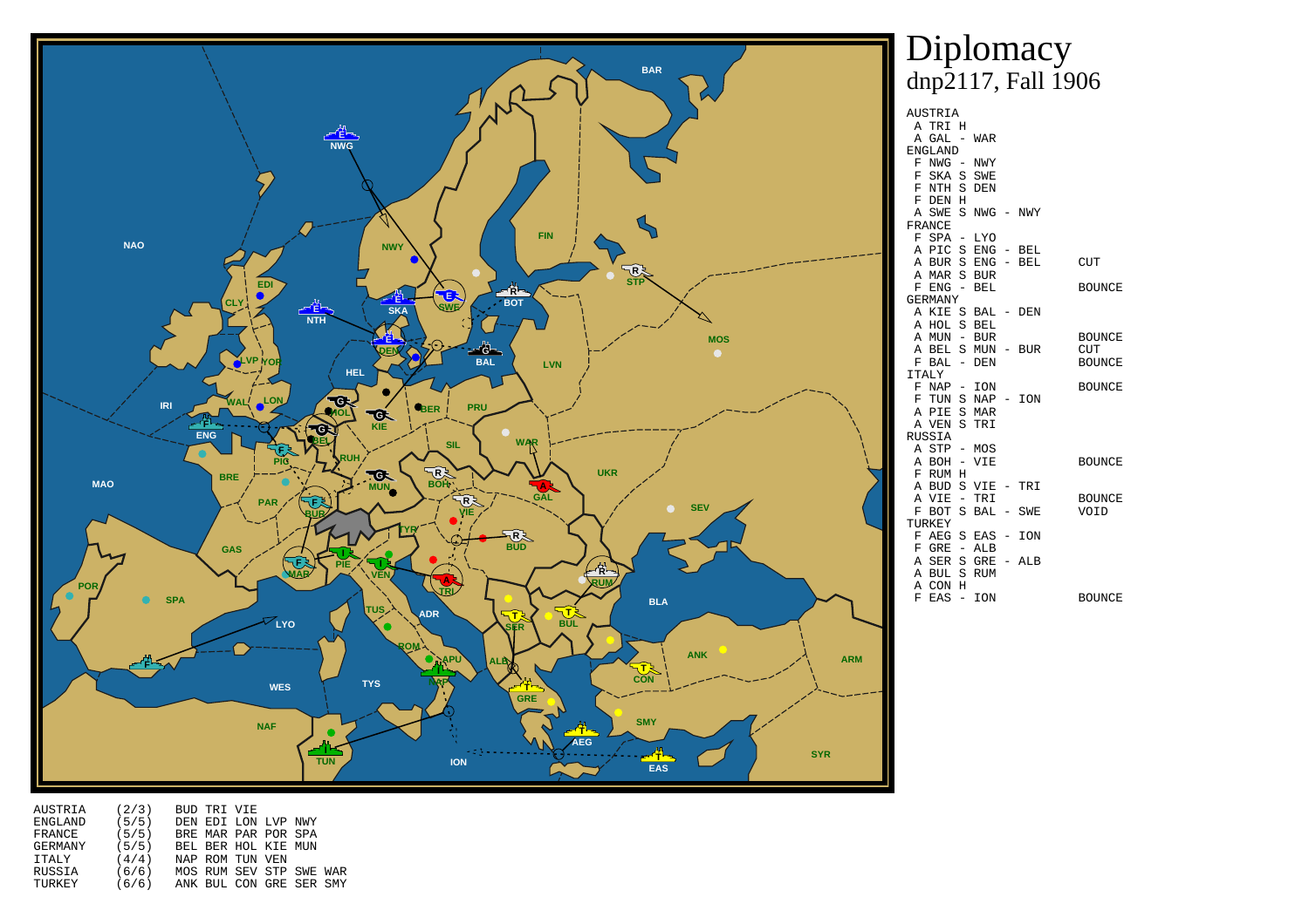

 A TRI H A GAL - WAR ENGLAND F NWG - NWY F SKA S SWE F NTH S DEN F DEN H A SWE S NWG - NWY FRANCE F SPA - LYO A PIC S ENG - BEL A BUR S ENG - BEL CUT A MAR S BUR F ENG - BEL BOUNCEGERMANY A KIE S BAL - DEN A HOL S BEL A MUN - BUR BOUNCE A BEL S MUN - BUR CUT**BOUNCE**  $F$  BAL - DEN ITALY F NAP - ION BOUNCE F TUN S NAP - ION A PIE S MAR A VEN S TRI RUSSIA A STP - MOS A BOH - VIE BOUNCE F RUM H A BUD S VIE - TRI A VIE - TRI BOUNCE F BOT S BAL - SWE VOIDTURKEY F AEG S EAS - ION F GRE - ALB A SER S GRE - ALB A BUL S RUM A CON H F EAS - ION BOUNCE

AUSTRIA (2/3) BUD TRI VIE ENGLAND (5/5) DEN EDI LON LVP NWY FRANCE (5/5) BRE MAR PAR POR SPA GERMANY (5/5) BEL BER HOL KIE MUNITALY (4/4) NAP ROM TUN VEN RUSSIA (6/6) MOS RUM SEV STP SWE WARTURKEY (6/6) ANK BUL CON GRE SER SMY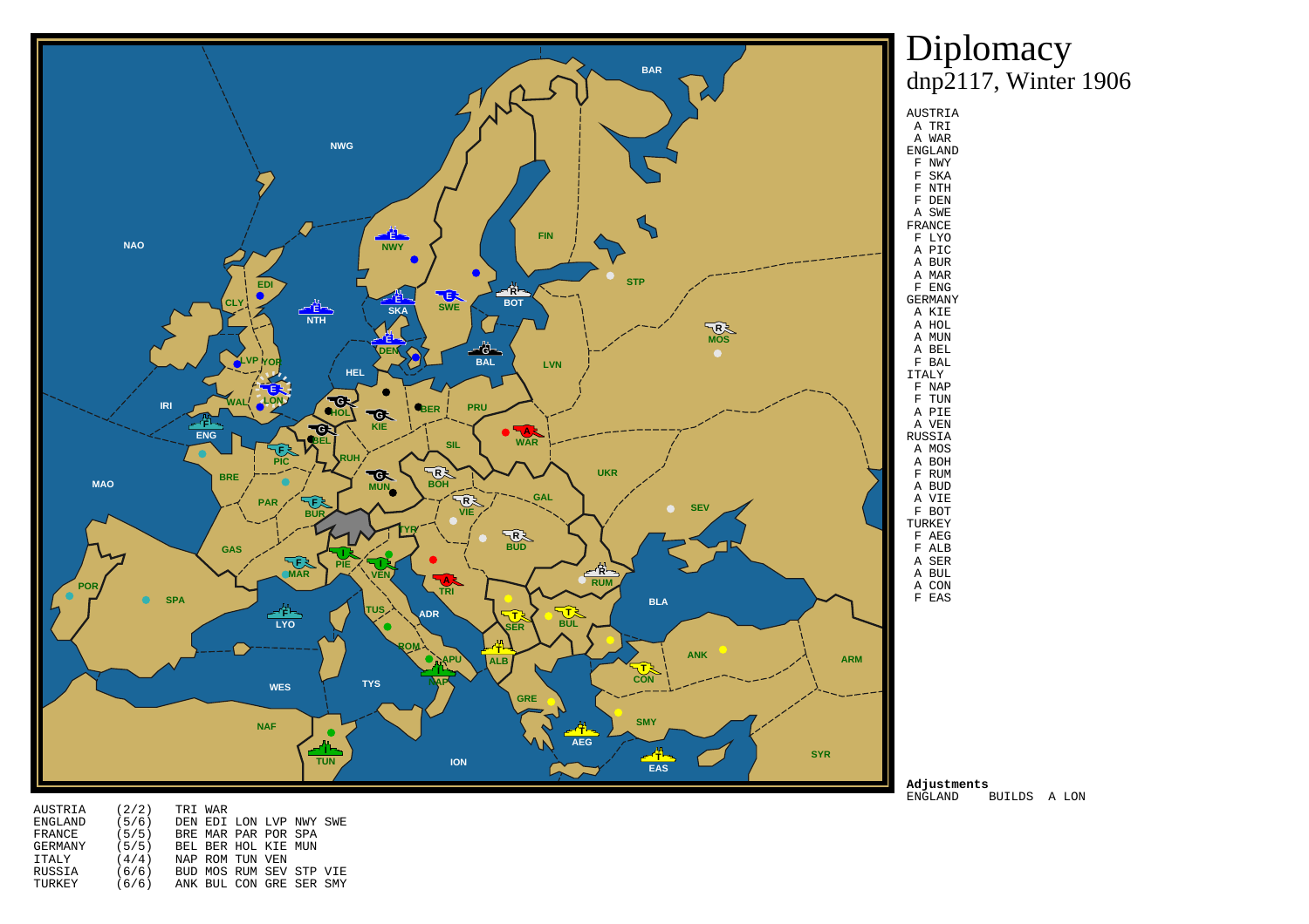

AUSTRIA (2/2) TRI WAR ENGLAND (5/6) DEN EDI LON LVP NWY SWEFRANCE (5/5) BRE MAR PAR POR SPA GERMANY (5/5) BEL BER HOL KIE MUNITALY (4/4) NAP ROM TUN VEN RUSSIA (6/6) BUD MOS RUM SEV STP VIETURKEY (6/6) ANK BUL CON GRE SER SMY **Adjustments**BUILDS A LON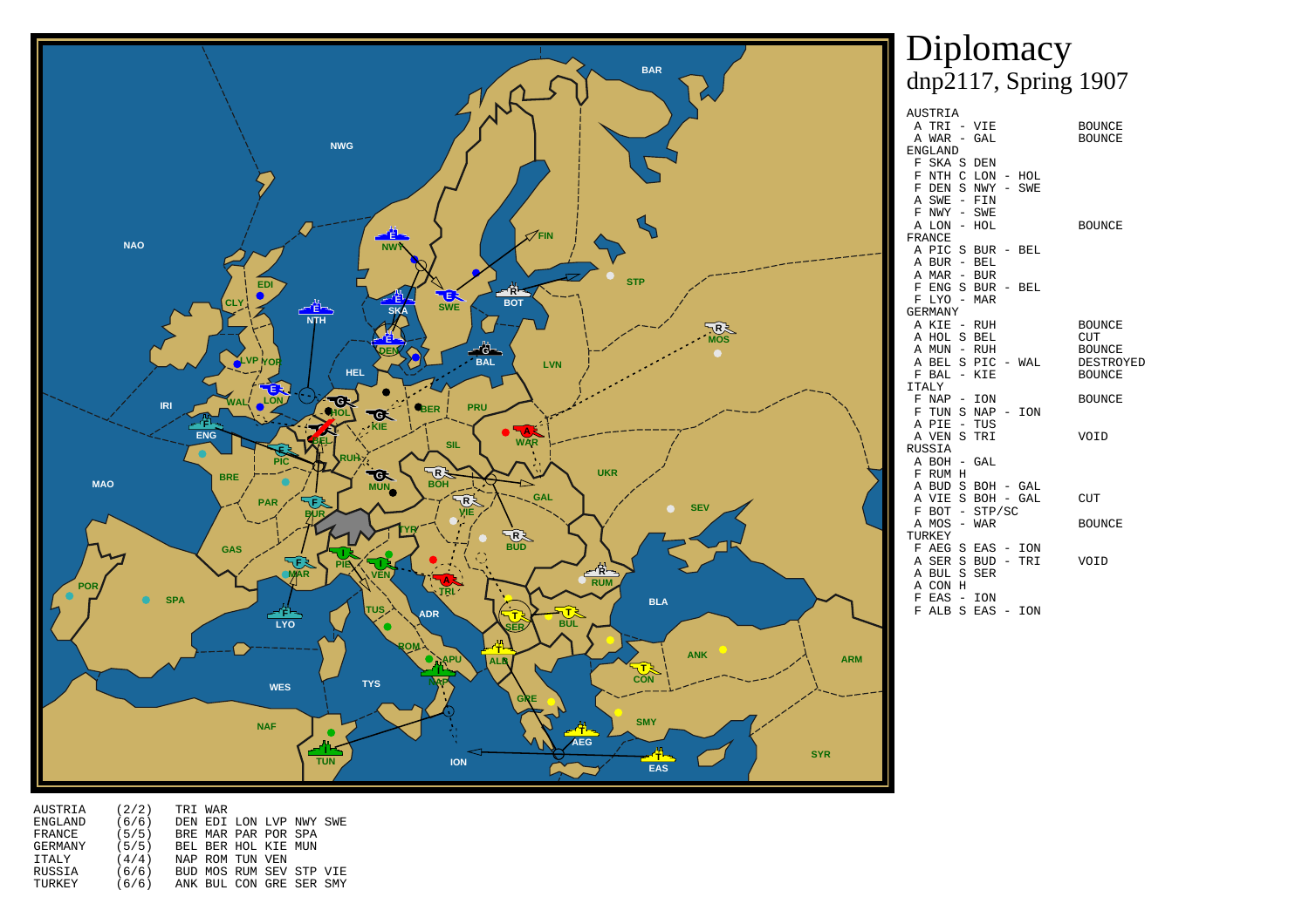

| AUSTRIA      |                   |  |                             |
|--------------|-------------------|--|-----------------------------|
| A TRI - VIE  |                   |  | <b>BOUNCE</b>               |
| A WAR - GAL  |                   |  | <b>BOUNCE</b>               |
| ENGLAND      |                   |  |                             |
| F SKA S DEN  |                   |  |                             |
|              | F NTH C LON - HOL |  |                             |
|              | F DEN S NWY - SWE |  |                             |
|              | A SWE - FIN       |  |                             |
| F NWY - SWE  |                   |  |                             |
| A LON - HOL  |                   |  | <b>BOUNCE</b>               |
| FRANCE       |                   |  |                             |
|              | A PIC S BUR - BEL |  |                             |
|              | A BUR - BEL       |  |                             |
|              | A MAR - BUR       |  |                             |
|              | F ENG S BUR - BEL |  |                             |
|              | F LYO - MAR       |  |                             |
| GERMANY      |                   |  |                             |
| A KIE - RUH  |                   |  | <b>BOUNCE</b>               |
| A HOL S BEL  |                   |  | <b>CUT</b>                  |
|              | A MUN - RUH       |  | <b>BOUNCE</b>               |
|              |                   |  | A BEL S PIC - WAL DESTROYED |
| F BAL - KIE  |                   |  | <b>BOUNCE</b>               |
| <b>ITALY</b> |                   |  |                             |
|              | $F$ NAP - ION     |  | <b>BOUNCE</b>               |
|              | F TUN S NAP - ION |  |                             |
| A PIE - TUS  |                   |  |                             |
| A VEN S TRI  |                   |  | VOID                        |
| RUSSIA       |                   |  |                             |
| A BOH - GAL  |                   |  |                             |
| F RUM H      |                   |  |                             |
|              | A BUD S BOH - GAL |  |                             |
|              | A VIE S BOH - GAL |  | <b>CUT</b>                  |
|              | F BOT - STP/SC    |  |                             |
| A MOS - WAR  |                   |  | <b>BOUNCE</b>               |
| TURKEY       |                   |  |                             |
|              | F AEG S EAS - ION |  |                             |
|              | A SER S BUD - TRI |  | VOID                        |
|              | A BUL S SER       |  |                             |
| A CON H      |                   |  |                             |
| F EAS - ION  |                   |  |                             |
|              | F ALB S EAS - ION |  |                             |

AUSTRIA (2/2) TRI WAR ENGLAND (6/6) DEN EDI LON LVP NWY SWEFRANCE (5/5) BRE MAR PAR POR SPA GERMANY (5/5) BEL BER HOL KIE MUNITALY (4/4) NAP ROM TUN VEN RUSSIA (6/6) BUD MOS RUM SEV STP VIETURKEY (6/6) ANK BUL CON GRE SER SMY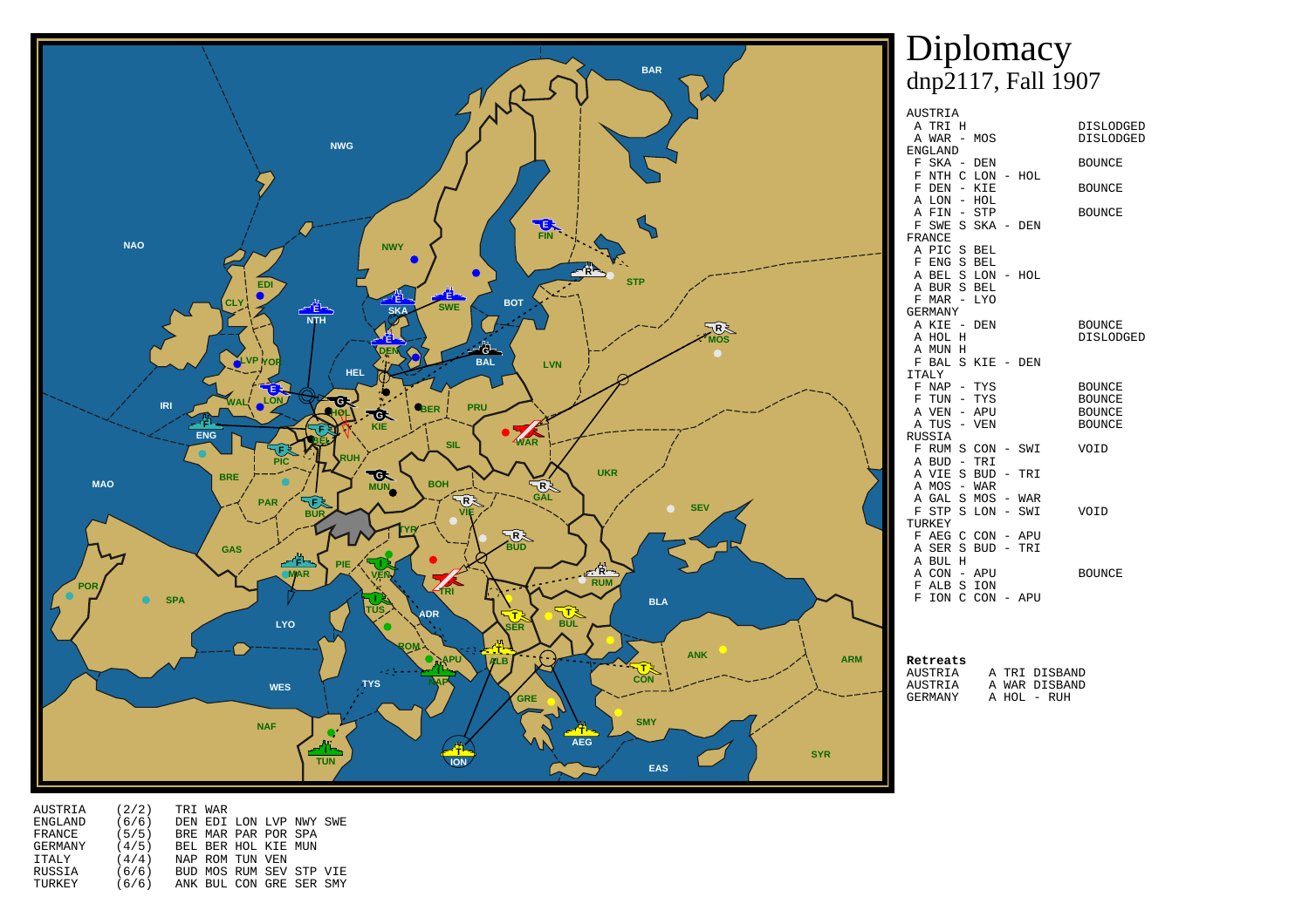

|            | AUSTRIA        |                          |                   |                 |                  |
|------------|----------------|--------------------------|-------------------|-----------------|------------------|
| A          | TRI H          |                          |                   |                 | DISLODGED        |
|            | A WAR          | $\overline{\phantom{a}}$ | MOS               |                 | <b>DISLODGED</b> |
|            | <b>ENGLAND</b> |                          |                   |                 |                  |
|            | F SKA -        |                          | DEN               |                 | <b>BOUNCE</b>    |
| $_{\rm F}$ |                |                          |                   | NTH C LON - HOL |                  |
| F          | $DEN -$        |                          | KIE               |                 | <b>BOUNCE</b>    |
|            | A LON - HOL    |                          |                   |                 |                  |
|            | A FIN - STP    |                          |                   |                 | <b>BOUNCE</b>    |
| F.         | SWE            | S                        |                   | SKA - DEN       |                  |
|            | FRANCE         |                          |                   |                 |                  |
|            | A PIC S BEL    |                          |                   |                 |                  |
|            | F ENG S BEL    |                          |                   |                 |                  |
|            |                |                          | A BEL S LON - HOL |                 |                  |
|            | A BUR S BEL    |                          |                   |                 |                  |
|            | $F$ MAR $-$    |                          | <b>LYO</b>        |                 |                  |
|            | GERMANY        |                          |                   |                 |                  |
|            | A KIE          | $\sim$                   | DEN               |                 | <b>BOUNCE</b>    |
|            | A HOL H        |                          |                   |                 | <b>DISLODGED</b> |
|            | A MUN H        |                          |                   |                 |                  |
|            | F BAL S        |                          | KIE - DEN         |                 |                  |
|            | <b>ITALY</b>   |                          |                   |                 |                  |
|            | F NAP - TYS    |                          |                   |                 | <b>BOUNCE</b>    |
|            | F TUN - TYS    |                          |                   |                 | <b>BOUNCE</b>    |
|            | A VEN - APU    |                          |                   |                 | <b>BOUNCE</b>    |
|            | A TUS - VEN    |                          |                   |                 | <b>BOUNCE</b>    |
|            | RUSSIA         |                          |                   |                 |                  |
|            |                |                          | F RUM S CON - SWI |                 | VOID             |
|            | A BUD - TRI    |                          |                   |                 |                  |
|            |                |                          | A VIE S BUD -     | TRI             |                  |
|            | A MOS - WAR    |                          |                   |                 |                  |
|            |                |                          | A GAL S MOS - WAR |                 |                  |
|            | F STP          | S                        |                   | LON - SWI       | VOID             |
|            | TURKEY         |                          |                   |                 |                  |
|            |                |                          | F AEG C CON - APU |                 |                  |
|            | A SER S        |                          | $BUD -$           | TRI             |                  |
|            | A BUL H        |                          |                   |                 |                  |
|            | A CON - APU    |                          |                   |                 | <b>BOUNCE</b>    |
| F          | ALB            |                          | S ION             |                 |                  |
| F          | ION            | C                        | $CON -$           | APU             |                  |
|            |                |                          |                   |                 |                  |

### **Retreats**

AUSTRIA A TRI DISBAND AUSTRIA A WAR DISBANDGERMANY A HOL - RUH

AUSTRIA (2/2) TRI WAR ENGLAND (6/6) DEN EDI LON LVP NWY SWEFRANCE (5/5) BRE MAR PAR POR SPA GERMANY (4/5) BEL BER HOL KIE MUNITALY (4/4) NAP ROM TUN VEN RUSSIA (6/6) BUD MOS RUM SEV STP VIETURKEY (6/6) ANK BUL CON GRE SER SMY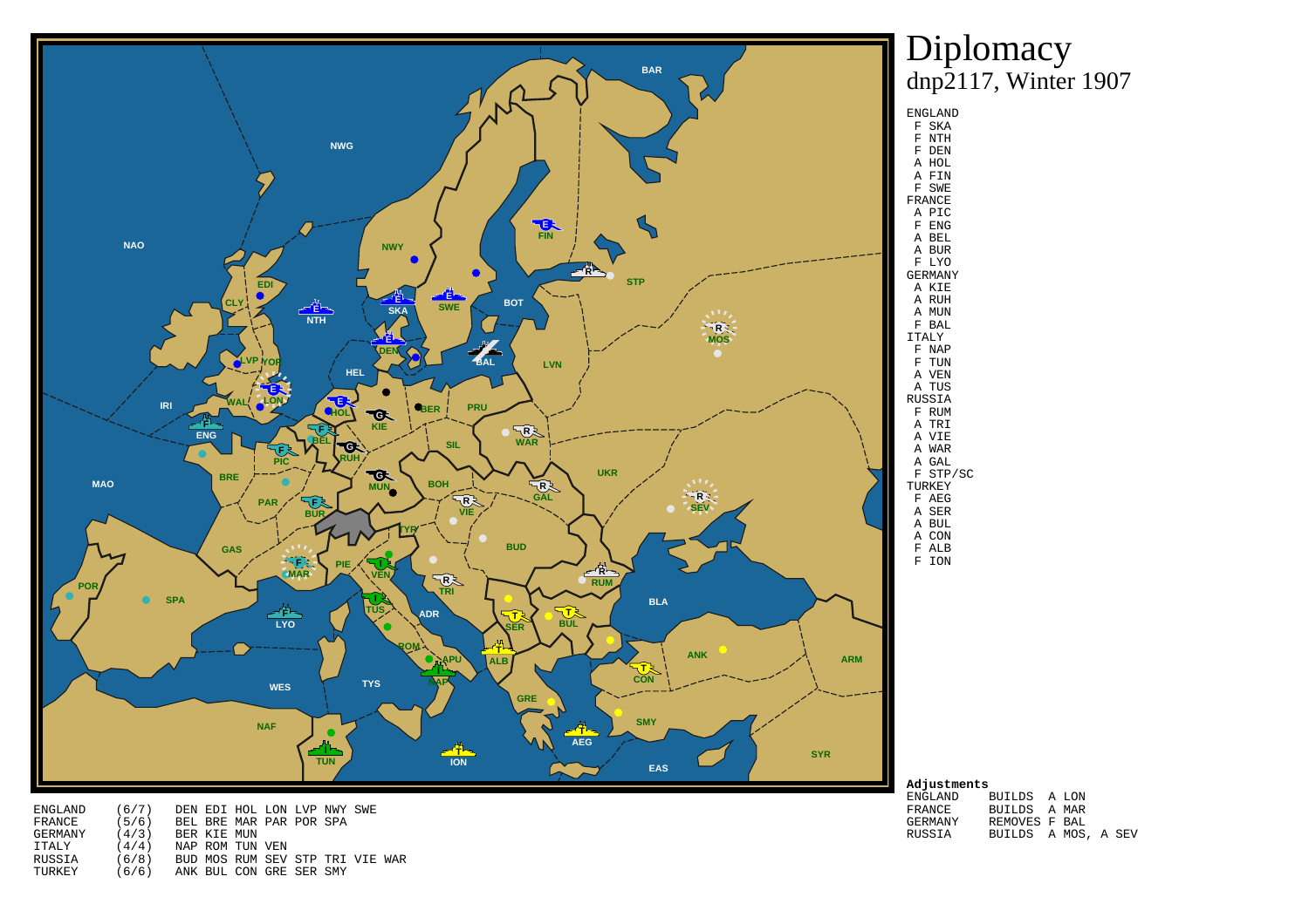

ENGLAND (6/7) DEN EDI HOL LON LVP NWY SWEFRANCE (5/6) BEL BRE MAR PAR POR SPAGERMANY (4/3) BER KIE MUN ITALY (4/4) NAP ROM TUN VEN RUSSIA (6/8) BUD MOS RUM SEV STP TRI VIE WARTURKEY (6/6) ANK BUL CON GRE SER SMY

| Adjustments    |                     |  |  |
|----------------|---------------------|--|--|
| ENGLAND        | BUILDS A LON        |  |  |
| FRANCE         | BUILDS A MAR        |  |  |
| <b>GERMANY</b> | REMOVES F BAL       |  |  |
| RUSSIA         | BUILDS A MOS, A SEV |  |  |

### Diplomacydnp2117, Winter 1907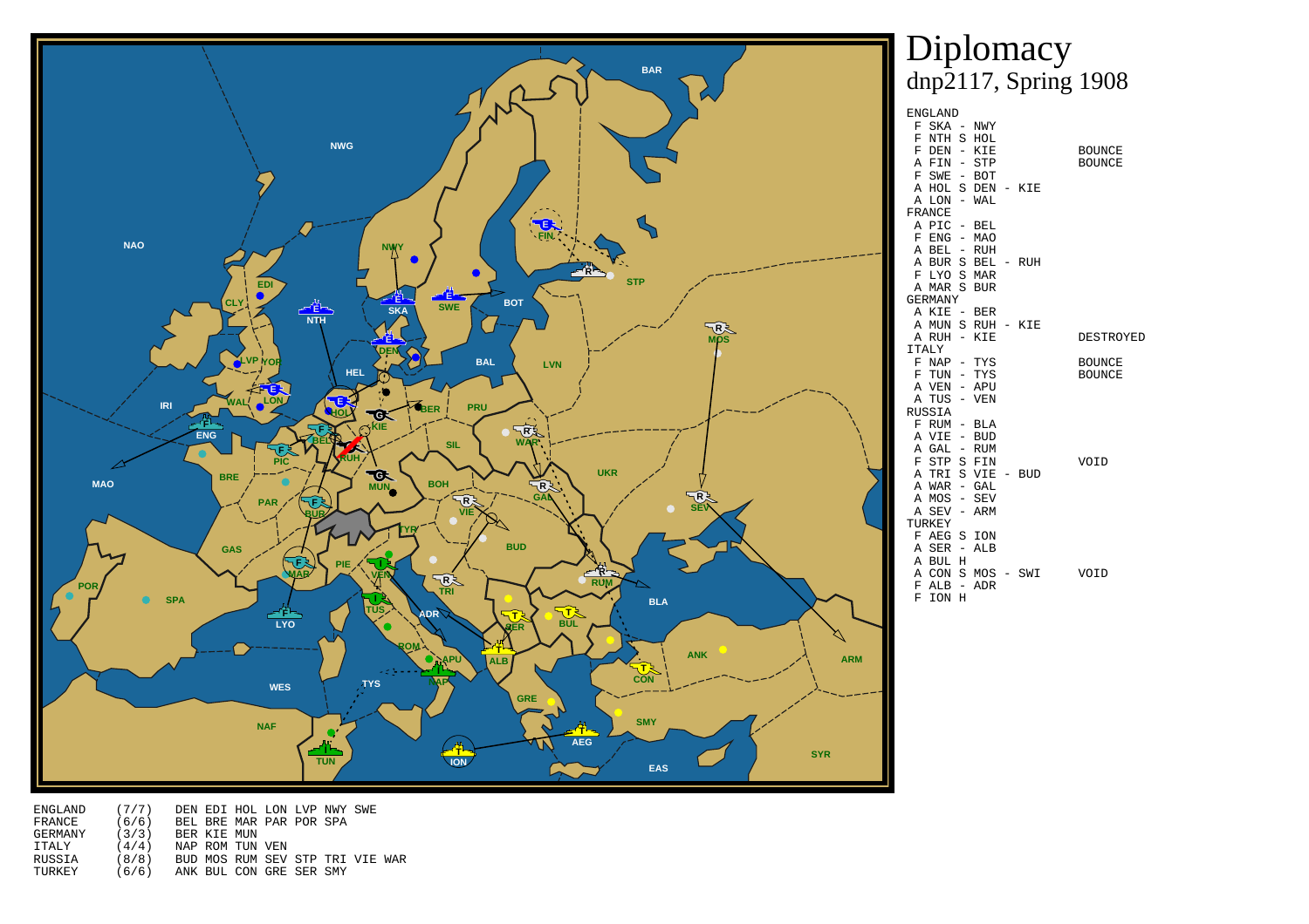

**BOUNCE** 

#### ENGLAND

 A BEL - RUH A BUR S BEL - RUH F LYO S MAR A MAR S BUR GERMANY A KIE - BER A MUN S RUH - KIE A RUH - KIE DESTROYEDITALY F NAP - TYS BOUNCE**BOUNCE**  $F$  TUN - TYS A VEN - APU A TUS - VEN RUSSIA F RUM - BLA A VIE - BUD A GAL - RUM F STP S FIN VOID A TRI S VIE - BUD A WAR - GAL A MOS - SEV A SEV - ARM TURKEY F AEG S ION A SER - ALB A BUL H A CON S MOS - SWI VOIDF ALB - ADR

ENGLAND (7/7) DEN EDI HOL LON LVP NWY SWEFRANCE (6/6) BEL BRE MAR PAR POR SPAGERMANY (3/3) BER KIE MUN ITALY (4/4) NAP ROM TUN VEN RUSSIA (8/8) BUD MOS RUM SEV STP TRI VIE WARTURKEY (6/6) ANK BUL CON GRE SER SMY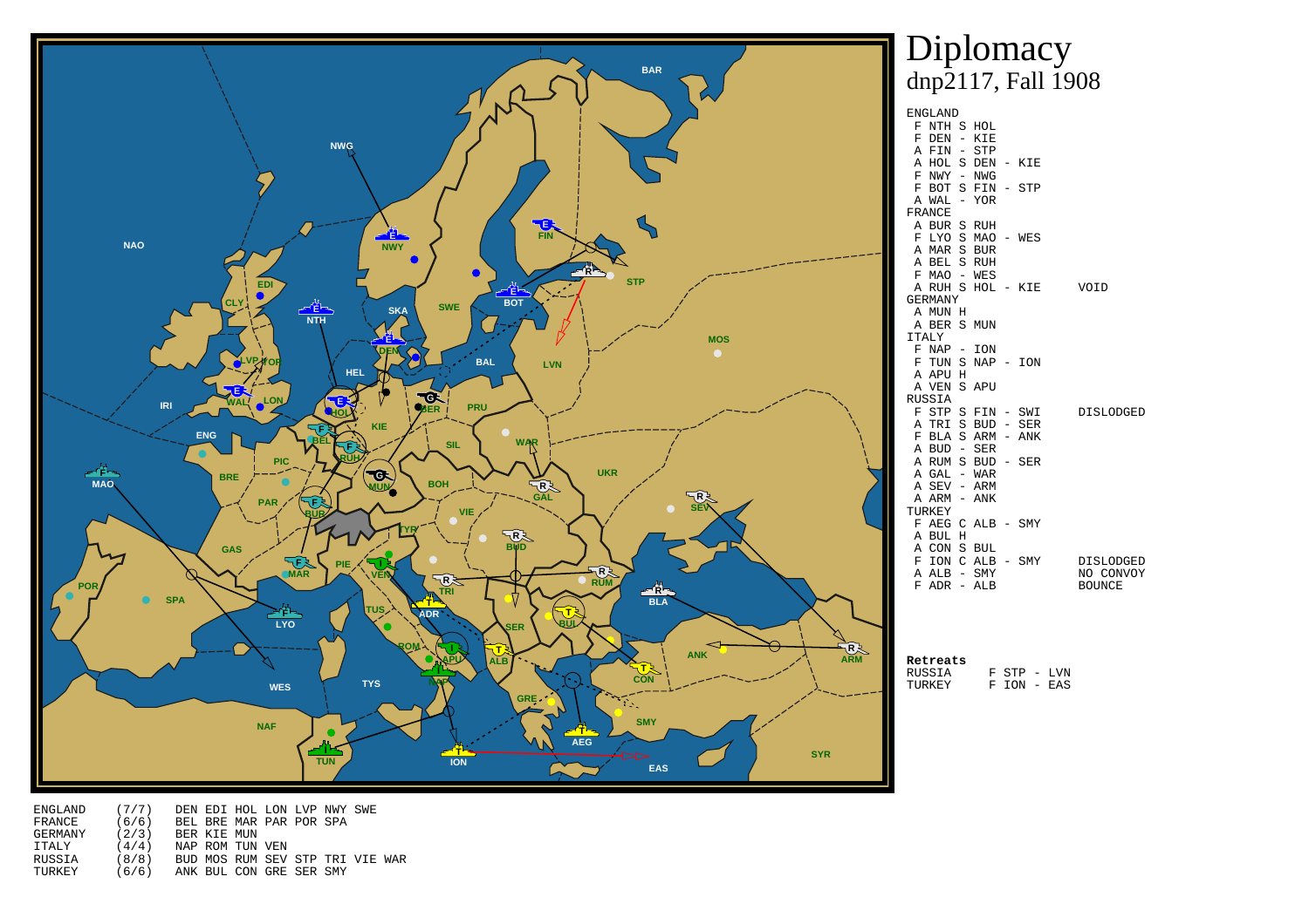

 F NTH S HOL F DEN - KIE

|   | A FIN - STP            |                   |  |                             |
|---|------------------------|-------------------|--|-----------------------------|
|   |                        | A HOL S DEN - KIE |  |                             |
|   | F NWY - NWG            |                   |  |                             |
|   |                        | F BOT S FIN - STP |  |                             |
|   | A WAL - YOR            |                   |  |                             |
|   | FRANCE                 |                   |  |                             |
| Α | BUR S RUH              |                   |  |                             |
|   |                        | F LYO S MAO - WES |  |                             |
|   | A MAR S BUR            |                   |  |                             |
|   | A BEL S RUH            |                   |  |                             |
|   | F MAO - WES            |                   |  |                             |
|   |                        |                   |  | A RUH S HOL - KIE VOID      |
|   | GERMANY                |                   |  |                             |
|   | A MUN H                |                   |  |                             |
|   | A BER S MUN            |                   |  |                             |
|   | ITALY                  |                   |  |                             |
|   | $F$ NAP - ION          |                   |  |                             |
|   |                        | F TUN S NAP - ION |  |                             |
|   | A APU H<br>A VEN S APU |                   |  |                             |
|   | RUSSIA                 |                   |  |                             |
|   |                        |                   |  | F STP S FIN - SWI DISLODGED |
|   |                        | A TRI S BUD - SER |  |                             |
|   |                        | F BLA S ARM - ANK |  |                             |
|   | A BUD - SER            |                   |  |                             |
|   |                        | A RUM S BUD - SER |  |                             |
|   | A GAL - WAR            |                   |  |                             |
|   | A SEV - ARM            |                   |  |                             |
|   | A ARM - ANK            |                   |  |                             |
|   | TURKEY                 |                   |  |                             |
|   |                        | F AEG C ALB - SMY |  |                             |
| Α | BUL H                  |                   |  |                             |
|   | A CON S                | BUL               |  |                             |
|   | F ION C                |                   |  | ALB - SMY DISLODGED         |
|   | A ALB -                | SMY               |  | NO CONVOY                   |
| F | $ADR - ALB$            |                   |  | <b>BOUNCE</b>               |
|   |                        |                   |  |                             |

**Retreats**RUSSIA F STP - LVN TURKEY F ION - EAS

ENGLAND (7/7) DEN EDI HOL LON LVP NWY SWEFRANCE (6/6) BEL BRE MAR PAR POR SPAGERMANY (2/3) BER KIE MUN ITALY (4/4) NAP ROM TUN VEN RUSSIA (8/8) BUD MOS RUM SEV STP TRI VIE WARTURKEY (6/6) ANK BUL CON GRE SER SMY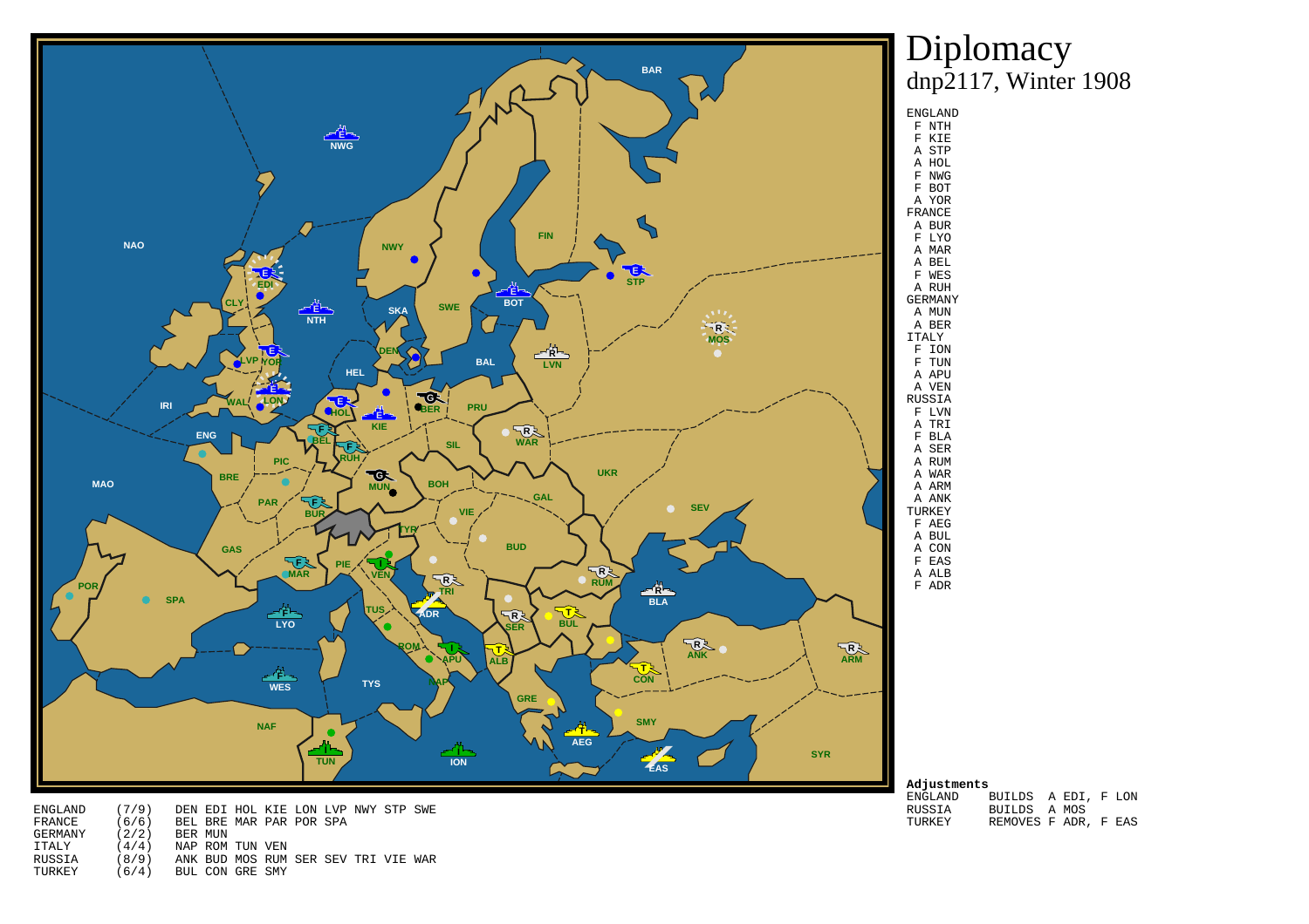

ENGLAND (7/9) DEN EDI HOL KIE LON LVP NWY STP SWEFRANCE (6/6) BEL BRE MAR PAR POR SPAGERMANY (2/2) BER MUN ITALY (4/4) NAP ROM TUN VEN RUSSIA (8/9) ANK BUD MOS RUM SER SEV TRI VIE WARTURKEY (6/4) BUL CON GRE SMY

Diplomacy dnp2117, Winter 1908

**Adjustments**ENGLAND BUILDS A EDI, F LONRUSSIA BUILDS A MOS

TURKEY REMOVES F ADR, F EAS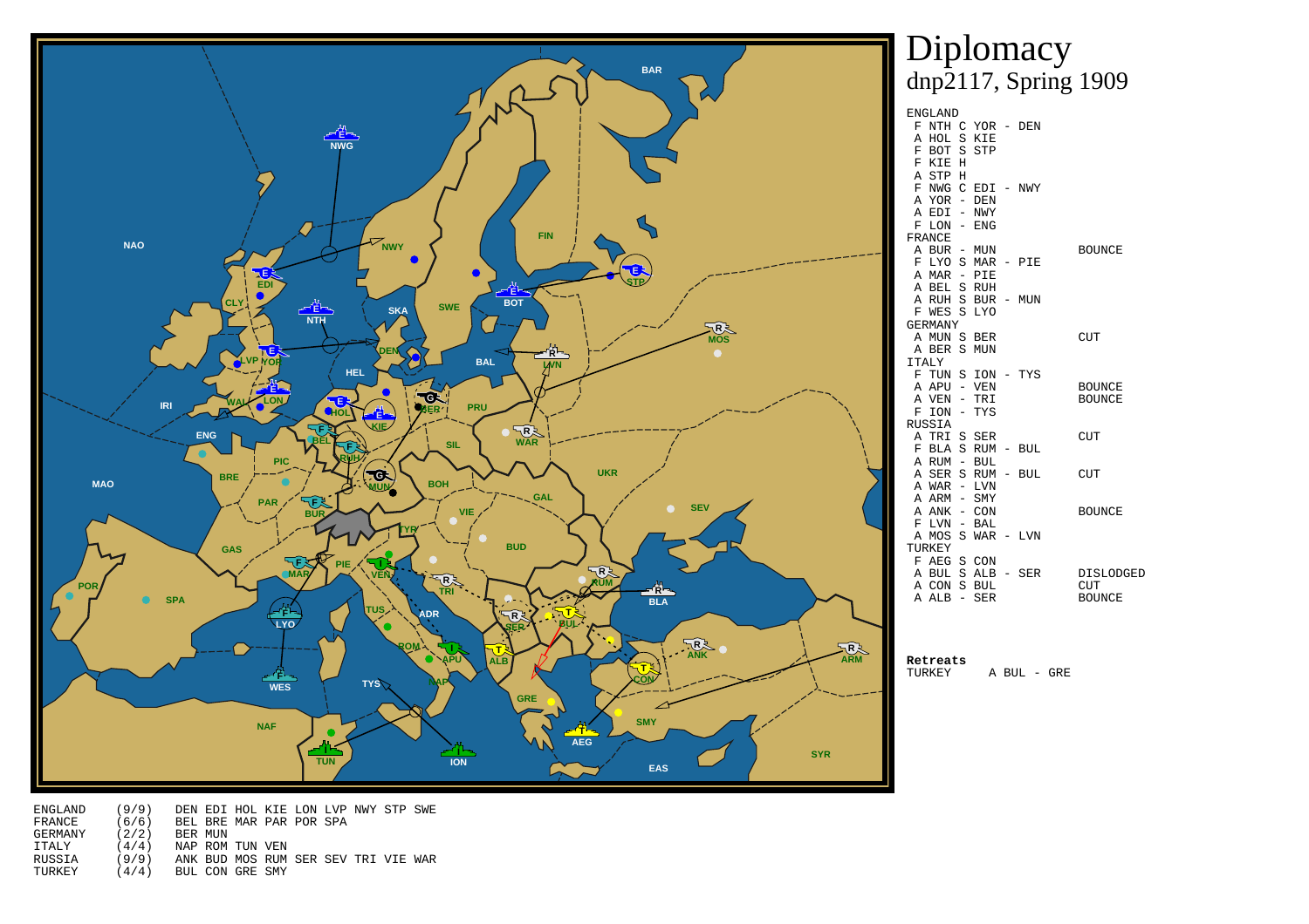

 F NTH C YOR - DEN A HOL S KIE F BOT S STP F KIE H A STP H F NWG C EDI - NWY A YOR - DEN A EDI - NWY F LON - ENG FRANCE A BUR - MUN BOUNCE F LYO S MAR - PIE A MAR - PIE A BEL S RUH A RUH S BUR - MUN F WES S LYO GERMANY A MUN S BER CUT A BER S MUN ITALY F TUN S ION - TYS A APU - VEN BOUNCE **BOUNCE** A VEN - TRI F ION - TYS RUSSIA A TRI S SER CUT F BLA S RUM - BUL A RUM - BUL A SER S RUM - BUL CUT A WAR - LVN A ARM - SMY A ANK - CON BOUNCE F LVN - BAL A MOS S WAR - LVN TURKEY F AEG S CON A BUL S ALB - SER DISLODGED A CON S BUL CUT**BOUNCE**  $A$   $A$ LB -  $SER$ 

**Retreats**TURKEY A BUL - GRE

ENGLAND (9/9) DEN EDI HOL KIE LON LVP NWY STP SWEFRANCE (6/6) BEL BRE MAR PAR POR SPAGERMANY (2/2) BER MUN ITALY (4/4) NAP ROM TUN VEN RUSSIA (9/9) ANK BUD MOS RUM SER SEV TRI VIE WARTURKEY (4/4) BUL CON GRE SMY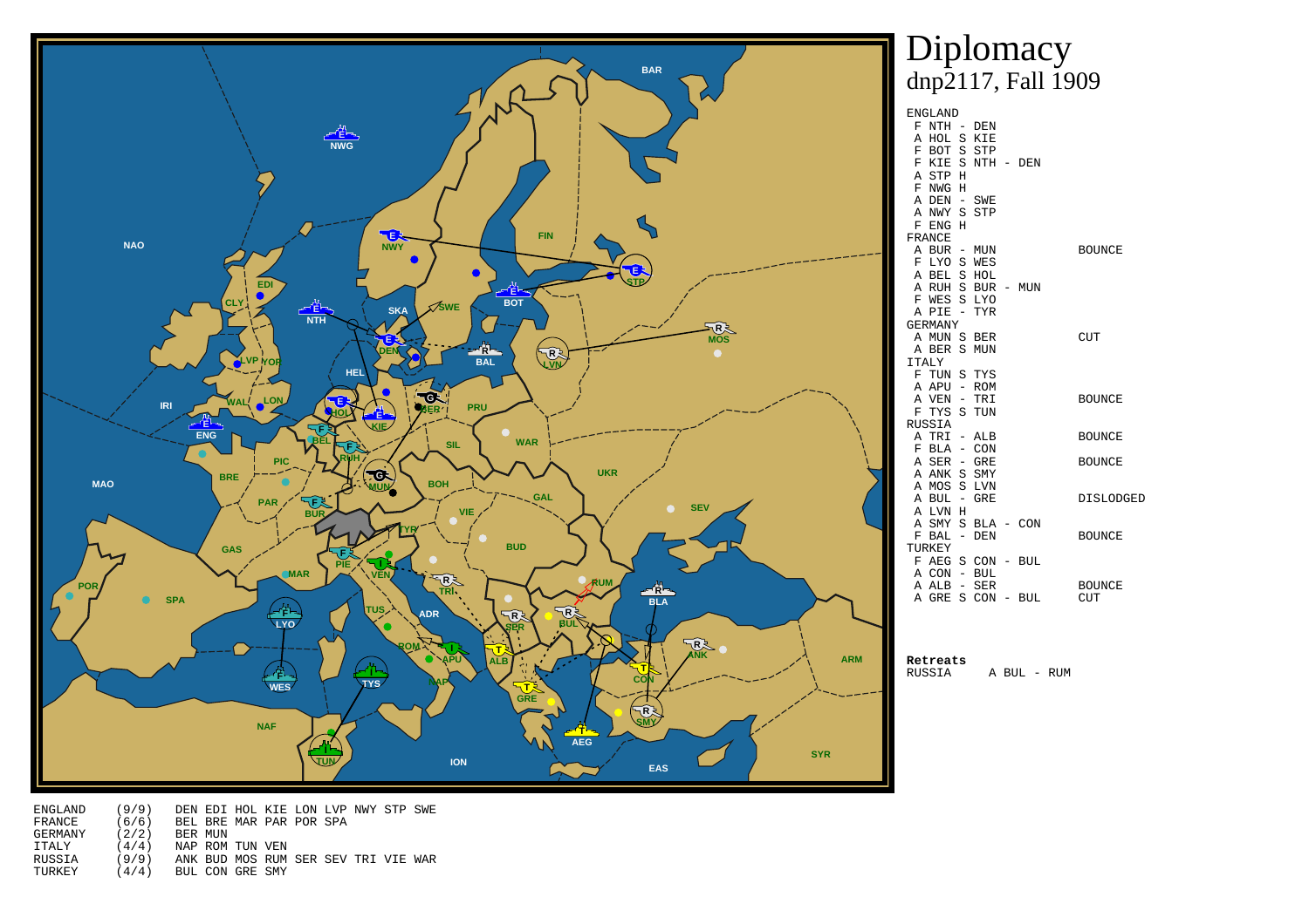

 F NTH - DEN A HOL S KIE F BOT S STP F KIE S NTH - DEN A STP H F NWG H A DEN - SWE A NWY S STP F ENG H A BUR - MUN BOUNCE F LYO S WES A BEL S HOL A RUH S BUR - MUN F WES S LYO A PIE - TYR GERMANY A MUN S BER CUT A BER S MUN F TUN S TYS A APU - ROM A VEN - TRI BOUNCE F TYS S TUN RUSSIA A TRI - ALB BOUNCE F BLA - CON A SER - GRE BOUNCE A ANK S SMY A MOS S LVN A BUL - GRE DISLODGED A LVN H A SMY S BLA - CON F BAL - DEN BOUNCE F AEG S CON - BUL A CON - BUL A ALB - SER BOUNCEA GRE S CON - BUL CUT

**Retreats**RUSSIA A BUL - RUM

ENGLAND (9/9) DEN EDI HOL KIE LON LVP NWY STP SWEFRANCE (6/6) BEL BRE MAR PAR POR SPAGERMANY (2/2) BER MUN ITALY (4/4) NAP ROM TUN VEN RUSSIA (9/9) ANK BUD MOS RUM SER SEV TRI VIE WARTURKEY (4/4) BUL CON GRE SMY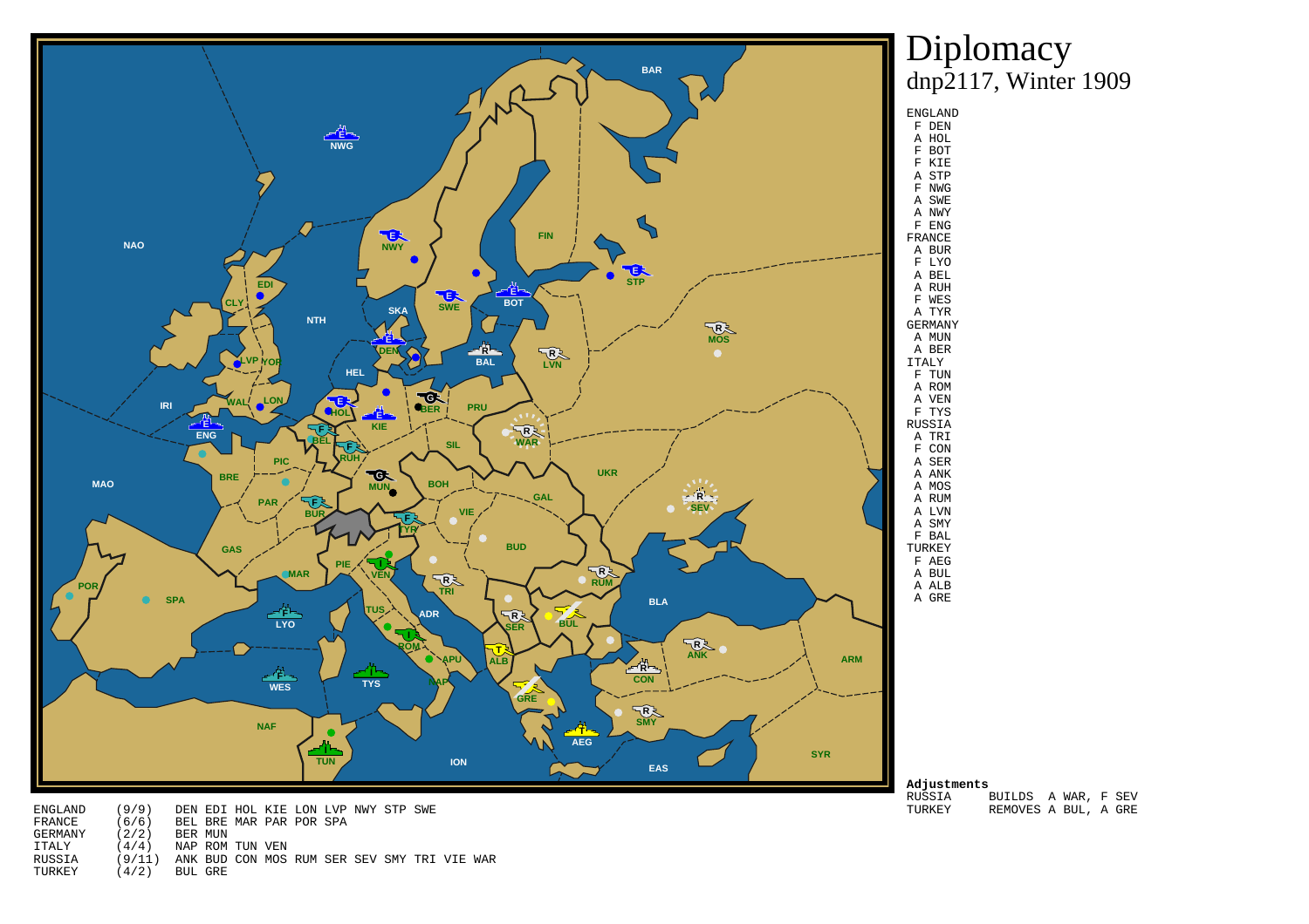

ENGLAND (9/9) DEN EDI HOL KIE LON LVP NWY STP SWEFRANCE (6/6) BEL BRE MAR PAR POR SPAGERMANY (2/2) BER MUN ITALY (4/4) NAP ROM TUN VEN RUSSIA (9/11) ANK BUD CON MOS RUM SER SEV SMY TRI VIE WARTURKEY (4/2) BUL GRE

**Adjustments**RUSSIA BUILDS A WAR, F SEVTURKEY REMOVES A BUL, A GRE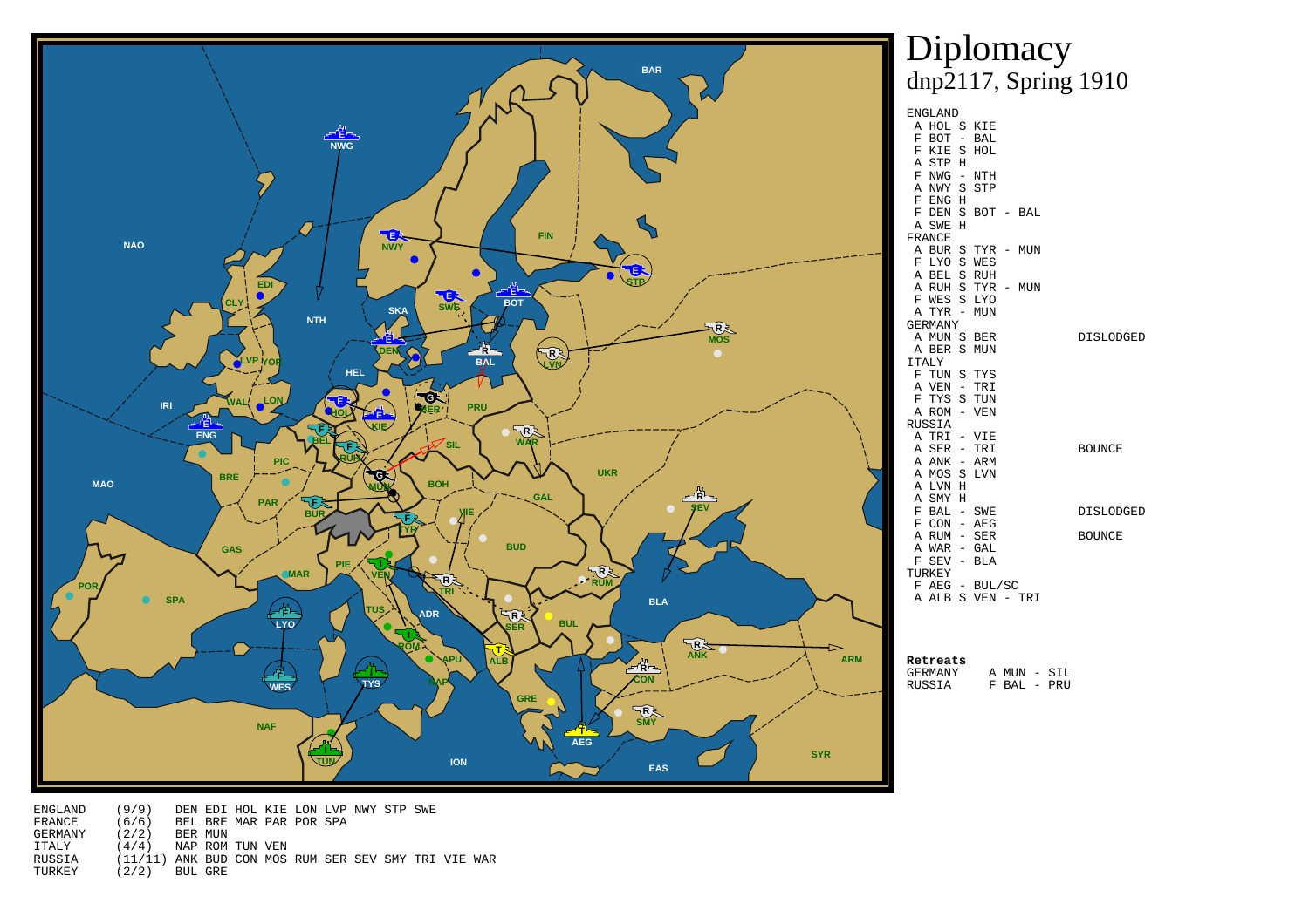

ENGLAND (9/9) DEN EDI HOL KIE LON LVP NWY STP SWEFRANCE (6/6) BEL BRE MAR PAR POR SPAGERMANY (2/2) BER MUN ITALY (4/4) NAP ROM TUN VEN RUSSIA (11/11) ANK BUD CON MOS RUM SER SEV SMY TRI VIE WARTURKEY (2/2) BUL GRE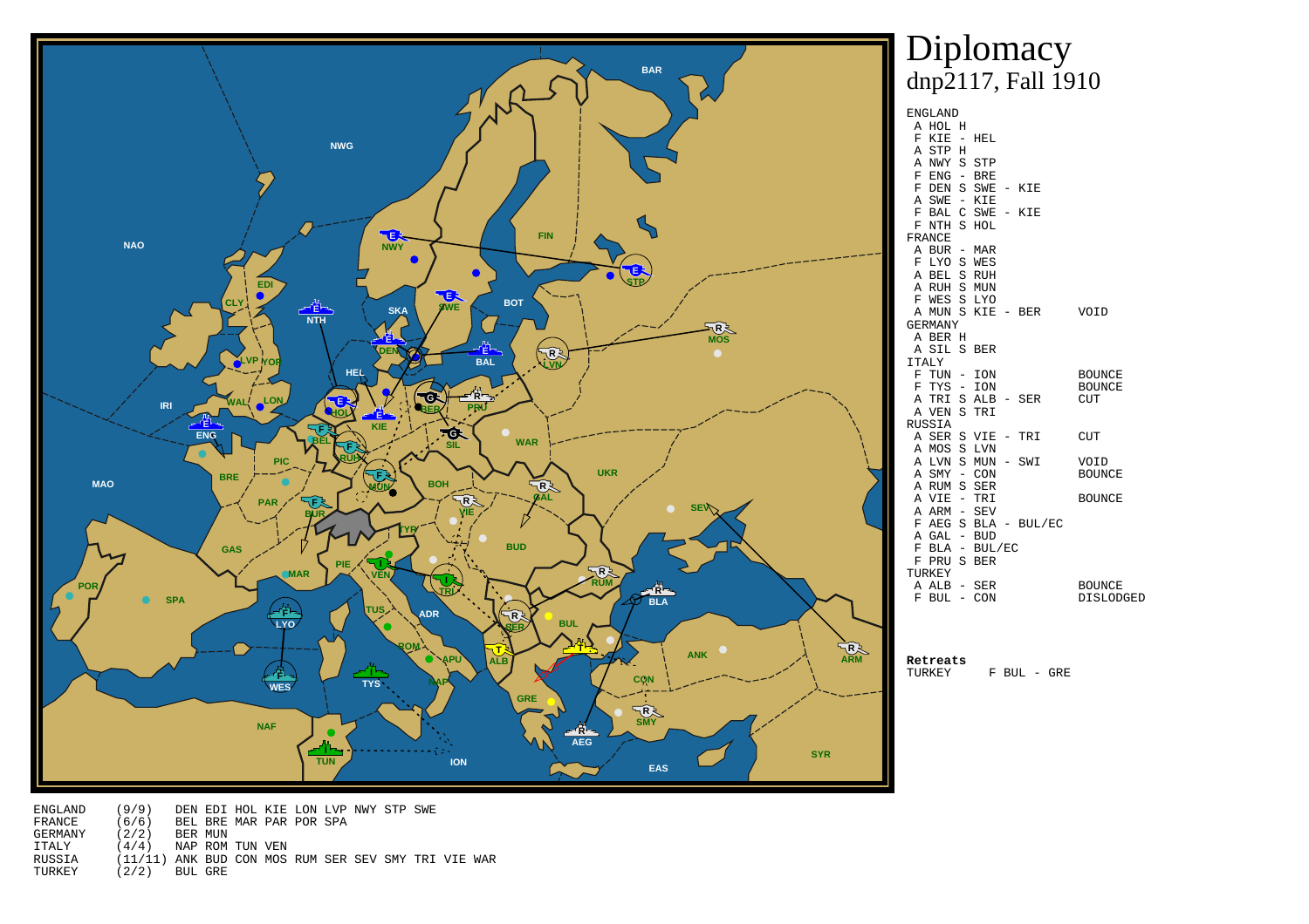

 A HOL H F KIE - HEL A STP H A NWY S STP F ENG - BRE F DEN S SWE - KIE A SWE - KIE F BAL C SWE - KIE F NTH S HOL FRANCE A BUR - MAR F LYO S WES A BEL S RUH A RUH S MUN F WES S LYO A MUN S KIE - BER VOIDGERMANY A BER H A SIL S BER ITALY F TUN - ION BOUNCE**BOUNCE** F TYS - ION A TRI S ALB - SER CUT A VEN S TRI RUSSIA A SER S VIE - TRI CUT A MOS S LVN A LVN S MUN - SWI VOID**BOUNCE**  $A$  SMY - CON A RUM S SER A VIE - TRI BOUNCE A ARM - SEV F AEG S BLA - BUL/EC A GAL - BUD F BLA - BUL/EC F PRU S BER TURKEY A ALB - SER BOUNCEDISLODGED  $F$  BUL - CON

**Retreats**TURKEY F BUL - GRE

ENGLAND (9/9) DEN EDI HOL KIE LON LVP NWY STP SWEFRANCE (6/6) BEL BRE MAR PAR POR SPAGERMANY (2/2) BER MUN ITALY (4/4) NAP ROM TUN VEN RUSSIA (11/11) ANK BUD CON MOS RUM SER SEV SMY TRI VIE WARTURKEY (2/2) BUL GRE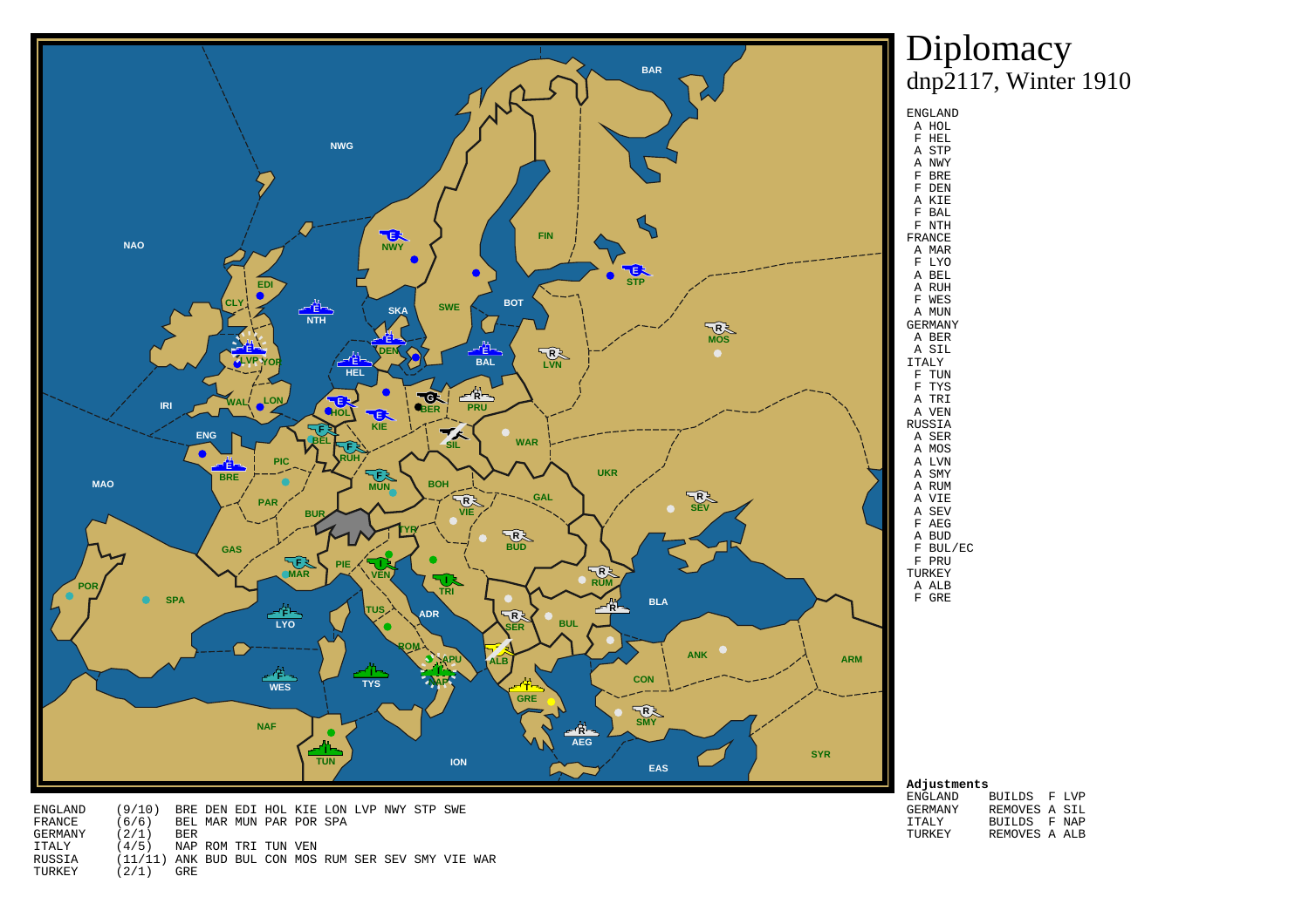

ENGLAND (9/10) BRE DEN EDI HOL KIE LON LVP NWY STP SWEFRANCE (6/6) BEL MAR MUN PAR POR SPAGERMANY (2/1) BER ITALY (4/5) NAP ROM TRI TUN VEN RUSSIA (11/11) ANK BUD BUL CON MOS RUM SER SEV SMY VIE WARTURKEY (2/1) GRE

| Adjustments    |               |  |  |  |  |  |  |  |  |
|----------------|---------------|--|--|--|--|--|--|--|--|
| <b>ENGLAND</b> | BUILDS F LVP  |  |  |  |  |  |  |  |  |
| <b>GERMANY</b> | REMOVES A SIL |  |  |  |  |  |  |  |  |
| TTALY          | BUILDS F NAP  |  |  |  |  |  |  |  |  |
| TURKEY         | REMOVES A ALB |  |  |  |  |  |  |  |  |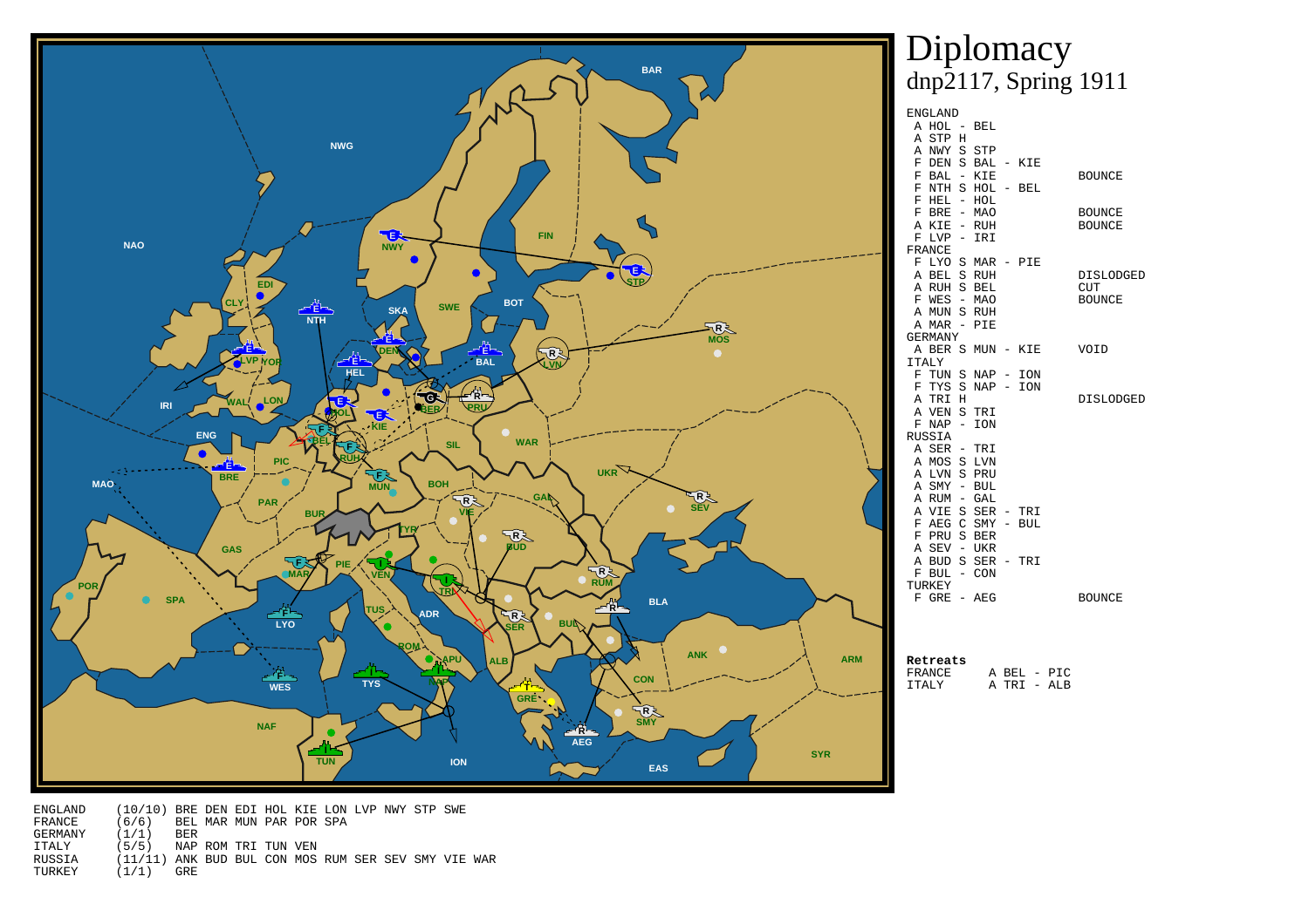

 F DEN S BAL - KIE F BAL - KIE BOUNCE F NTH S HOL - BEL F BRE - MAO BOUNCE**BOUNCE**  F LYO S MAR - PIE A BEL S RUH DISLODGED A RUH S BEL CUT**BOUNCE**  A BER S MUN - KIE VOID F TUN S NAP - ION F TYS S NAP - ION A TRI H DISLODGED A VIE S SER - TRI F AEG C SMY - BUL A BUD S SER - TRI F GRE - AEG BOUNCE

FRANCE A BEL - PIC ITALY A TRI - ALB

ENGLAND (10/10) BRE DEN EDI HOL KIE LON LVP NWY STP SWEFRANCE (6/6) BEL MAR MUN PAR POR SPAGERMANY (1/1) BER ITALY (5/5) NAP ROM TRI TUN VEN RUSSIA (11/11) ANK BUD BUL CON MOS RUM SER SEV SMY VIE WARTURKEY (1/1) GRE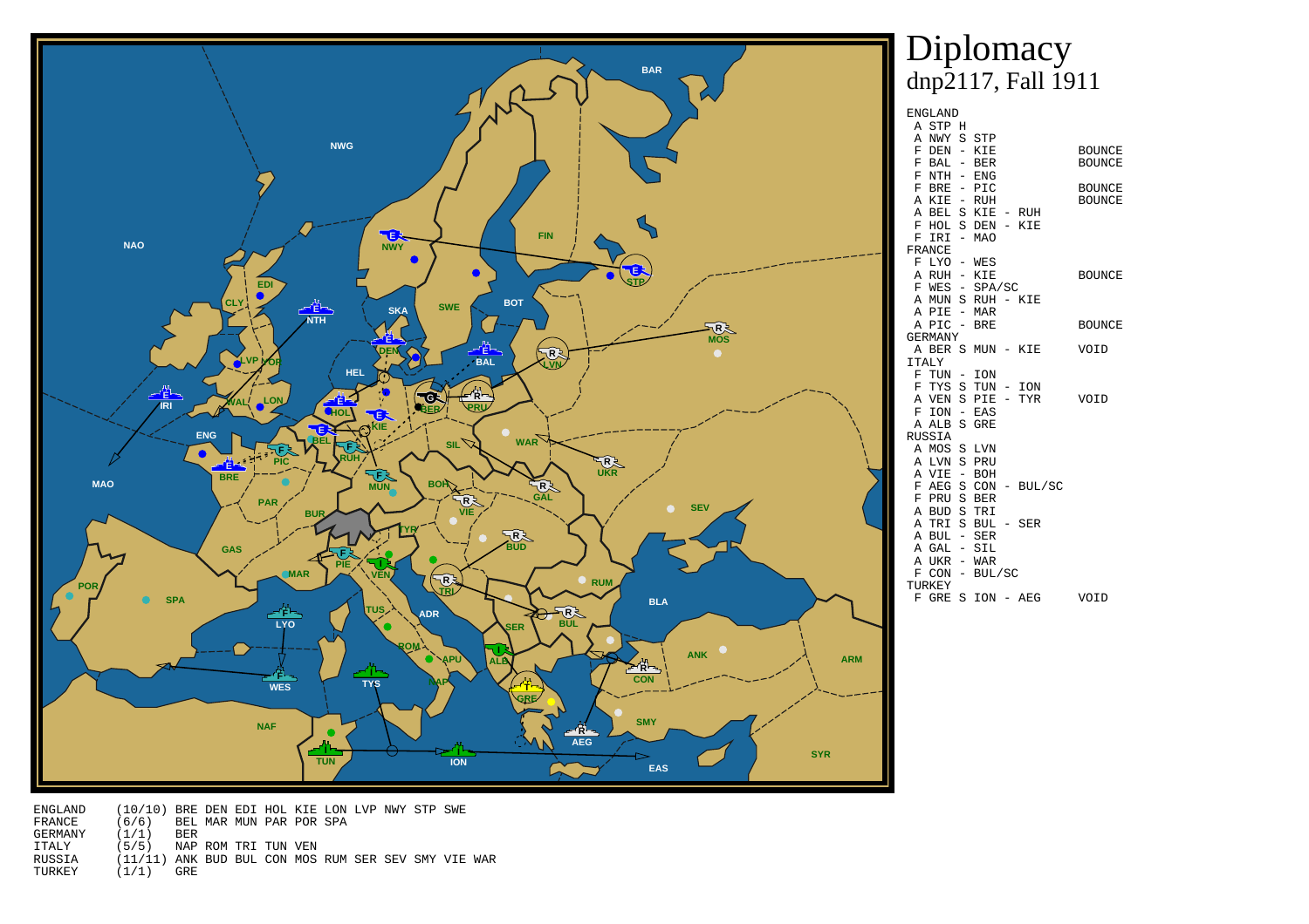

### ENGLAND

 A STP H A NWY S STP F DEN - KIE BOUNCE**BOUNCE**  $F$  BAL - BER  $F$  NTH  $FNG$  F BRE - PIC BOUNCE**BOUNCE** A KIE - RUH A BEL S KIE - RUH F HOL S DEN - KIE F IRI - MAO FRANCE F LYO - WES A RUH - KIE BOUNCE F WES - SPA/SC A MUN S RUH - KIE A PIE - MAR A PIC - BRE BOUNCEGERMANY A BER S MUN - KIE VOIDITALY F TUN - ION F TYS S TUN - ION A VEN S PIE - TYR VOID F ION - EAS A ALB S GRE RUSSIA A MOS S LVN A LVN S PRU A VIE - BOH F AEG S CON - BUL/SC F PRU S BER A BUD S TRI A TRI S BUL - SER A BUL - SER A GAL - SIL A UKR - WAR F CON - BUL/SC TURKEYF GRE S ION - AEG VOID

ENGLAND (10/10) BRE DEN EDI HOL KIE LON LVP NWY STP SWEFRANCE (6/6) BEL MAR MUN PAR POR SPAGERMANY (1/1) BER ITALY (5/5) NAP ROM TRI TUN VEN RUSSIA (11/11) ANK BUD BUL CON MOS RUM SER SEV SMY VIE WARTURKEY (1/1) GRE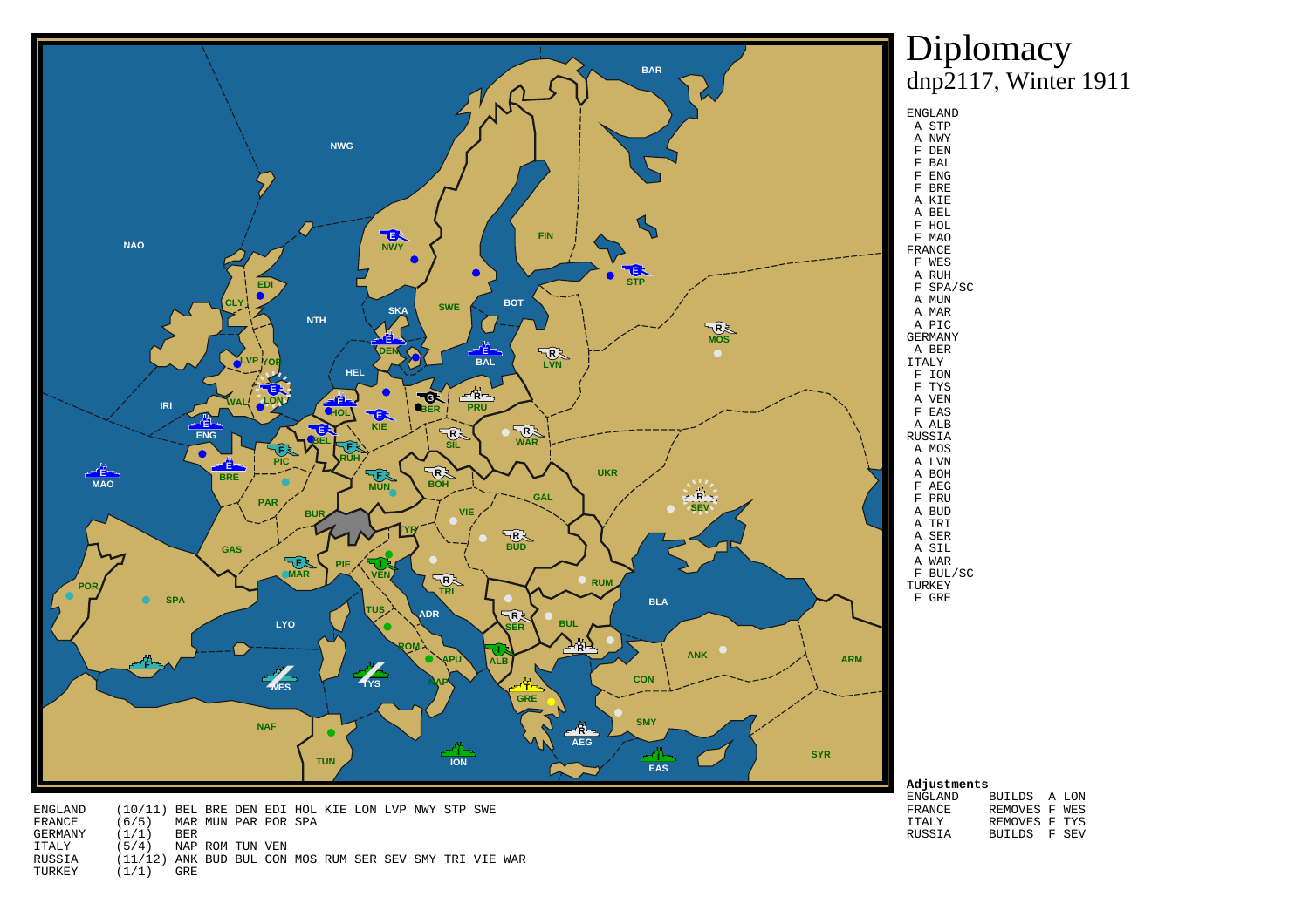

| FRANCE        | (6/5) MAR MUN PAR POR SPA                               |     |  |  |  |  |  |  |
|---------------|---------------------------------------------------------|-----|--|--|--|--|--|--|
| GERMANY (1/1) |                                                         | BER |  |  |  |  |  |  |
| ITALY         | (5/4) NAP ROM TUN VEN                                   |     |  |  |  |  |  |  |
| RUSSIA        | (11/12) ANK BUD BUL CON MOS RUM SER SEV SMY TRI VIE WAR |     |  |  |  |  |  |  |
| TURKEY        | (1/1)                                                   | GRE |  |  |  |  |  |  |

| Adjustments |               |  |  |  |  |  |  |  |  |
|-------------|---------------|--|--|--|--|--|--|--|--|
| ENGLAND     | BUILDS A LON  |  |  |  |  |  |  |  |  |
| FRANCE      | REMOVES F WES |  |  |  |  |  |  |  |  |
| TTALY       | REMOVES F TYS |  |  |  |  |  |  |  |  |
| RUSSIA      | BUILDS F SEV  |  |  |  |  |  |  |  |  |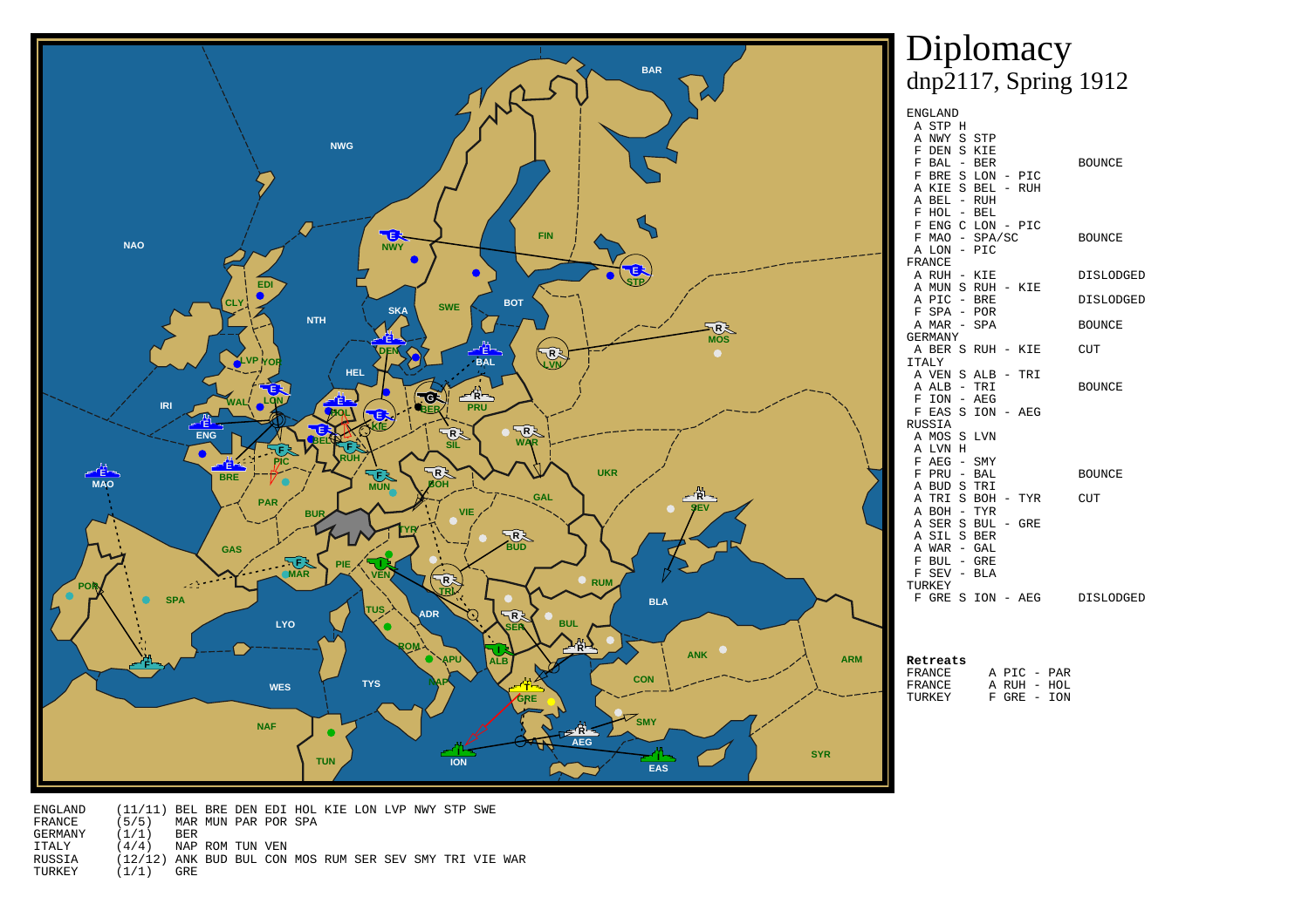

### ENGLAND

| А  | STP         | Н |                   |  |               |
|----|-------------|---|-------------------|--|---------------|
| Α  |             |   | NWY S STP         |  |               |
|    | F DEN S KIE |   |                   |  |               |
|    | F BAL - BER |   |                   |  | <b>BOUNCE</b> |
|    |             |   | F BRE S LON - PIC |  |               |
|    |             |   | A KIE S BEL - RUH |  |               |
|    |             |   | A BEL - RUH       |  |               |
|    |             |   | F HOL - BEL       |  |               |
|    |             |   | F ENG C LON - PIC |  |               |
|    |             |   | F MAO - SPA/SC    |  | <b>BOUNCE</b> |
|    | A LON - PIC |   |                   |  |               |
|    | FRANCE      |   |                   |  |               |
|    | A RUH - KIE |   |                   |  | DISLODGED     |
|    |             |   | A MUN S RUH - KIE |  |               |
|    | A PIC - BRE |   |                   |  | DISLODGED     |
|    | F SPA - POR |   |                   |  |               |
|    | A MAR - SPA |   |                   |  | <b>BOUNCE</b> |
|    | GERMANY     |   |                   |  |               |
|    |             |   | A BER S RUH - KIE |  | <b>CUT</b>    |
|    | ITALY       |   |                   |  |               |
|    |             |   | A VEN S ALB - TRI |  |               |
| Α  | ALB - TRI   |   |                   |  | <b>BOUNCE</b> |
|    | F ION - AEG |   |                   |  |               |
| F  |             |   | EAS S ION - AEG   |  |               |
|    | RUSSIA      |   |                   |  |               |
|    | A MOS S LVN |   |                   |  |               |
|    | A LVN H     |   |                   |  |               |
|    | F AEG - SMY |   |                   |  |               |
|    | F PRU - BAL |   |                   |  | <b>BOUNCE</b> |
|    | A BUD S TRI |   |                   |  |               |
|    |             |   | A TRI S BOH - TYR |  | CUT           |
|    |             |   | A BOH - TYR       |  |               |
|    |             |   | A SER S BUL - GRE |  |               |
|    | A SIL S BER |   |                   |  |               |
|    | A WAR - GAL |   |                   |  |               |
|    | F BUL - GRE |   |                   |  |               |
|    | F SEV - BLA |   |                   |  |               |
|    | TURKEY      |   |                   |  |               |
| F. |             |   | GRE S ION - AEG   |  | DISLODGED     |
|    |             |   |                   |  |               |

**Retreats**FRANCE A PIC - PAR FRANCE A RUH - HOL

TURKEY F GRE - ION

ENGLAND (11/11) BEL BRE DEN EDI HOL KIE LON LVP NWY STP SWEFRANCE (5/5) MAR MUN PAR POR SPAGERMANY (1/1) BER ITALY (4/4) NAP ROM TUN VEN RUSSIA (12/12) ANK BUD BUL CON MOS RUM SER SEV SMY TRI VIE WARTURKEY (1/1) GRE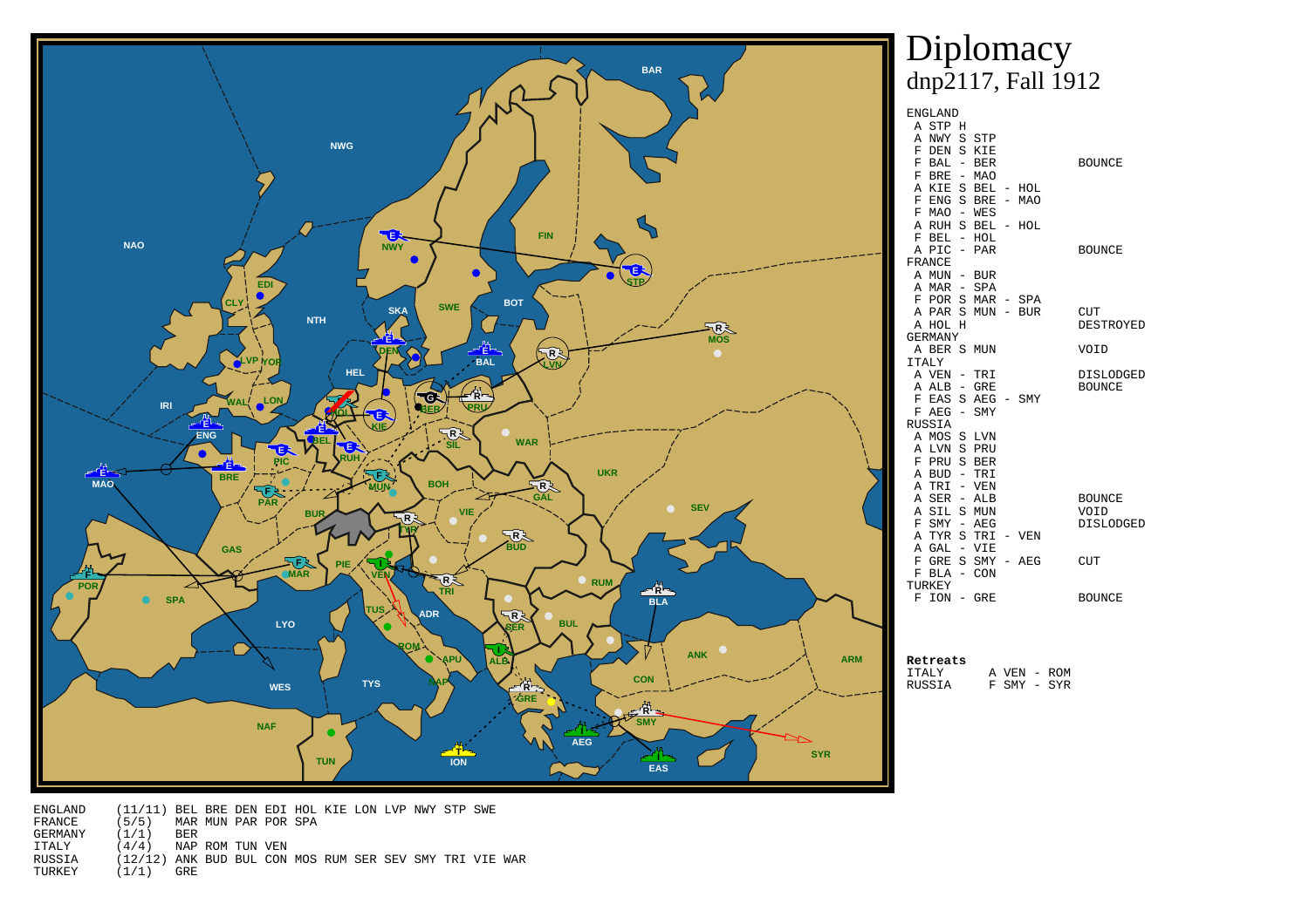

#### ENGLAND

 A NWY S STP F DEN S KIE F BAL - BER BOUNCE $F$  BRE - MAO A KIE S BEL - HOL F ENG S BRE - MAO F MAO - WES A RUH S BEL - HOL F BEL - HOL A PIC - PAR BOUNCE A MUN - BUR A MAR - SPA F POR S MAR - SPA A PAR S MUN - BUR CUT A HOL H DESTROYEDGERMANY A BER S MUN VOID A VEN - TRI DISLODGEDA ALB - GRE BOUNCE F EAS S AEG - SMY F AEG - SMY RUSSIA A MOS S LVN A LVN S PRU F PRU S BER A BUD - TRI A TRI - VEN A SER - ALB BOUNCE A SIL S MUN VOID**DISLODGED**  $F$  SMY - AEG A TYR S TRI - VEN A GAL - VIE F GRE S SMY - AEG CUT F BLA - CON F ION - GRE BOUNCE

**Retreats**ITALY A VEN - ROM RUSSIA F SMY - SYR

ENGLAND (11/11) BEL BRE DEN EDI HOL KIE LON LVP NWY STP SWEFRANCE (5/5) MAR MUN PAR POR SPAGERMANY (1/1) BER ITALY (4/4) NAP ROM TUN VEN RUSSIA (12/12) ANK BUD BUL CON MOS RUM SER SEV SMY TRI VIE WARTURKEY (1/1) GRE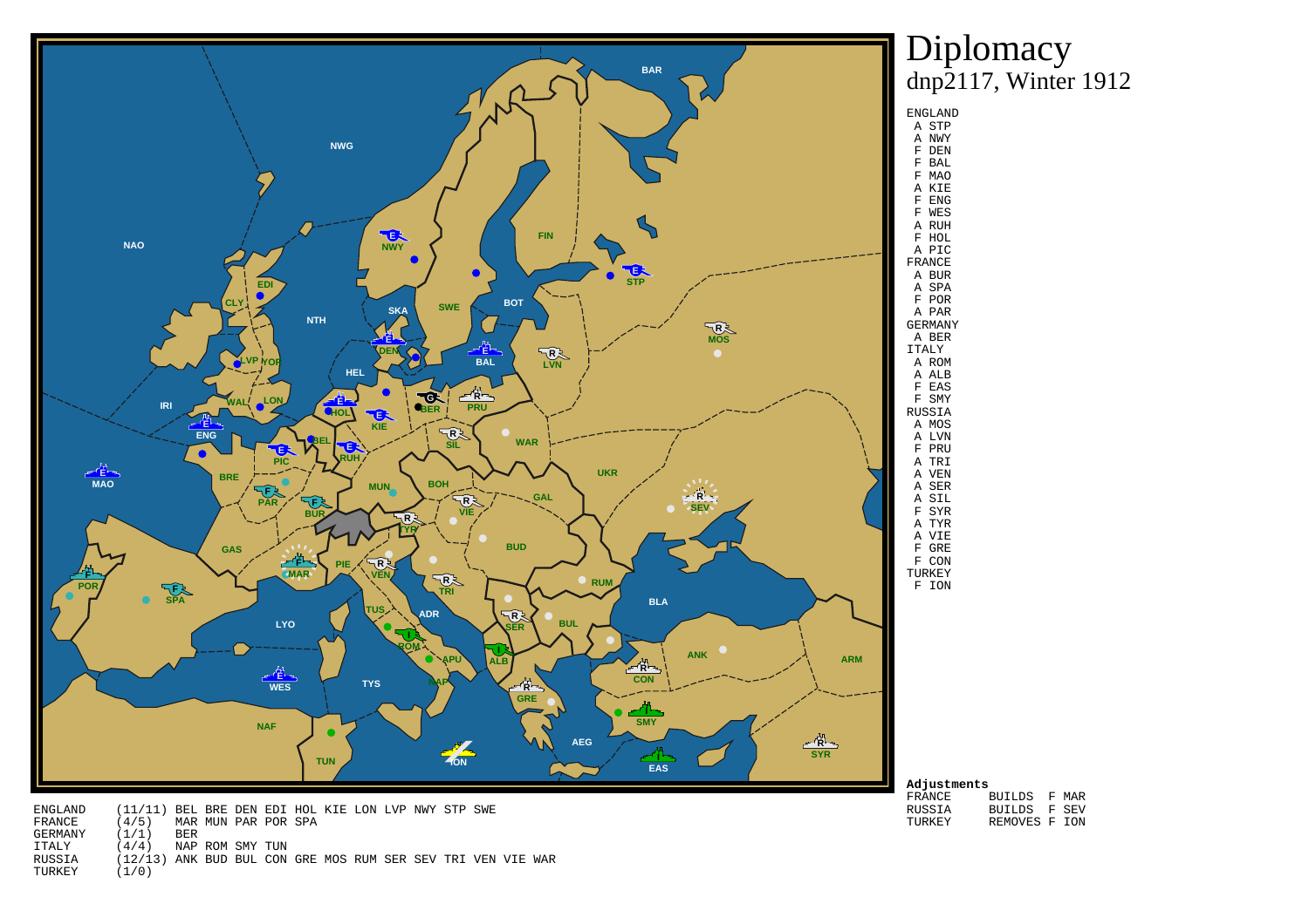

ENGLAND (11/11) BEL BRE DEN EDI HOL KIE LON LVP NWY STP SWEFRANCE (4/5) MAR MUN PAR POR SPAGERMANY (1/1) BER ITALY (4/4) NAP ROM SMY TUN RUSSIA (12/13) ANK BUD BUL CON GRE MOS RUM SER SEV TRI VEN VIE WARTURKEY (1/0)

| Adjustments |               |  |       |  |  |  |  |  |  |  |
|-------------|---------------|--|-------|--|--|--|--|--|--|--|
| FRANCE      | <b>BUILDS</b> |  | F MAR |  |  |  |  |  |  |  |
| RUSSIA      | BUILDS        |  | F SEV |  |  |  |  |  |  |  |
| TURKEY      | REMOVES F ION |  |       |  |  |  |  |  |  |  |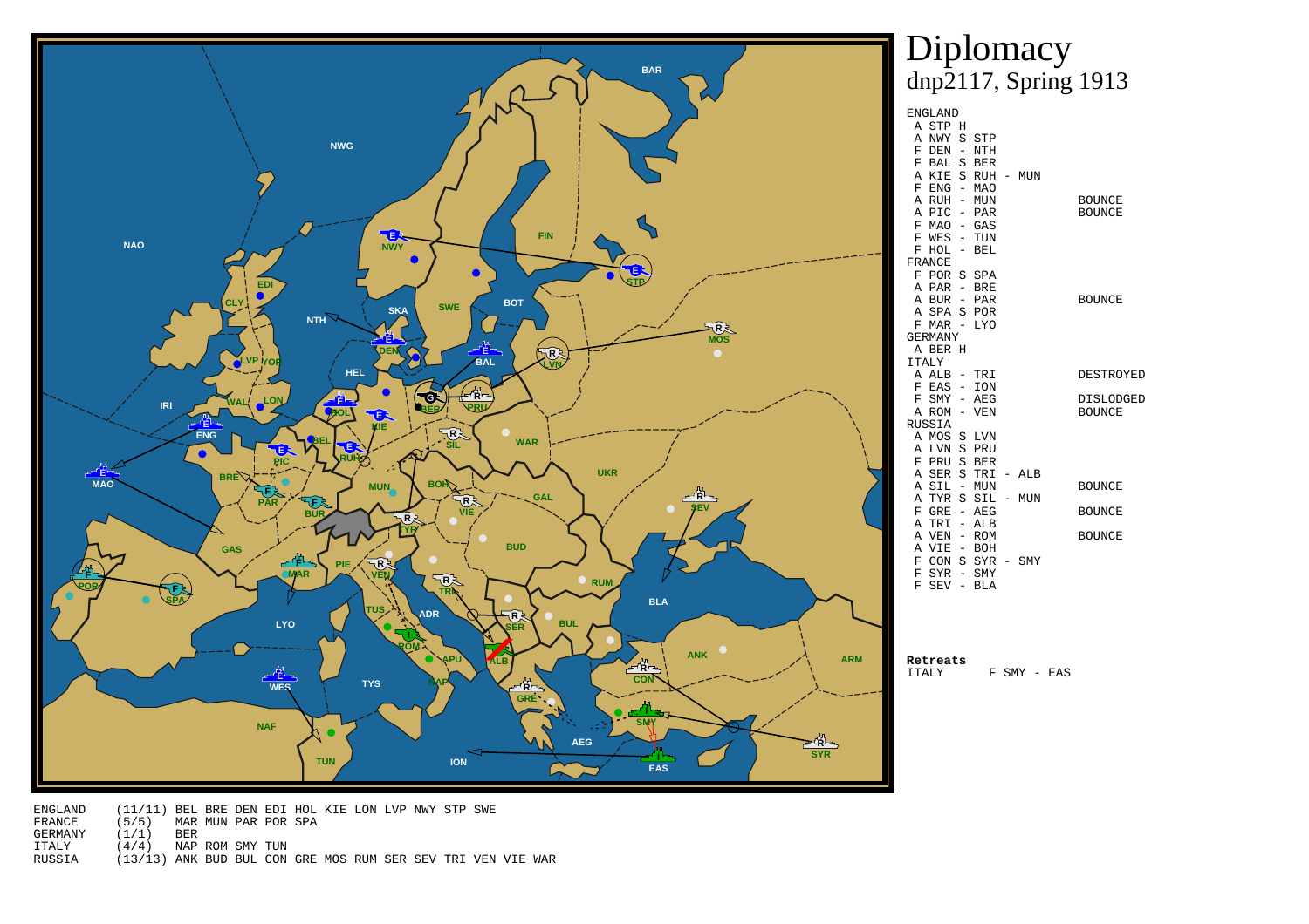

**BOUNCE** 

ENGLAND (11/11) BEL BRE DEN EDI HOL KIE LON LVP NWY STP SWEFRANCE (5/5) MAR MUN PAR POR SPAGERMANY (1/1) BER ITALY (4/4) NAP ROM SMY TUNRUSSIA (13/13) ANK BUD BUL CON GRE MOS RUM SER SEV TRI VEN VIE WAR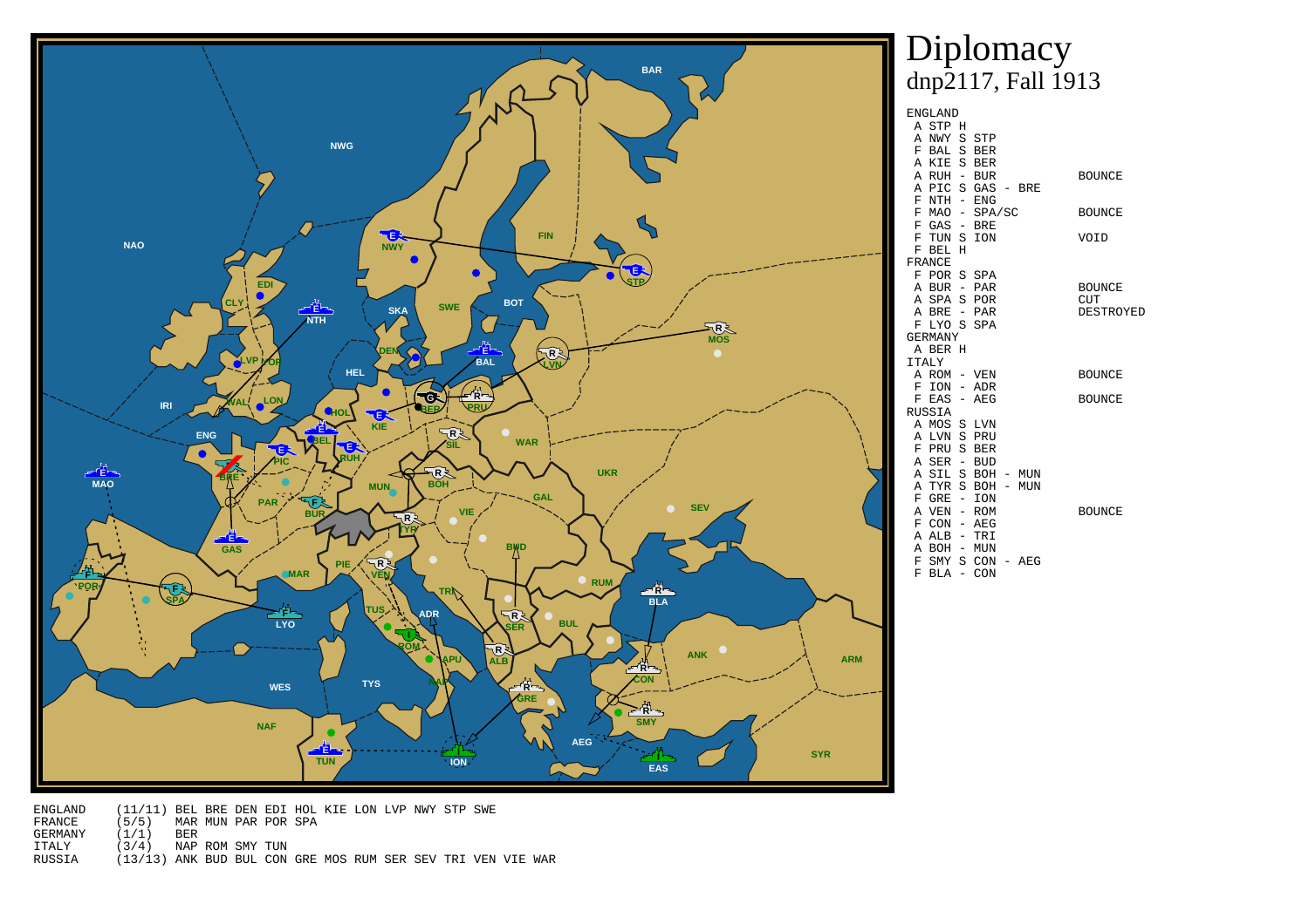

#### ENGLAND

 A NWY S STP F BAL S BER A KIE S BER A RUH - BUR BOUNCE A PIC S GAS - BRE F NTH - ENG F MAO - SPA/SC BOUNCE F GAS - BRE F TUN S ION VOID F BEL H FRANCE F POR S SPA A BUR - PAR BOUNCE A SPA S POR CUTDESTROYED  $A$  BRE - PAR F LYO S SPA GERMANY A BER H ITALY A ROM - VEN BOUNCE F ION - ADR F EAS - AEG BOUNCERUSSIA A MOS S LVN A LVN S PRU F PRU S BER A SER - BUD A SIL S BOH - MUN A TYR S BOH - MUN F GRE - ION A VEN - ROM BOUNCE F CON - AEG A ALB - TRI A BOH - MUN F SMY S CON - AEG

ENGLAND (11/11) BEL BRE DEN EDI HOL KIE LON LVP NWY STP SWEFRANCE (5/5) MAR MUN PAR POR SPAGERMANY (1/1) BER ITALY (3/4) NAP ROM SMY TUNRUSSIA (13/13) ANK BUD BUL CON GRE MOS RUM SER SEV TRI VEN VIE WAR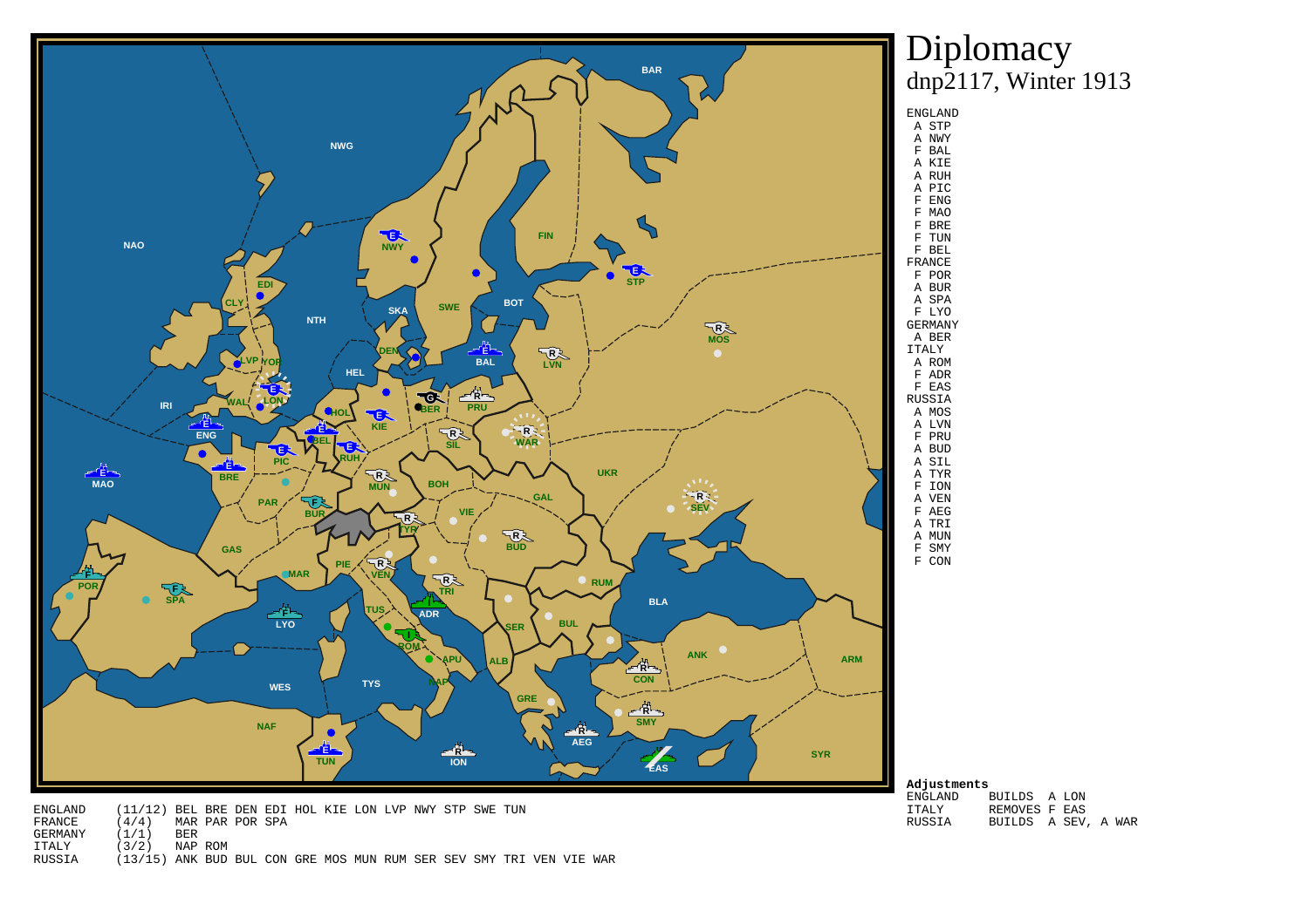

ENGLAND (11/12) BEL BRE DEN EDI HOL KIE LON LVP NWY STP SWE TUNFRANCE (4/4) MAR PAR POR SPAGERMANY (1/1) BER ITALY (3/2) NAP ROMRUSSIA (13/15) ANK BUD BUL CON GRE MOS MUN RUM SER SEV SMY TRI VEN VIE WAR **Adjustments**BUILDS A LON ITALY REMOVES F EASRUSSIA BUILDS A SEV, A WAR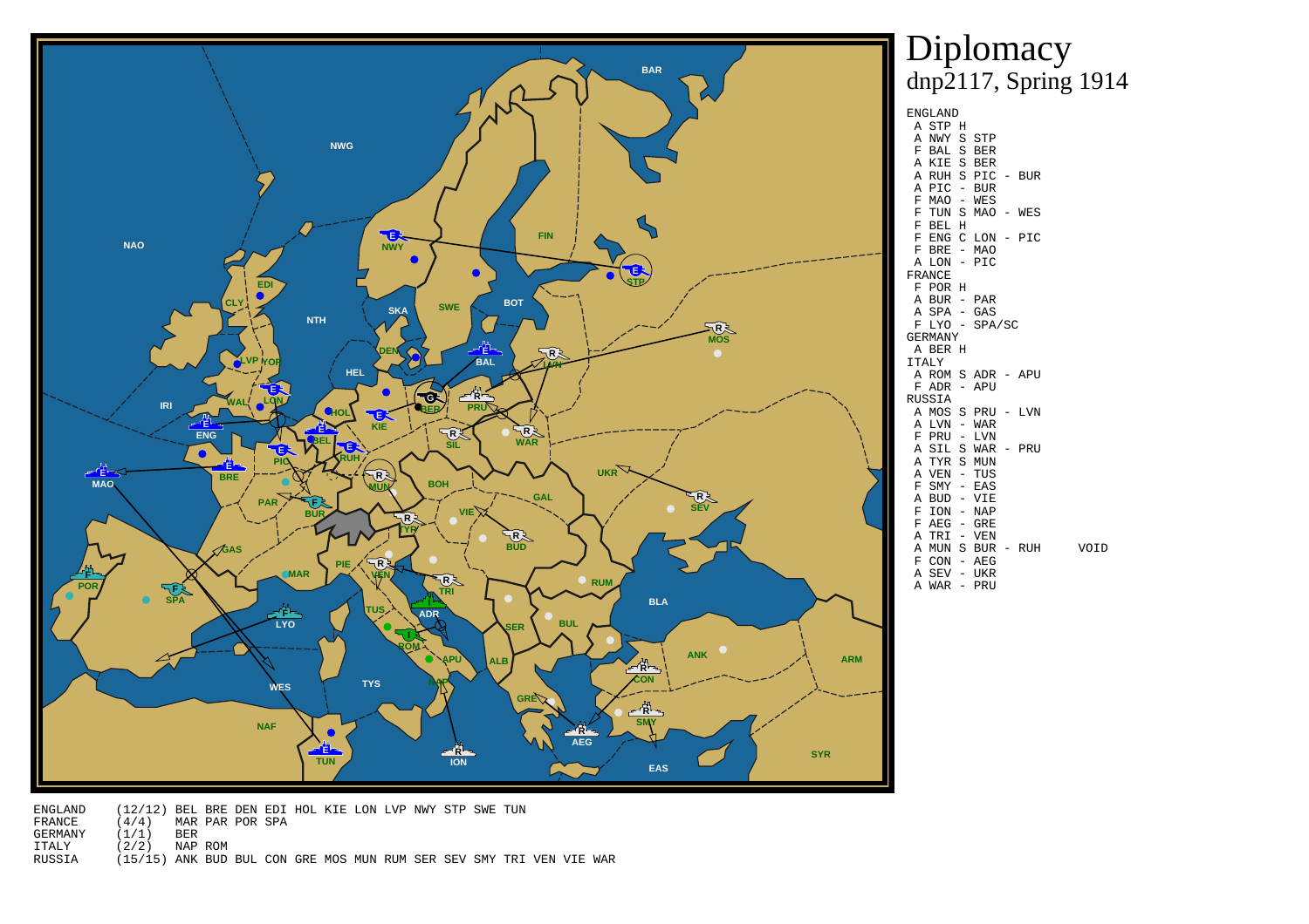

### ENGLAND

 A RUH S PIC - BUR A PIC - BUR F MAO - WES F TUN S MAO - WES F BEL H F ENG C LON - PIC F BRE - MAO A LON - PIC FRANCE F POR H A BUR - PAR A SPA - GAS F LYO - SPA/SC GERMANY A BER H ITALY A ROM S ADR - APU F ADR - APU RUSSIA A MOS S PRU - LVN A LVN - WAR F PRU - LVN A SIL S WAR - PRU A TYR S MUN A VEN - TUS F SMY - EAS A BUD - VIE F ION - NAP F AEG - GRE A TRI - VEN A MUN S BUR - RUH VOID F CON - AEG A SEV - UKR

ENGLAND (12/12) BEL BRE DEN EDI HOL KIE LON LVP NWY STP SWE TUNFRANCE (4/4) MAR PAR POR SPAGERMANY (1/1) BERITALY (2/2) NAP ROM

RUSSIA (15/15) ANK BUD BUL CON GRE MOS MUN RUM SER SEV SMY TRI VEN VIE WAR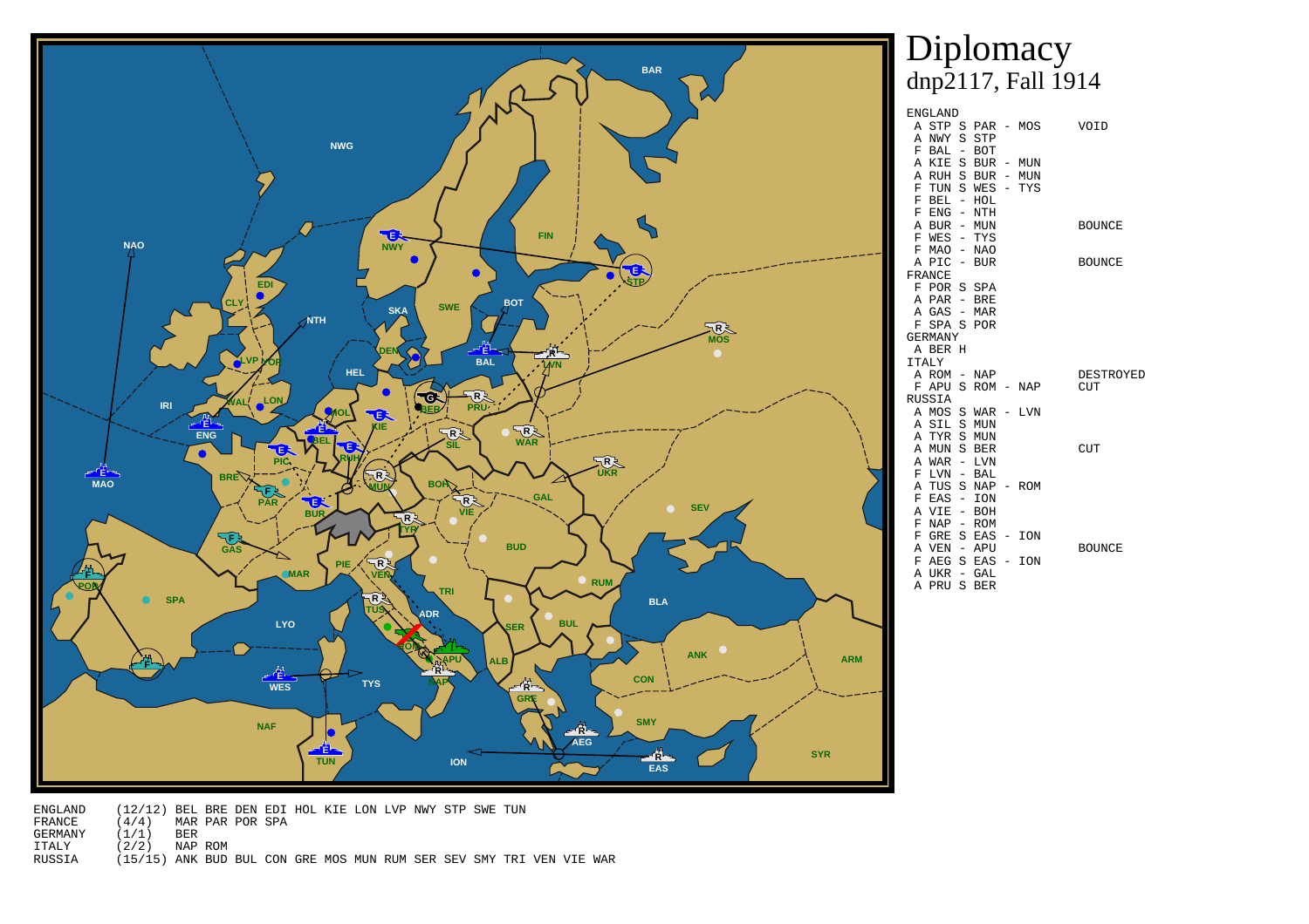

ENGLAND A STP S PAR - MOS VOID A NWY S STP F BAL - BOT A KIE S BUR - MUN A RUH S BUR - MUN F TUN S WES - TYS F BEL - HOL F ENG - NTH A BUR - MUN BOUNCE F WES - TYS F MAO - NAO A PIC - BUR BOUNCEFRANCE F POR S SPA A PAR - BRE A GAS - MAR F SPA S POR GERMANY A BER H ITALY A ROM - NAP DESTROYED F APU S ROM - NAP CUTRUSSIA A MOS S WAR - LVN A SIL S MUN A TYR S MUN A MUN S BER CUT A WAR - LVN F LVN - BAL A TUS S NAP - ROM F EAS - ION A VIE - BOH F NAP - ROM F GRE S EAS - ION A VEN - APU BOUNCE F AEG S EAS - ION A UKR - GAL A PRU S BER

ENGLAND (12/12) BEL BRE DEN EDI HOL KIE LON LVP NWY STP SWE TUNFRANCE (4/4) MAR PAR POR SPAGERMANY (1/1) BERITALY (2/2) NAP ROM

RUSSIA (15/15) ANK BUD BUL CON GRE MOS MUN RUM SER SEV SMY TRI VEN VIE WAR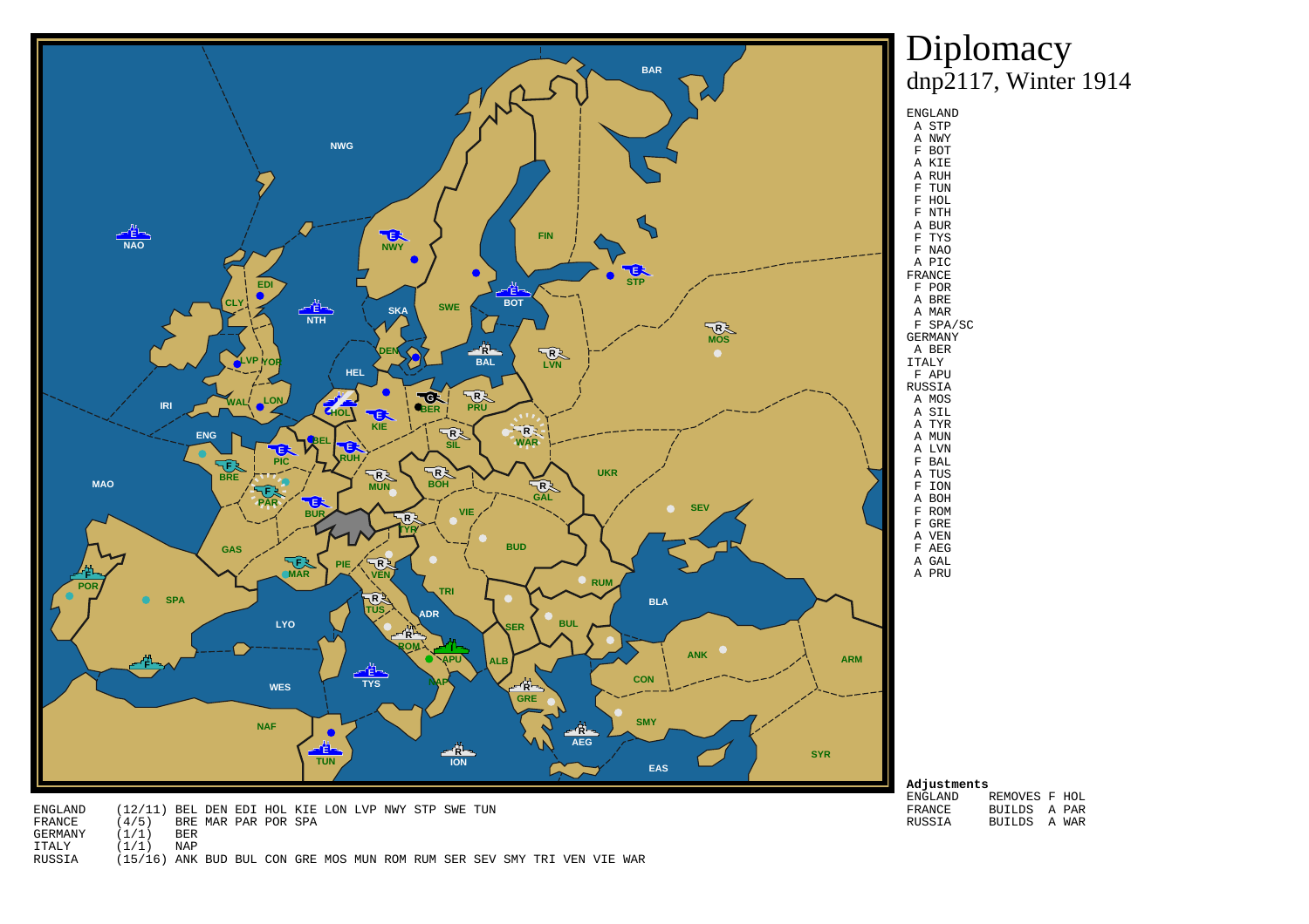

ENGLAND (12/11) BEL DEN EDI HOL KIE LON LVP NWY STP SWE TUNFRANCE (4/5) BRE MAR PAR POR SPAGERMANY (1/1) BERNAP  $ITALY$   $(1/1)$ RUSSIA (15/16) ANK BUD BUL CON GRE MOS MUN ROM RUM SER SEV SMY TRI VEN VIE WAR

| Adjustments    |               |  |       |  |  |  |  |  |  |
|----------------|---------------|--|-------|--|--|--|--|--|--|
| <b>ENGLAND</b> | REMOVES F HOL |  |       |  |  |  |  |  |  |
| FRANCE         | BUILDS        |  | A PAR |  |  |  |  |  |  |
| RUSSIA         | BUILDS        |  | A WAR |  |  |  |  |  |  |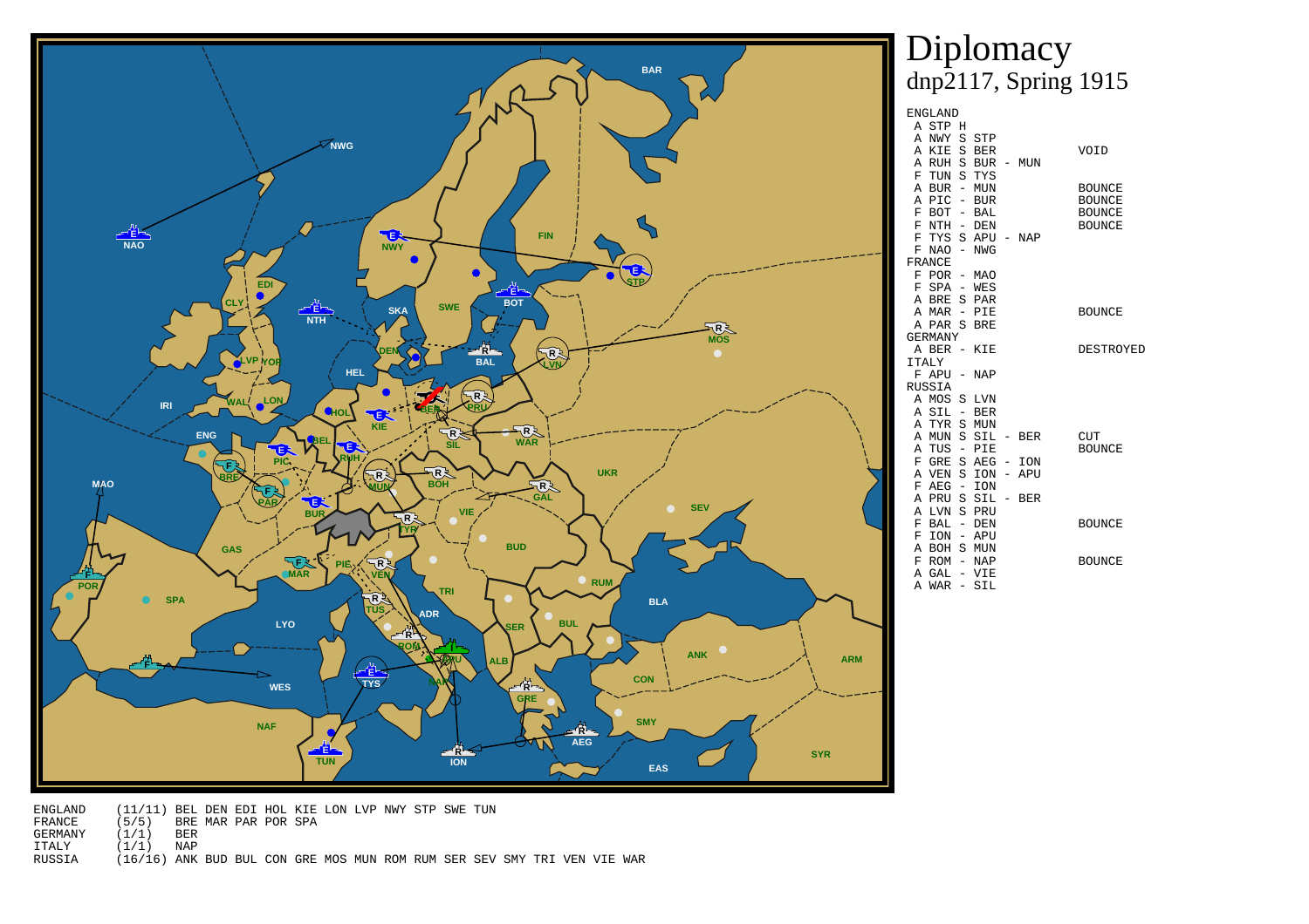

### ENGLAND

 A NWY S STP A KIE S BER VOID A RUH S BUR - MUN F TUN S TYS A BUR - MUN BOUNCE**BOUNCE**  $A$  PIC - BUR **BOUNCE**  $F$  BOT - BAL **BOUNCE**  $F$  NTH - DEN F TYS S APU - NAP F NAO - NWG FRANCE F POR - MAO F SPA - WES A BRE S PAR A MAR - PIE BOUNCE A PAR S BRE GERMANY A BER - KIE DESTROYEDITALY F APU - NAP RUSSIA A MOS S LVN A SIL - BER A TYR S MUN A MUN S SIL - BER CUT**BOUNCE** A TUS - PIE F GRE S AEG - ION A VEN S ION - APU F AEG - ION A PRU S SIL - BER A LVN S PRU F BAL - DEN BOUNCE F ION - APU A BOH S MUN F ROM - NAP BOUNCE A GAL - VIE A WAR - SIL

ENGLAND (11/11) BEL DEN EDI HOL KIE LON LVP NWY STP SWE TUN

FRANCE (5/5) BRE MAR PAR POR SPA

GERMANY (1/1) BER**NAP** 

 $ITALY$   $(1/1)$ 

RUSSIA (16/16) ANK BUD BUL CON GRE MOS MUN ROM RUM SER SEV SMY TRI VEN VIE WAR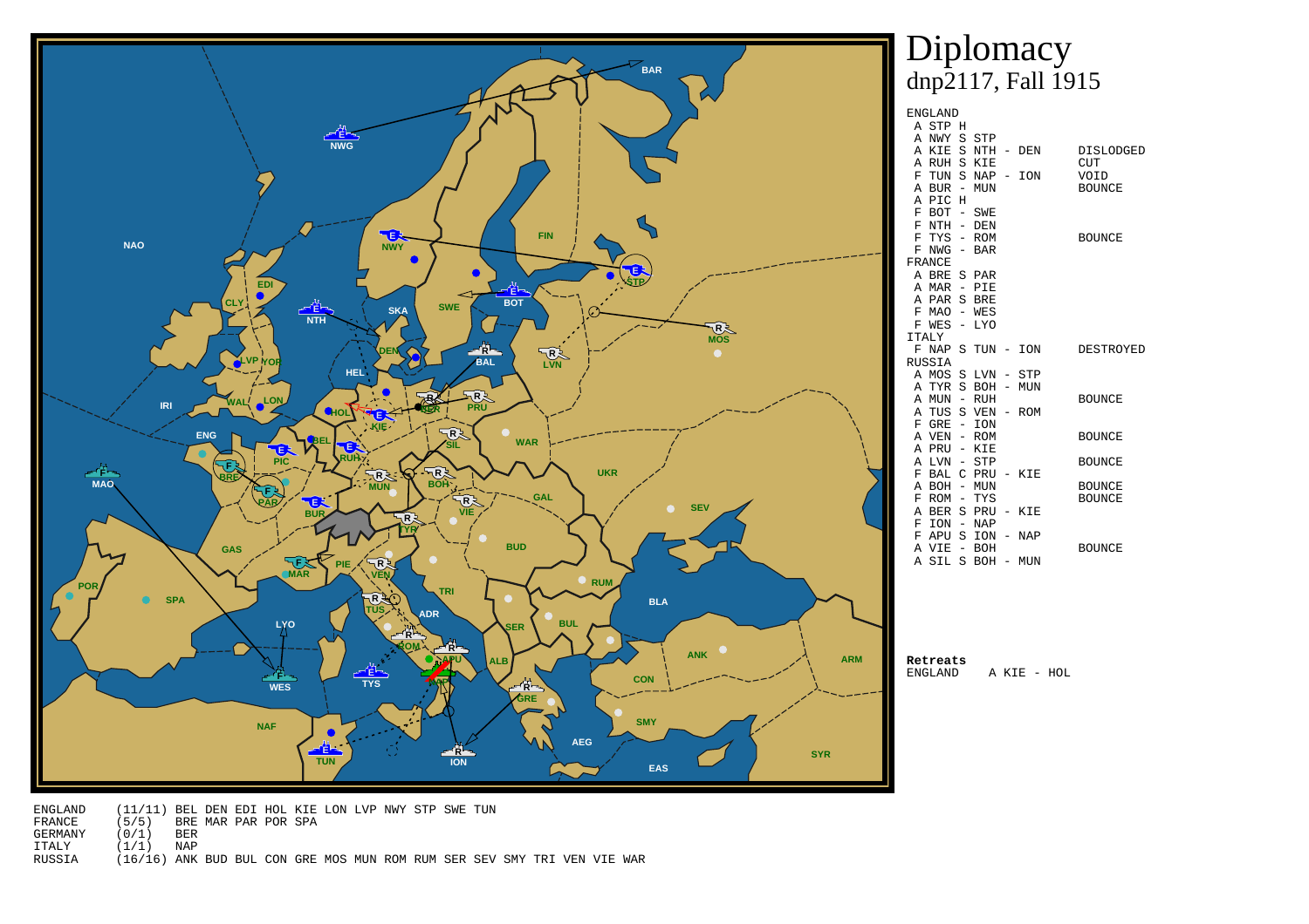

#### ENGLAND

| F <sub>1</sub> | ັບ⊥⊥          |                   |  |               |
|----------------|---------------|-------------------|--|---------------|
| Α              |               | NWY S STP         |  |               |
|                |               | A KIE S NTH - DEN |  | DISLODGED     |
|                | A RUH S KIE   |                   |  | CUT           |
|                |               | F TUN S NAP - ION |  | VOID          |
|                | A BUR -       | MUN               |  | <b>BOUNCE</b> |
|                | A PIC H       |                   |  |               |
|                | F BOT - SWE   |                   |  |               |
| F              | NTH - DEN     |                   |  |               |
|                | F TYS - ROM   |                   |  | <b>BOUNCE</b> |
| F              | $NWG -$       | <b>BAR</b>        |  |               |
|                | FRANCE        |                   |  |               |
|                | A BRE S PAR   |                   |  |               |
|                | A MAR - PIE   |                   |  |               |
|                | A PAR S BRE   |                   |  |               |
|                | F MAO - WES   |                   |  |               |
| F              | WES -         | LYO               |  |               |
|                | ITALY         |                   |  |               |
|                |               | F NAP S TUN - ION |  | DESTROYED     |
|                | RUSSIA        |                   |  |               |
|                |               | A MOS S LVN - STP |  |               |
|                |               | A TYR S BOH - MUN |  |               |
|                | A MUN - RUH   |                   |  | <b>BOUNCE</b> |
|                |               | A TUS S VEN - ROM |  |               |
|                | $F$ GRE - ION |                   |  |               |
|                | A VEN - ROM   |                   |  | <b>BOUNCE</b> |
|                | A PRU -       | KIE               |  |               |
|                | A LVN - STP   |                   |  | <b>BOUNCE</b> |
|                |               | F BAL C PRU - KIE |  |               |
| Α              | BOH - MUN     |                   |  | <b>BOUNCE</b> |
| F.             |               | ROM - TYS         |  | <b>BOUNCE</b> |
| Α              |               | BER S PRU - KIE   |  |               |
| F.             |               | ION - NAP         |  |               |
| F              |               | APU S ION - NAP   |  |               |
|                | A VIE - BOH   |                   |  | <b>BOUNCE</b> |
| Α              |               | SIL S BOH - MUN   |  |               |
|                |               |                   |  |               |

**Retreats**ENGLAND A KIE - HOL

ENGLAND (11/11) BEL DEN EDI HOL KIE LON LVP NWY STP SWE TUN

- FRANCE (5/5) BRE MAR PAR POR SPA
- GERMANY (0/1) BERNAP

 $ITALY$   $(1/1)$ 

RUSSIA (16/16) ANK BUD BUL CON GRE MOS MUN ROM RUM SER SEV SMY TRI VEN VIE WAR